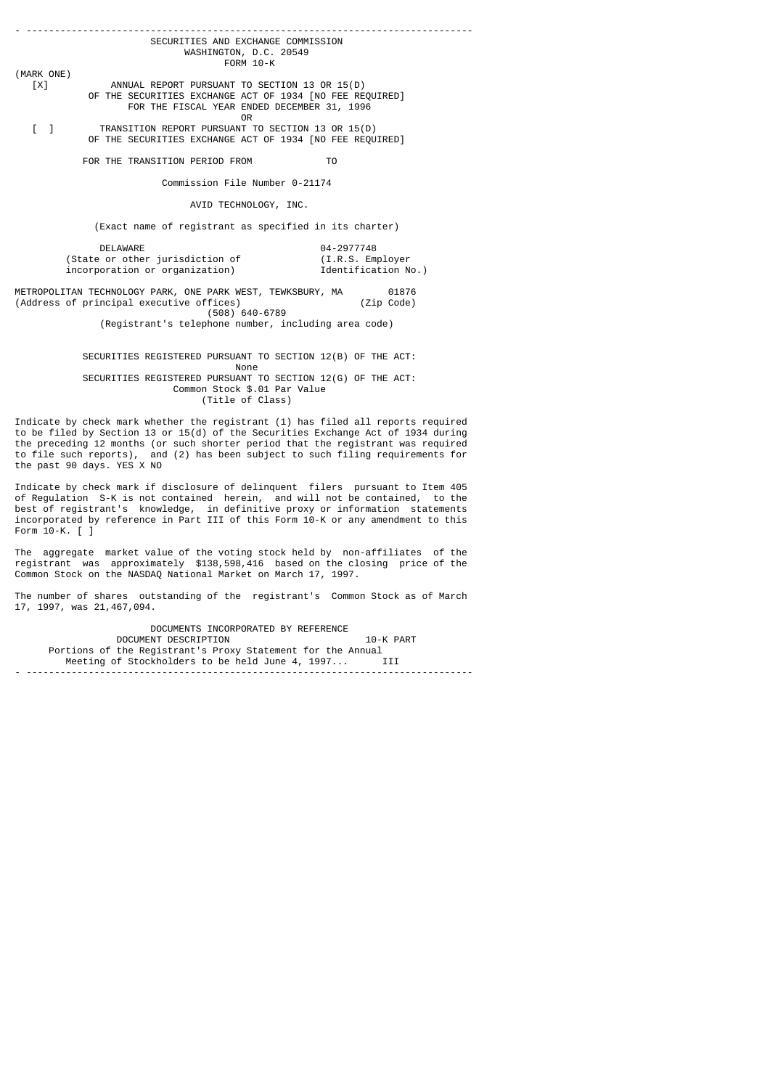|                                                      | SECURITIES AND EXCHANGE COMMISSION                                                                      |                     |  |  |  |  |  |
|------------------------------------------------------|---------------------------------------------------------------------------------------------------------|---------------------|--|--|--|--|--|
|                                                      | WASHINGTON, D.C. 20549                                                                                  |                     |  |  |  |  |  |
|                                                      | FORM 10-K                                                                                               |                     |  |  |  |  |  |
| (MARK ONE)                                           |                                                                                                         |                     |  |  |  |  |  |
| [X]                                                  | ANNUAL REPORT PURSUANT TO SECTION 13 OR 15(D)                                                           |                     |  |  |  |  |  |
|                                                      | OF THE SECURITIES EXCHANGE ACT OF 1934 [NO FEE REQUIRED]<br>FOR THE FISCAL YEAR ENDED DECEMBER 31, 1996 |                     |  |  |  |  |  |
|                                                      | 0 <sub>R</sub>                                                                                          |                     |  |  |  |  |  |
| $\begin{bmatrix} 1 \end{bmatrix}$                    | TRANSITION REPORT PURSUANT TO SECTION 13 OR 15(D)                                                       |                     |  |  |  |  |  |
|                                                      | OF THE SECURITIES EXCHANGE ACT OF 1934 [NO FEE REQUIRED]                                                |                     |  |  |  |  |  |
|                                                      |                                                                                                         |                     |  |  |  |  |  |
|                                                      | FOR THE TRANSITION PERIOD FROM                                                                          | T <sub>0</sub>      |  |  |  |  |  |
|                                                      | Commission File Number 0-21174                                                                          |                     |  |  |  |  |  |
|                                                      |                                                                                                         |                     |  |  |  |  |  |
|                                                      | AVID TECHNOLOGY, INC.                                                                                   |                     |  |  |  |  |  |
|                                                      | (Exact name of registrant as specified in its charter)                                                  |                     |  |  |  |  |  |
|                                                      | <b>DELAWARE</b>                                                                                         | 04-2977748          |  |  |  |  |  |
|                                                      | (State or other jurisdiction of                                                                         | (I.R.S. Employer    |  |  |  |  |  |
|                                                      | incorporation or organization)                                                                          | Identification No.) |  |  |  |  |  |
|                                                      |                                                                                                         |                     |  |  |  |  |  |
|                                                      | METROPOLITAN TECHNOLOGY PARK, ONE PARK WEST, TEWKSBURY, MA                                              | 01876               |  |  |  |  |  |
|                                                      | (Address of principal executive offices)                                                                | (Zip Code)          |  |  |  |  |  |
|                                                      | $(508) 640 - 6789$                                                                                      |                     |  |  |  |  |  |
| (Registrant's telephone number, including area code) |                                                                                                         |                     |  |  |  |  |  |
|                                                      |                                                                                                         |                     |  |  |  |  |  |
|                                                      | SECURITIES REGISTERED PURSUANT TO SECTION 12(B) OF THE ACT:                                             |                     |  |  |  |  |  |
|                                                      | None                                                                                                    |                     |  |  |  |  |  |
|                                                      | SECURITIES REGISTERED PURSUANT TO SECTION 12(G) OF THE ACT:                                             |                     |  |  |  |  |  |
|                                                      | Common Stock \$.01 Par Value                                                                            |                     |  |  |  |  |  |

(Title of Class)

Indicate by check mark whether the registrant (1) has filed all reports required to be filed by Section 13 or 15(d) of the Securities Exchange Act of 1934 during the preceding 12 months (or such shorter period that the registrant was required to file such reports), and (2) has been subject to such filing requirements for the past 90 days. YES X NO

Indicate by check mark if disclosure of delinquent filers pursuant to Item 405 of Regulation S-K is not contained herein, and will not be contained, to the best of registrant's knowledge, in definitive proxy or information statements incorporated by reference in Part III of this Form 10-K or any amendment to this Form 10-K. [ ]

The aggregate market value of the voting stock held by non-affiliates of the registrant was approximately \$138,598,416 based on the closing price of the Common Stock on the NASDAQ National Market on March 17, 1997.

The number of shares outstanding of the registrant's Common Stock as of March 17, 1997, was 21,467,094.

DOCUMENTS INCORPORATED BY REFERENCE<br>DOCUMENT DESCRIPTION DOCUMENT DESCRIPTION **10-K PART**  Portions of the Registrant's Proxy Statement for the Annual Meeting of Stockholders to be held June 4, 1997... III - -------------------------------------------------------------------------------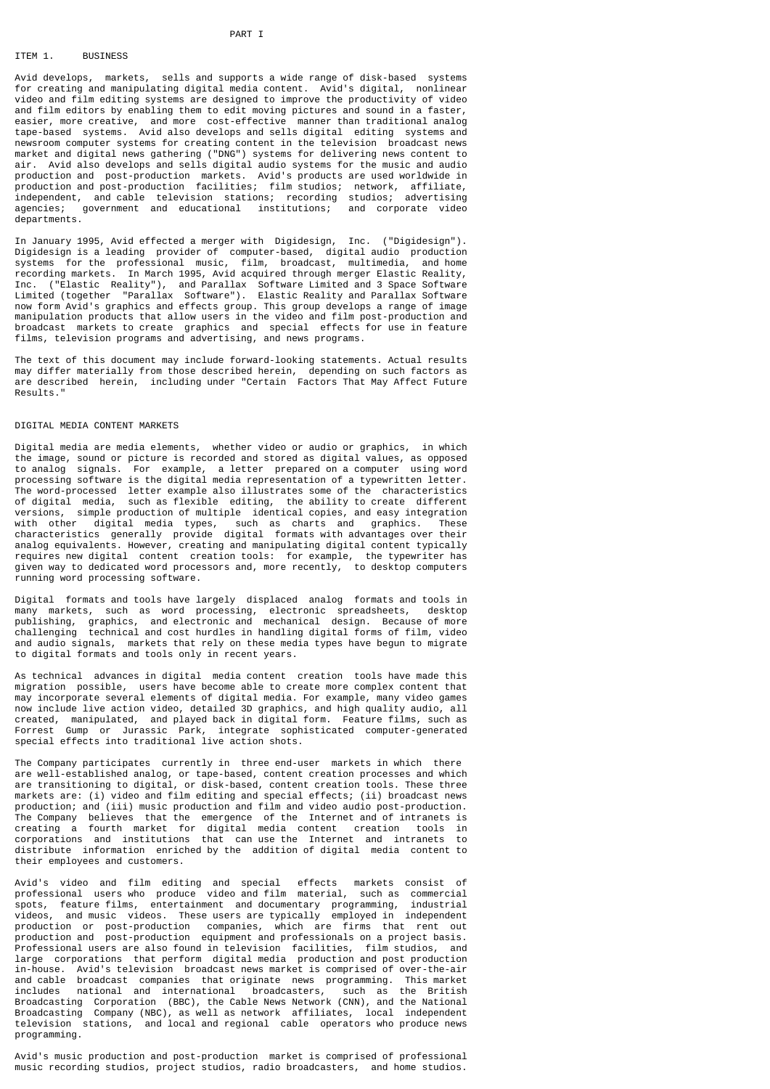#### PART I

### TTEM 1. BUSTNESS

Avid develops, markets, sells and supports a wide range of disk-based systems for creating and manipulating digital media content. Avid's digital, nonlinear video and film editing systems are designed to improve the productivity of video and film editors by enabling them to edit moving pictures and sound in a faster, easier, more creative, and more cost-effective manner than traditional analog tape-based systems. Avid also develops and sells digital editing systems and newsroom computer systems for creating content in the television broadcast news market and digital news gathering ("DNG") systems for delivering news content to air. Avid also develops and sells digital audio systems for the music and audio production and post-production markets. Avid's products are used worldwide in production and post-production facilities; film studios; network, affiliate, independent, and cable television stations; recording studios; advertising agencies; government and educational institutions; and corporate video departments.

In January 1995, Avid effected a merger with Digidesign, Inc. ("Digidesign"). Digidesign is a leading provider of computer-based, digital audio production systems for the professional music, film, broadcast, multimedia, and home recording markets. In March 1995, Avid acquired through merger Elastic Reality, Inc. ("Elastic Reality"), and Parallax Software Limited and 3 Space Software Limited (together "Parallax Software"). Elastic Reality and Parallax Software now form Avid's graphics and effects group. This group develops a range of image manipulation products that allow users in the video and film post-production and broadcast markets to create graphics and special effects for use in feature films, television programs and advertising, and news programs.

The text of this document may include forward-looking statements. Actual results may differ materially from those described herein, depending on such factors as are described herein, including under "Certain Factors That May Affect Future Results."

#### DIGITAL MEDIA CONTENT MARKETS

Digital media are media elements, whether video or audio or graphics, in which the image, sound or picture is recorded and stored as digital values, as opposed to analog signals. For example, a letter prepared on a computer using word processing software is the digital media representation of a typewritten letter. The word-processed letter example also illustrates some of the characteristics of digital media, such as flexible editing, the ability to create different versions, simple production of multiple identical copies, and easy integration with other digital media types, such as charts and graphics. These characteristics generally provide digital formats with advantages over their analog equivalents. However, creating and manipulating digital content typically requires new digital content creation tools: for example, the typewriter has given way to dedicated word processors and, more recently, to desktop computers running word processing software.

Digital formats and tools have largely displaced analog formats and tools in many markets, such as word processing, electronic spreadsheets, desktop publishing, graphics, and electronic and mechanical design. Because of more challenging technical and cost hurdles in handling digital forms of film, video and audio signals, markets that rely on these media types have begun to migrate to digital formats and tools only in recent years.

As technical advances in digital media content creation tools have made this migration possible, users have become able to create more complex content that may incorporate several elements of digital media. For example, many video games now include live action video, detailed 3D graphics, and high quality audio, all created, manipulated, and played back in digital form. Feature films, such as Forrest Gump or Jurassic Park, integrate sophisticated computer-generated special effects into traditional live action shots.

The Company participates currently in three end-user markets in which there are well-established analog, or tape-based, content creation processes and which are transitioning to digital, or disk-based, content creation tools. These three markets are: (i) video and film editing and special effects; (ii) broadcast news production; and (iii) music production and film and video audio post-production. The Company believes that the emergence of the Internet and of intranets is creating a fourth market for digital media content creation tools in corporations and institutions that can use the Internet and intranets to distribute information enriched by the addition of digital media content to their employees and customers.

Avid's video and film editing and special effects markets consist of professional users who produce video and film material, such as commercial spots, feature films, entertainment and documentary programming, industrial videos, and music videos. These users are typically employed in independent production or post-production companies, which are firms that rent out production and post-production equipment and professionals on a project basis. Professional users are also found in television facilities, film studios, and large corporations that perform digital media production and post production in-house. Avid's television broadcast news market is comprised of over-the-air and cable broadcast companies that originate news programming. This market includes national and international broadcasters, such as the British Broadcasting Corporation (BBC), the Cable News Network (CNN), and the National Broadcasting Company (NBC), as well as network affiliates, local independent television stations, and local and regional cable operators who produce news programming.

Avid's music production and post-production market is comprised of professional music recording studios, project studios, radio broadcasters, and home studios.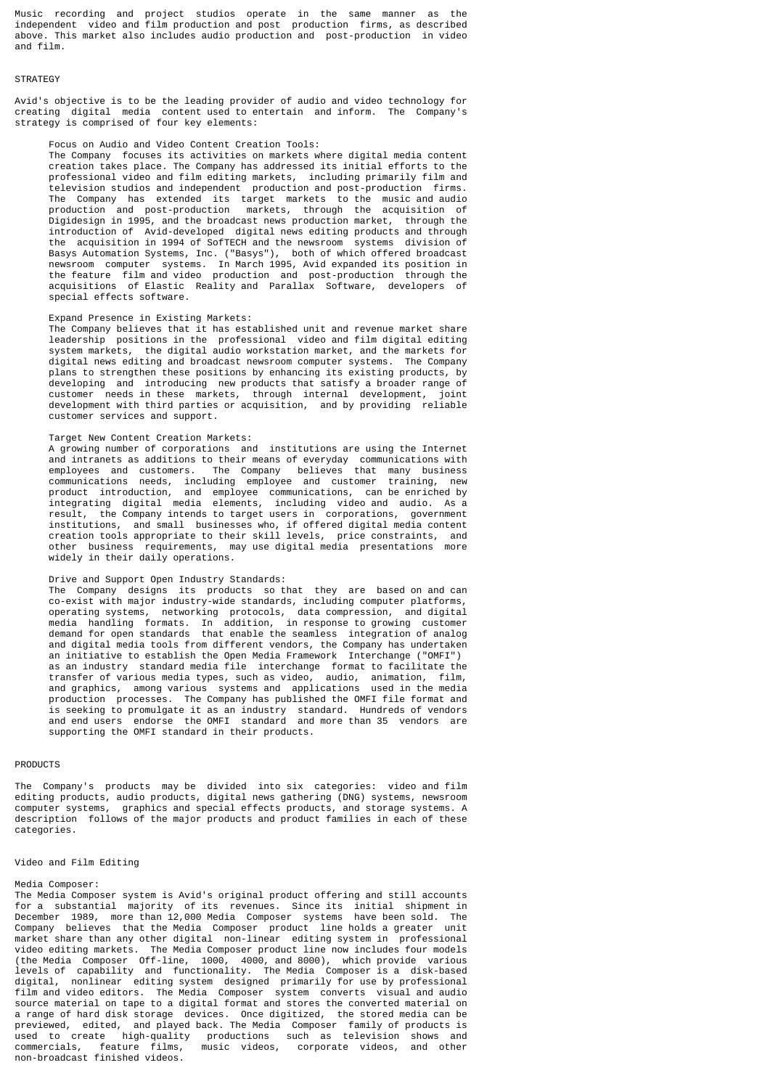Music recording and project studios operate in the same manner as independent video and film production and post production firms, as described above. This market also includes audio production and post-production in video and film.

#### **STRATEGY**

Avid's objective is to be the leading provider of audio and video technology for creating digital media content used to entertain and inform. The Company's strategy is comprised of four key elements:

#### Focus on Audio and Video Content Creation Tools:

 The Company focuses its activities on markets where digital media content creation takes place. The Company has addressed its initial efforts to the professional video and film editing markets, including primarily film and television studios and independent production and post-production firms. The Company has extended its target markets to the music and audio production and post-production markets, through the acquisition of Digidesign in 1995, and the broadcast news production market, through the introduction of Avid-developed digital news editing products and through the acquisition in 1994 of SofTECH and the newsroom systems division of Basys Automation Systems, Inc. ("Basys"), both of which offered broadcast newsroom computer systems. In March 1995, Avid expanded its position in the feature film and video production and post-production through the acquisitions of Elastic Reality and Parallax Software, developers of special effects software.

### Expand Presence in Existing Markets:

 The Company believes that it has established unit and revenue market share leadership positions in the professional video and film digital editing system markets, the digital audio workstation market, and the markets for digital news editing and broadcast newsroom computer systems. The Company plans to strengthen these positions by enhancing its existing products, by developing and introducing new products that satisfy a broader range of customer needs in these markets, through internal development, joint development with third parties or acquisition, and by providing reliable customer services and support.

#### Target New Content Creation Markets:

 A growing number of corporations and institutions are using the Internet and intranets as additions to their means of everyday communications with employees and customers. The Company believes that many business communications needs, including employee and customer training, new product introduction, and employee communications, can be enriched by integrating digital media elements, including video and audio. As a result, the Company intends to target users in corporations, government institutions, and small businesses who, if offered digital media content creation tools appropriate to their skill levels, price constraints, and other business requirements, may use digital media presentations more widely in their daily operations.

#### Drive and Support Open Industry Standards:

 The Company designs its products so that they are based on and can co-exist with major industry-wide standards, including computer platforms, operating systems, networking protocols, data compression, and digital media handling formats. In addition, in response to growing customer demand for open standards that enable the seamless integration of analog and digital media tools from different vendors, the Company has undertaken an initiative to establish the Open Media Framework Interchange ("OMFI") as an industry standard media file interchange format to facilitate the transfer of various media types, such as video, audio, animation, film, and graphics, among various systems and applications used in the media production processes. The Company has published the OMFI file format and is seeking to promulgate it as an industry standard. Hundreds of vendors and end users endorse the OMFI standard and more than 35 vendors are supporting the OMFI standard in their products.

#### PRODUCTS

The Company's products may be divided into six categories: video and film editing products, audio products, digital news gathering (DNG) systems, newsroom computer systems, graphics and special effects products, and storage systems. A description follows of the major products and product families in each of these categories.

#### Video and Film Editing

#### Media Composer:

The Media Composer system is Avid's original product offering and still accounts for a substantial majority of its revenues. Since its initial shipment in December 1989, more than 12,000 Media Composer systems have been sold. The Company believes that the Media Composer product line holds a greater unit market share than any other digital non-linear editing system in professional video editing markets. The Media Composer product line now includes four models (the Media Composer Off-line, 1000, 4000, and 8000), which provide various levels of capability and functionality. The Media Composer is a disk-based digital, nonlinear editing system designed primarily for use by professional film and video editors. The Media Composer system converts visual and audio source material on tape to a digital format and stores the converted material on a range of hard disk storage devices. Once digitized, the stored media can be previewed, edited, and played back. The Media Composer family of products is used to create high-quality productions such as television shows and commercials, feature films, music videos, corporate videos, and other commercials, feature films,<br>non-broadcast finished videos.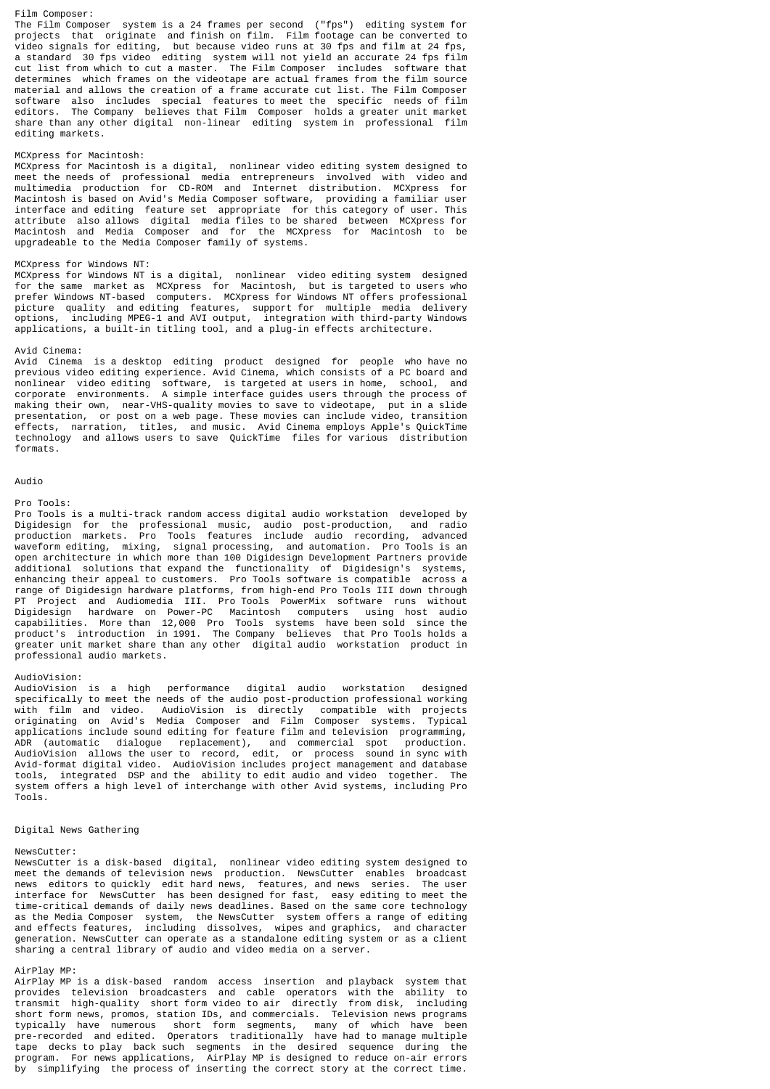#### Film Composer:

The Film Composer system is a 24 frames per second ("fps") editing system for projects that originate and finish on film. Film footage can be converted to video signals for editing, but because video runs at 30 fps and film at 24 fps, a standard 30 fps video editing system will not yield an accurate 24 fps film cut list from which to cut a master. The Film Composer includes software that determines which frames on the videotape are actual frames from the film source material and allows the creation of a frame accurate cut list. The Film Composer software also includes special features to meet the specific needs of film editors. The Company believes that Film Composer holds a greater unit market share than any other digital non-linear editing system in professional film editing markets.

#### MCXpress for Macintosh:

MCXpress for Macintosh is a digital, nonlinear video editing system designed to meet the needs of professional media entrepreneurs involved with video and multimedia production for CD-ROM and Internet distribution. MCXpress for Macintosh is based on Avid's Media Composer software, providing a familiar user interface and editing feature set appropriate for this category of user. This attribute also allows digital media files to be shared between MCXpress for Macintosh and Media Composer and for the MCXpress for Macintosh to be upgradeable to the Media Composer family of systems.

### MCXpress for Windows NT:

MCXpress for Windows NT is a digital, nonlinear video editing system designed for the same market as MCXpress for Macintosh, but is targeted to users who prefer Windows NT-based computers. MCXpress for Windows NT offers professional picture quality and editing features, support for multiple media delivery<br>options, including MPEG-1 and AVI output, integration with third-party Windows including MPEG-1 and AVI output, integration with third-party Windows applications, a built-in titling tool, and a plug-in effects architecture.

#### Avid Cinema:

Avid Cinema is a desktop editing product designed for people who have no previous video editing experience. Avid Cinema, which consists of a PC board and nonlinear video editing software, is targeted at users in home, school, and corporate environments. A simple interface guides users through the process of making their own, near-VHS-quality movies to save to videotape, put in a slide presentation, or post on a web page. These movies can include video, transition effects, narration, titles, and music. Avid Cinema employs Apple's QuickTime technology and allows users to save QuickTime files for various distribution formats.

#### Audio

#### Pro Tools:

Pro Tools is a multi-track random access digital audio workstation developed by Digidesign for the professional music, audio post-production, and radio production markets. Pro Tools features include audio recording, advanced waveform editing, mixing, signal processing, and automation. Pro Tools is an open architecture in which more than 100 Digidesign Development Partners provide additional solutions that expand the functionality of Digidesign's systems, enhancing their appeal to customers. Pro Tools software is compatible across a range of Digidesign hardware platforms, from high-end Pro Tools III down through PT Project and Audiomedia III. Pro Tools PowerMix software runs without Digidesign hardware on Power-PC Macintosh computers using host audio capabilities. More than 12,000 Pro Tools systems have been sold since the product's introduction in 1991. The Company believes that Pro Tools holds a greater unit market share than any other digital audio workstation product in professional audio markets.

#### AudioVision:

AudioVision is a high performance digital audio workstation designed specifically to meet the needs of the audio post-production professional working with film and video. AudioVision is directly compatible with projects originating on Avid's Media Composer and Film Composer systems. Typical applications include sound editing for feature film and television programming, ADR (automatic dialogue replacement), and commercial spot production. AudioVision allows the user to record, edit, or process sound in sync with Avid-format digital video. AudioVision includes project management and database tools, integrated DSP and the ability to edit audio and video together. The system offers a high level of interchange with other Avid systems, including Pro Tools.

### Digital News Gathering

### NewsCutter:

NewsCutter is a disk-based digital, nonlinear video editing system designed to meet the demands of television news production. NewsCutter enables broadcast news editors to quickly edit hard news, features, and news series. The user interface for NewsCutter has been designed for fast, easy editing to meet the time-critical demands of daily news deadlines. Based on the same core technology as the Media Composer system, the NewsCutter system offers a range of editing and effects features, including dissolves, wipes and graphics, and character generation. NewsCutter can operate as a standalone editing system or as a client sharing a central library of audio and video media on a server.

#### AirPlay MP:

AirPlay MP is a disk-based random access insertion and playback system that provides television broadcasters and cable operators with the ability to transmit high-quality short form video to air directly from disk, including short form news, promos, station IDs, and commercials. Television news programs typically have numerous short form segments, many of which have been pre-recorded and edited. Operators traditionally have had to manage multiple tape decks to play back such segments in the desired sequence during the program. For news applications, AirPlay MP is designed to reduce on-air errors by simplifying the process of inserting the correct story at the correct time.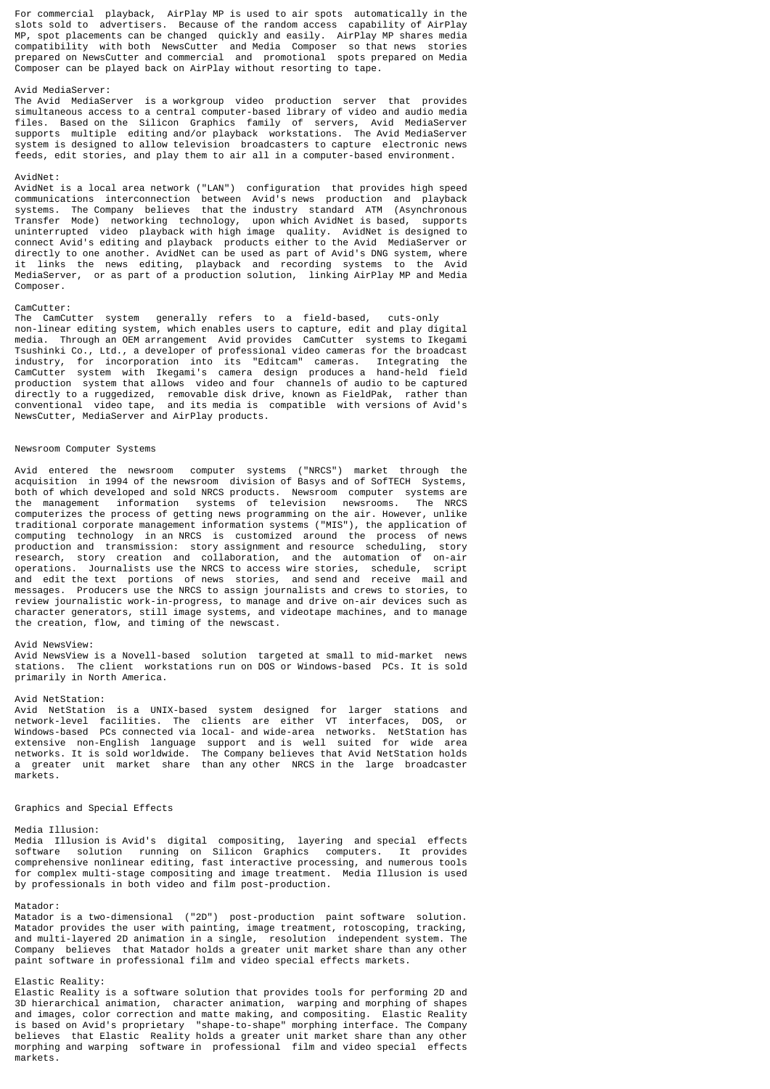For commercial playback, AirPlay MP is used to air spots automatically in the slots sold to advertisers. Because of the random access capability of AirPlay MP, spot placements can be changed quickly and easily. AirPlay MP shares media compatibility with both NewsCutter and Media Composer so that news stories prepared on NewsCutter and commercial and promotional spots prepared on Media Composer can be played back on AirPlay without resorting to tape.

### Avid MediaServer:

The Avid MediaServer is a workgroup video production server that provides simultaneous access to a central computer-based library of video and audio media files. Based on the Silicon Graphics family of servers, Avid MediaServer supports multiple editing and/or playback workstations. The Avid MediaServer system is designed to allow television broadcasters to capture electronic news feeds, edit stories, and play them to air all in a computer-based environment.

#### AvidNet:

AvidNet is a local area network ("LAN") configuration that provides high speed communications interconnection between Avid's news production and playback systems. The Company believes that the industry standard ATM (Asynchronous Transfer Mode) networking technology, upon which AvidNet is based, supports uninterrupted video playback with high image quality. AvidNet is designed to connect Avid's editing and playback products either to the Avid MediaServer or directly to one another. AvidNet can be used as part of Avid's DNG system, where it links the news editing, playback and recording systems to the Avid MediaServer, or as part of a production solution, linking AirPlay MP and Media Composer.

#### CamCutter:

The CamCutter system generally refers to a field-based, cuts-only non-linear editing system, which enables users to capture, edit and play digital media. Through an OEM arrangement Avid provides CamCutter systems to Ikegami Tsushinki Co., Ltd., a developer of professional video cameras for the broadcast industry, for incorporation into its "Editcam" cameras. Integrating the CamCutter system with Ikegami's camera design produces a hand-held field production system that allows video and four channels of audio to be captured directly to a ruggedized, removable disk drive, known as FieldPak, rather than conventional video tape, and its media is compatible with versions of Avid's NewsCutter, MediaServer and AirPlay products.

### Newsroom Computer Systems

Avid entered the newsroom computer systems ("NRCS") market through the acquisition in 1994 of the newsroom division of Basys and of SofTECH Systems, both of which developed and sold NRCS products. Newsroom computer systems are<br>the management information systems of television newsrooms. The NRCS the management information systems of television newsrooms. computerizes the process of getting news programming on the air. However, unlike traditional corporate management information systems ("MIS"), the application of computing technology in an NRCS is customized around the process of news production and transmission: story assignment and resource scheduling, story research, story creation and collaboration, and the automation of on-air operations. Journalists use the NRCS to access wire stories, schedule, script and edit the text portions of news stories, and send and receive mail and messages. Producers use the NRCS to assign journalists and crews to stories, to review journalistic work-in-progress, to manage and drive on-air devices such as character generators, still image systems, and videotape machines, and to manage the creation, flow, and timing of the newscast.

### Avid NewsView:

Avid NewsView is a Novell-based solution targeted at small to mid-market news stations. The client workstations run on DOS or Windows-based PCs. It is sold primarily in North America.

#### Avid NetStation:

Avid NetStation is a UNIX-based system designed for larger stations and network-level facilities. The clients are either VT interfaces, DOS, or Windows-based PCs connected via local- and wide-area networks. NetStation has extensive non-English language support and is well suited for wide area networks. It is sold worldwide. The Company believes that Avid NetStation holds a greater unit market share than any other NRCS in the large broadcaster markets.

#### Graphics and Special Effects

#### Media Illusion:

Media Illusion is Avid's digital compositing, layering and special effects software solution running on Silicon Graphics computers. It provides comprehensive nonlinear editing, fast interactive processing, and numerous tools for complex multi-stage compositing and image treatment. Media Illusion is used by professionals in both video and film post-production.

#### Matador:

Matador is a two-dimensional ("2D") post-production paint software solution. Matador provides the user with painting, image treatment, rotoscoping, tracking, and multi-layered 2D animation in a single, resolution independent system. The Company believes that Matador holds a greater unit market share than any other paint software in professional film and video special effects markets.

### Elastic Reality:

Elastic Reality is a software solution that provides tools for performing 2D and 3D hierarchical animation, character animation, warping and morphing of shapes and images, color correction and matte making, and compositing. Elastic Reality is based on Avid's proprietary "shape-to-shape" morphing interface. The Company believes that Elastic Reality holds a greater unit market share than any other morphing and warping software in professional film and video special effects markets.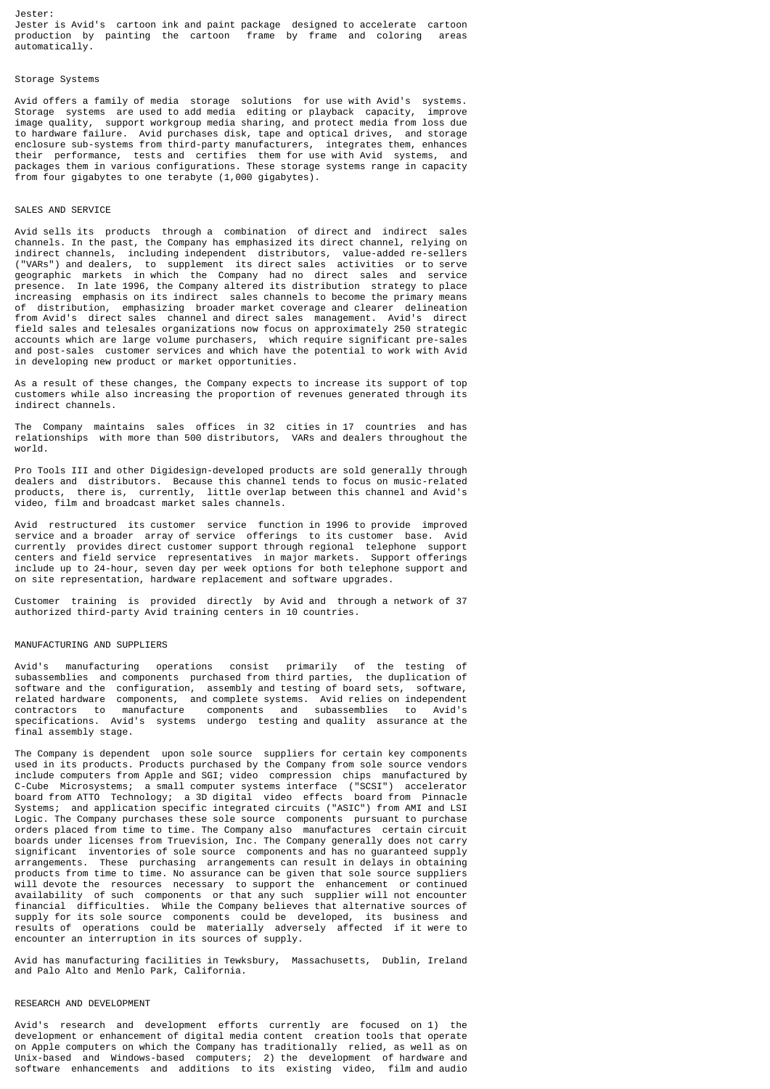### Storage Systems

Avid offers a family of media storage solutions for use with Avid's systems. Storage systems are used to add media editing or playback capacity, improve image quality, support workgroup media sharing, and protect media from loss due to hardware failure. Avid purchases disk, tape and optical drives, and storage enclosure sub-systems from third-party manufacturers, integrates them, enhances their performance, tests and certifies them for use with Avid systems, and packages them in various configurations. These storage systems range in capacity from four gigabytes to one terabyte (1,000 gigabytes).

### SALES AND SERVICE

Avid sells its products through a combination of direct and indirect sales channels. In the past, the Company has emphasized its direct channel, relying on indirect channels, including independent distributors, value-added re-sellers ("VARs") and dealers, to supplement its direct sales activities or to serve geographic markets in which the Company had no direct sales and service presence. In late 1996, the Company altered its distribution strategy to place increasing emphasis on its indirect sales channels to become the primary means of distribution, emphasizing broader market coverage and clearer delineation from Avid's direct sales channel and direct sales management. Avid's direct field sales and telesales organizations now focus on approximately 250 strategic accounts which are large volume purchasers, which require significant pre-sales and post-sales customer services and which have the potential to work with Avid in developing new product or market opportunities.

As a result of these changes, the Company expects to increase its support of top customers while also increasing the proportion of revenues generated through its indirect channels.

The Company maintains sales offices in 32 cities in 17 countries and has relationships with more than 500 distributors, VARs and dealers throughout the world.

Pro Tools III and other Digidesign-developed products are sold generally through dealers and distributors. Because this channel tends to focus on music-related products, there is, currently, little overlap between this channel and Avid's video, film and broadcast market sales channels.

Avid restructured its customer service function in 1996 to provide improved service and a broader array of service offerings to its customer base. Avid currently provides direct customer support through regional telephone support centers and field service representatives in major markets. Support offerings include up to 24-hour, seven day per week options for both telephone support and on site representation, hardware replacement and software upgrades.

Customer training is provided directly by Avid and through a network of 37 authorized third-party Avid training centers in 10 countries.

### MANUFACTURING AND SUPPLIERS

Avid's manufacturing operations consist primarily of the testing of subassemblies and components purchased from third parties, the duplication of software and the configuration, assembly and testing of board sets, software, related hardware components, and complete systems. Avid relies on independent contractors to manufacture components and subassemblies to Avid's specifications. Avid's systems undergo testing and quality assurance at the final assembly stage.

The Company is dependent upon sole source suppliers for certain key components used in its products. Products purchased by the Company from sole source vendors include computers from Apple and SGI; video compression chips manufactured by C-Cube Microsystems; a small computer systems interface ("SCSI") accelerator board from ATTO Technology; a 3D digital video effects board from Pinnacle Systems; and application specific integrated circuits ("ASIC") from AMI and LSI Logic. The Company purchases these sole source components pursuant to purchase orders placed from time to time. The Company also manufactures certain circuit boards under licenses from Truevision, Inc. The Company generally does not carry significant inventories of sole source components and has no guaranteed supply arrangements. These purchasing arrangements can result in delays in obtaining products from time to time. No assurance can be given that sole source suppliers will devote the resources necessary to support the enhancement or continued availability of such components or that any such supplier will not encounter financial difficulties. While the Company believes that alternative sources of supply for its sole source components could be developed, its business and results of operations could be materially adversely affected if it were to encounter an interruption in its sources of supply.

Avid has manufacturing facilities in Tewksbury, Massachusetts, Dublin, Ireland and Palo Alto and Menlo Park, California.

### RESEARCH AND DEVELOPMENT

Avid's research and development efforts currently are focused on 1) the development or enhancement of digital media content creation tools that operate on Apple computers on which the Company has traditionally relied, as well as on Unix-based and Windows-based computers; 2) the development of hardware and software enhancements and additions to its existing video, film and audio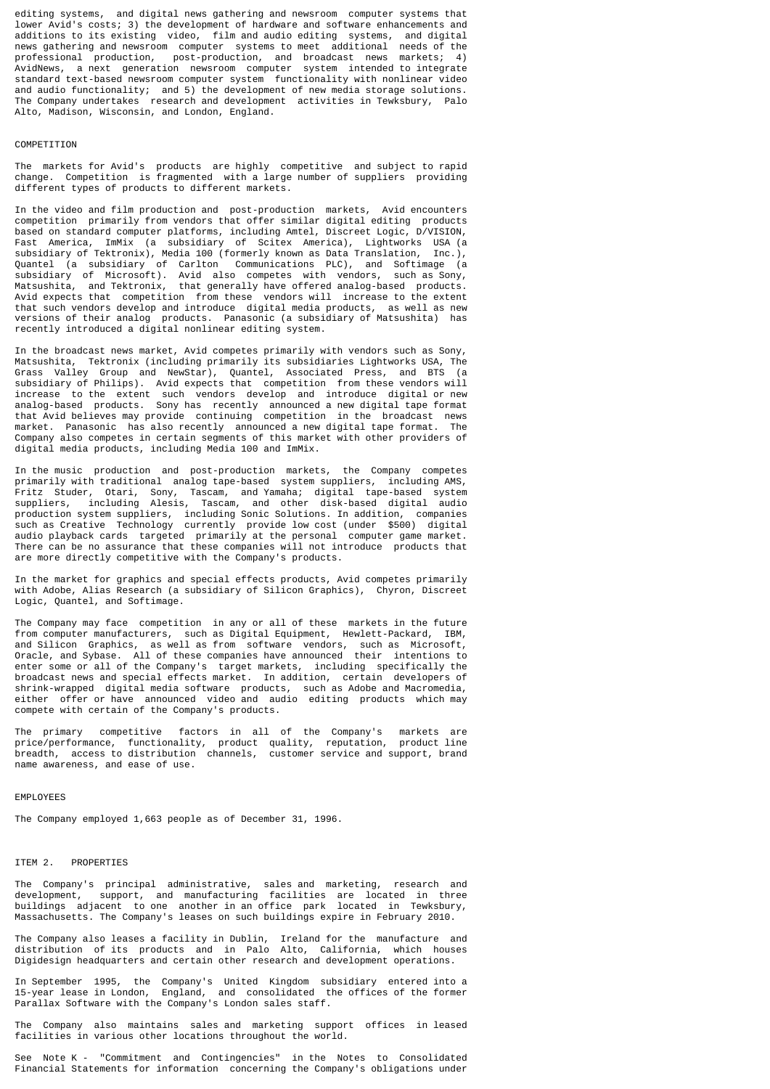editing systems, and digital news gathering and newsroom computer systems that lower Avid's costs; 3) the development of hardware and software enhancements and additions to its existing video, film and audio editing systems, and digital news gathering and newsroom computer systems to meet additional needs of the professional production, post-production, and broadcast news markets; 4) AvidNews, a next generation newsroom computer system intended to integrate standard text-based newsroom computer system functionality with nonlinear video and audio functionality; and 5) the development of new media storage solutions. The Company undertakes research and development activities in Tewksbury, Palo Alto, Madison, Wisconsin, and London, England.

#### COMPETITION

The markets for Avid's products are highly competitive and subject to rapid change. Competition is fragmented with a large number of suppliers providing different types of products to different markets.

In the video and film production and post-production markets, Avid encounters competition primarily from vendors that offer similar digital editing products based on standard computer platforms, including Amtel, Discreet Logic, D/VISION, Fast America, ImMix (a subsidiary of Scitex America), Lightworks USA (a subsidiary of Tektronix), Media 100 (formerly known as Data Translation, Inc.), Quantel (a subsidiary of Carlton Communications PLC), and Softimage (a subsidiary of Microsoft). Avid also competes with vendors, such as Sony, Matsushita, and Tektronix, that generally have offered analog-based products. Avid expects that competition from these vendors will increase to the extent that such vendors develop and introduce digital media products, as well as new versions of their analog products. Panasonic (a subsidiary of Matsushita) has recently introduced a digital nonlinear editing system.

In the broadcast news market, Avid competes primarily with vendors such as Sony, Matsushita, Tektronix (including primarily its subsidiaries Lightworks USA, The Grass Valley Group and NewStar), Quantel, Associated Press, and BTS (a subsidiary of Philips). Avid expects that competition from these vendors will increase to the extent such vendors develop and introduce digital or new analog-based products. Sony has recently announced a new digital tape format that Avid believes may provide continuing competition in the broadcast news market. Panasonic has also recently announced a new digital tape format. The Company also competes in certain segments of this market with other providers of digital media products, including Media 100 and ImMix.

In the music production and post-production markets, the Company competes primarily with traditional analog tape-based system suppliers, including AMS, Fritz Studer, Otari, Sony, Tascam, and Yamaha; digital tape-based system suppliers, including Alesis, Tascam, and other disk-based digital audio production system suppliers, including Sonic Solutions. In addition, companies such as Creative Technology currently provide low cost (under \$500) digital audio playback cards targeted primarily at the personal computer game market. There can be no assurance that these companies will not introduce products that are more directly competitive with the Company's products.

In the market for graphics and special effects products, Avid competes primarily with Adobe, Alias Research (a subsidiary of Silicon Graphics), Chyron, Discreet Logic, Quantel, and Softimage.

The Company may face competition in any or all of these markets in the future from computer manufacturers, such as Digital Equipment, Hewlett-Packard, IBM, and Silicon Graphics, as well as from software vendors, such as Microsoft, Oracle, and Sybase. All of these companies have announced their intentions to enter some or all of the Company's target markets, including specifically the broadcast news and special effects market. In addition, certain developers of shrink-wrapped digital media software products, such as Adobe and Macromedia, either offer or have announced video and audio editing products which may compete with certain of the Company's products.

The primary competitive factors in all of the Company's markets are price/performance, functionality, product quality, reputation, product line breadth, access to distribution channels, customer service and support, brand name awareness, and ease of use.

### EMPLOYEES

The Company employed 1,663 people as of December 31, 1996.

### ITEM 2. PROPERTIES

The Company's principal administrative, sales and marketing, research and development, support, and manufacturing facilities are located in three buildings adjacent to one another in an office park located in Tewksbury, Massachusetts. The Company's leases on such buildings expire in February 2010.

The Company also leases a facility in Dublin, Ireland for the manufacture and distribution of its products and in Palo Alto, California, which houses Digidesign headquarters and certain other research and development operations.

In September 1995, the Company's United Kingdom subsidiary entered into a 15-year lease in London, England, and consolidated the offices of the former Parallax Software with the Company's London sales staff.

The Company also maintains sales and marketing support offices in leased facilities in various other locations throughout the world.

See Note K - "Commitment and Contingencies" in the Notes to Consolidated Financial Statements for information concerning the Company's obligations under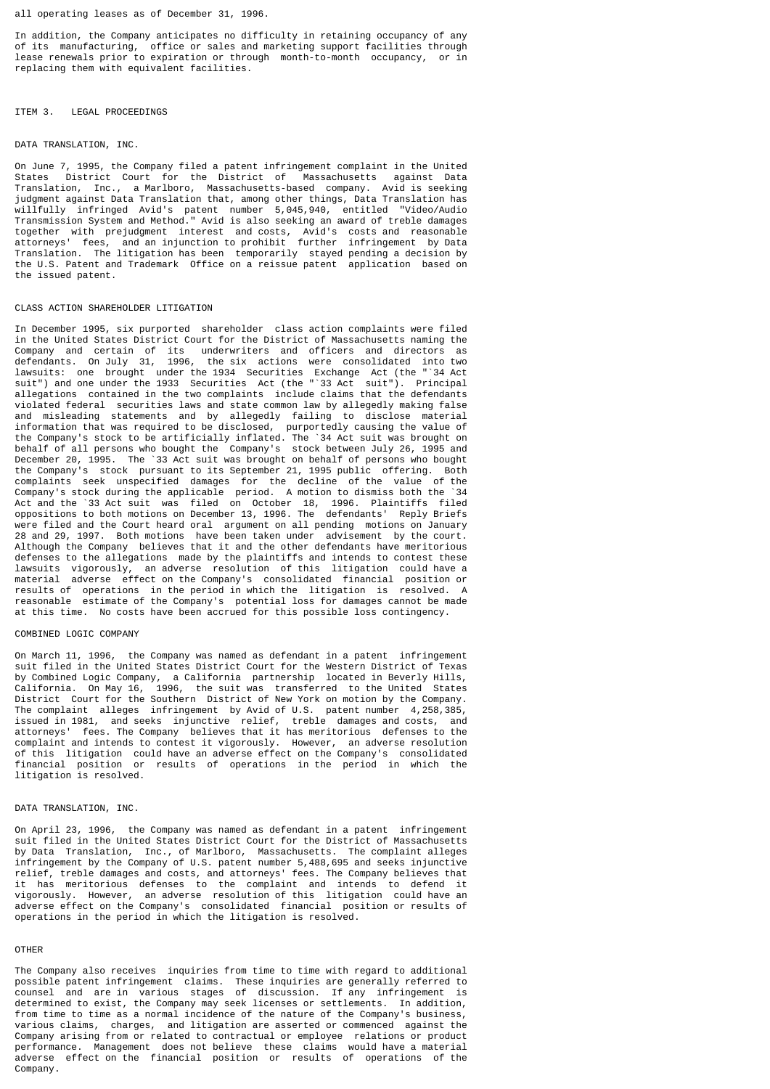all operating leases as of December 31, 1996.

In addition, the Company anticipates no difficulty in retaining occupancy of any of its manufacturing, office or sales and marketing support facilities through lease renewals prior to expiration or through month-to-month occupancy, or in replacing them with equivalent facilities.

#### ITEM 3. LEGAL PROCEEDINGS

#### DATA TRANSLATION, INC.

On June 7, 1995, the Company filed a patent infringement complaint in the United<br>States District Court for the District of Massachusetts against Data District Court for the District of Massachusetts against Data Translation, Inc., a Marlboro, Massachusetts-based company. Avid is seeking judgment against Data Translation that, among other things, Data Translation has willfully infringed Avid's patent number 5,045,940, entitled "Video/Audio Transmission System and Method." Avid is also seeking an award of treble damages together with prejudgment interest and costs, Avid's costs and reasonable attorneys' fees, and an injunction to prohibit further infringement by Data Translation. The litigation has been temporarily stayed pending a decision by the U.S. Patent and Trademark Office on a reissue patent application based on the issued patent.

#### CLASS ACTION SHAREHOLDER LITIGATION

In December 1995, six purported shareholder class action complaints were filed in the United States District Court for the District of Massachusetts naming the Company and certain of its underwriters and officers and directors as defendants. On July 31, 1996, the six actions were consolidated into two lawsuits: one brought under the 1934 Securities Exchange Act (the "`34 Act suit") and one under the 1933 Securities Act (the "`33 Act suit"). Principal allegations contained in the two complaints include claims that the defendants violated federal securities laws and state common law by allegedly making false and misleading statements and by allegedly failing to disclose material information that was required to be disclosed, purportedly causing the value of the Company's stock to be artificially inflated. The `34 Act suit was brought on behalf of all persons who bought the Company's stock between July 26, 1995 and December 20, 1995. The `33 Act suit was brought on behalf of persons who bought the Company's stock pursuant to its September 21, 1995 public offering. Both complaints seek unspecified damages for the decline of the value of the Company's stock during the applicable period. A motion to dismiss both the `34 Act and the `33 Act suit was filed on October 18, 1996. Plaintiffs filed oppositions to both motions on December 13, 1996. The defendants' Reply Briefs were filed and the Court heard oral argument on all pending motions on January 28 and 29, 1997. Both motions have been taken under advisement by the court. Although the Company believes that it and the other defendants have meritorious defenses to the allegations made by the plaintiffs and intends to contest these lawsuits vigorously, an adverse resolution of this litigation could have a material adverse effect on the Company's consolidated financial position or results of operations in the period in which the litigation is resolved. A reasonable estimate of the Company's potential loss for damages cannot be made at this time. No costs have been accrued for this possible loss contingency.

#### COMBINED LOGIC COMPANY

On March 11, 1996, the Company was named as defendant in a patent infringement suit filed in the United States District Court for the Western District of Texas by Combined Logic Company, a California partnership located in Beverly Hills, California. On May 16, 1996, the suit was transferred to the United States District Court for the Southern District of New York on motion by the Company. The complaint alleges infringement by Avid of U.S. patent number 4,258,385, issued in 1981, and seeks injunctive relief, treble damages and costs, and attorneys' fees. The Company believes that it has meritorious defenses to the complaint and intends to contest it vigorously. However, an adverse resolution of this litigation could have an adverse effect on the Company's consolidated financial position or results of operations in the period in which the litigation is resolved.

### DATA TRANSLATION, INC.

On April 23, 1996, the Company was named as defendant in a patent infringement suit filed in the United States District Court for the District of Massachusetts by Data Translation, Inc., of Marlboro, Massachusetts. The complaint alleges infringement by the Company of U.S. patent number 5,488,695 and seeks injunctive relief, treble damages and costs, and attorneys' fees. The Company believes that it has meritorious defenses to the complaint and intends to defend it vigorously. However, an adverse resolution of this litigation could have an adverse effect on the Company's consolidated financial position or results of operations in the period in which the litigation is resolved.

### OTHER

The Company also receives inquiries from time to time with regard to additional possible patent infringement claims. These inquiries are generally referred to counsel and are in various stages of discussion. If any infringement is determined to exist, the Company may seek licenses or settlements. In addition, from time to time as a normal incidence of the nature of the Company's business, various claims, charges, and litigation are asserted or commenced against the Company arising from or related to contractual or employee relations or product performance. Management does not believe these claims would have a material adverse effect on the financial position or results of operations of the Company.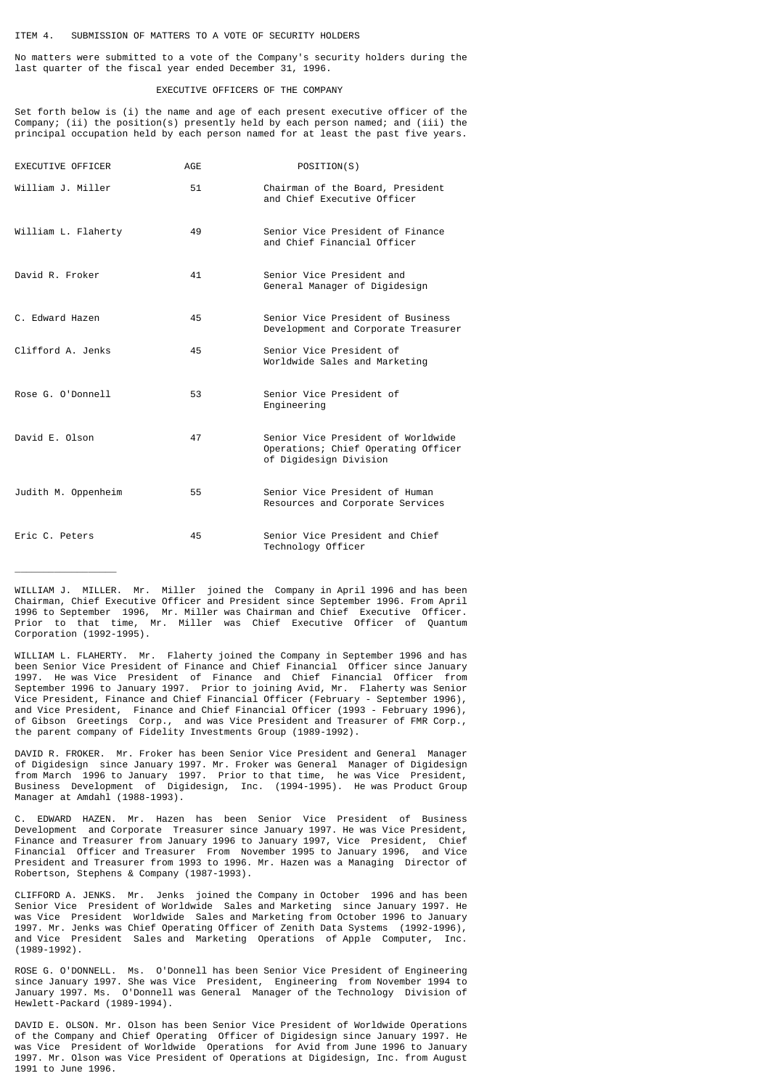No matters were submitted to a vote of the Company's security holders during the last quarter of the fiscal year ended December 31, 1996.

### EXECUTIVE OFFICERS OF THE COMPANY

Set forth below is (i) the name and age of each present executive officer of the Company; (ii) the position(s) presently held by each person named; and (iii) the principal occupation held by each person named for at least the past five years.

| EXECUTIVE OFFICER   | AGE | POSITION(S)                                                                                         |
|---------------------|-----|-----------------------------------------------------------------------------------------------------|
| William J. Miller   | 51  | Chairman of the Board, President<br>and Chief Executive Officer                                     |
| William L. Flaherty | 49  | Senior Vice President of Finance<br>and Chief Financial Officer                                     |
| David R. Froker     | 41  | Senior Vice President and<br>General Manager of Digidesign                                          |
| C. Edward Hazen     | 45  | Senior Vice President of Business<br>Development and Corporate Treasurer                            |
| Clifford A. Jenks   | 45  | Senior Vice President of<br>Worldwide Sales and Marketing                                           |
| Rose G. O'Donnell   | 53  | Senior Vice President of<br>Engineering                                                             |
| David E. Olson      | 47  | Senior Vice President of Worldwide<br>Operations; Chief Operating Officer<br>of Digidesign Division |
| Judith M. Oppenheim | 55  | Senior Vice President of Human<br>Resources and Corporate Services                                  |
| Eric C. Peters      | 45  | Senior Vice President and Chief<br>Technology Officer                                               |

WILLIAM J. MILLER. Mr. Miller joined the Company in April 1996 and has been Chairman, Chief Executive Officer and President since September 1996. From April 1996 to September 1996, Mr. Miller was Chairman and Chief Executive Officer. Prior to that time, Mr. Miller was Chief Executive Officer of Quantum Corporation (1992-1995).

 $\overline{\phantom{a}}$  , where  $\overline{\phantom{a}}$ 

WILLIAM L. FLAHERTY. Mr. Flaherty joined the Company in September 1996 and has been Senior Vice President of Finance and Chief Financial Officer since January 1997. He was Vice President of Finance and Chief Financial Officer from September 1996 to January 1997. Prior to joining Avid, Mr. Flaherty was Senior Vice President, Finance and Chief Financial Officer (February - September 1996), and Vice President, Finance and Chief Financial Officer (1993 - February 1996), of Gibson Greetings Corp., and was Vice President and Treasurer of FMR Corp., the parent company of Fidelity Investments Group (1989-1992).

DAVID R. FROKER. Mr. Froker has been Senior Vice President and General Manager of Digidesign since January 1997. Mr. Froker was General Manager of Digidesign from March 1996 to January 1997. Prior to that time, he was Vice President, Business Development of Digidesign, Inc. (1994-1995). He was Product Group Manager at Amdahl (1988-1993).

C. EDWARD HAZEN. Mr. Hazen has been Senior Vice President of Business Development and Corporate Treasurer since January 1997. He was Vice President, Finance and Treasurer from January 1996 to January 1997, Vice President, Chief Financial Officer and Treasurer From November 1995 to January 1996, and Vice President and Treasurer from 1993 to 1996. Mr. Hazen was a Managing Director of Robertson, Stephens & Company (1987-1993).

CLIFFORD A. JENKS. Mr. Jenks joined the Company in October 1996 and has been Senior Vice President of Worldwide Sales and Marketing since January 1997. He was Vice President Worldwide Sales and Marketing from October 1996 to January 1997. Mr. Jenks was Chief Operating Officer of Zenith Data Systems (1992-1996), and Vice President Sales and Marketing Operations of Apple Computer, Inc. (1989-1992).

ROSE G. O'DONNELL. Ms. O'Donnell has been Senior Vice President of Engineering since January 1997. She was Vice President, Engineering from November 1994 to January 1997. Ms. O'Donnell was General Manager of the Technology Division of Hewlett-Packard (1989-1994).

DAVID E. OLSON. Mr. Olson has been Senior Vice President of Worldwide Operations of the Company and Chief Operating Officer of Digidesign since January 1997. He was Vice President of Worldwide Operations for Avid from June 1996 to January 1997. Mr. Olson was Vice President of Operations at Digidesign, Inc. from August 1991 to June 1996.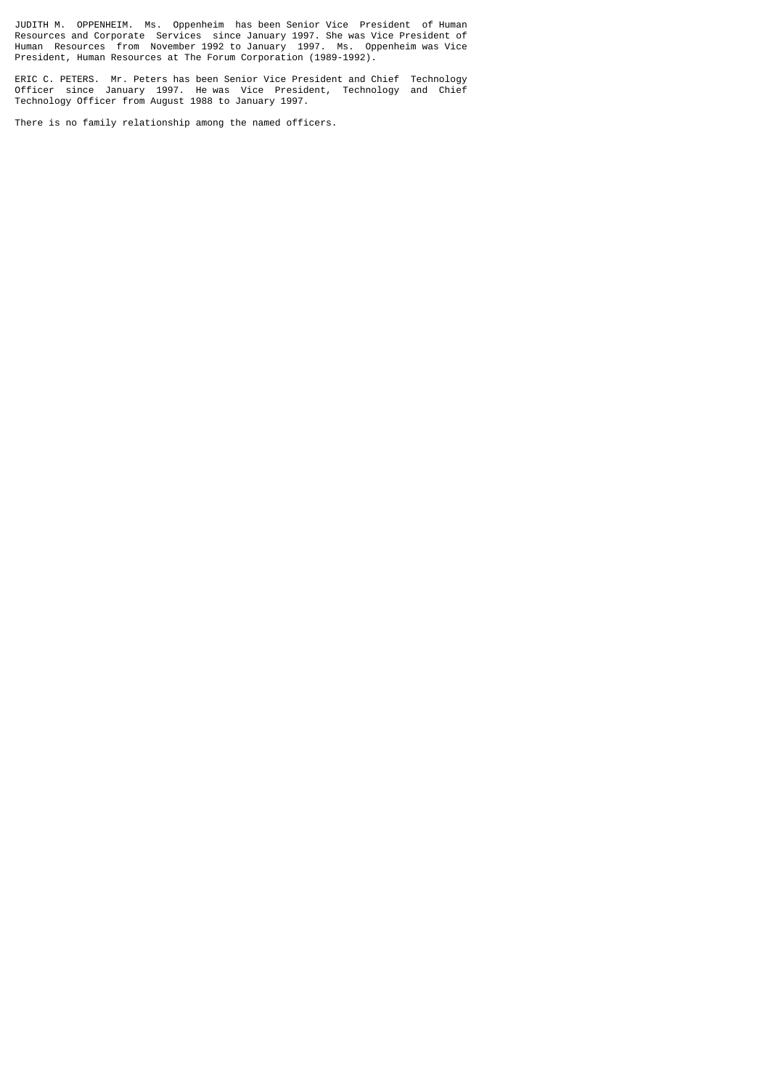JUDITH M. OPPENHEIM. Ms. Oppenheim has been Senior Vice President of Human Resources and Corporate Services since January 1997. She was Vice President of Human Resources from November 1992 to January 1997. Ms. Oppenheim was Vice President, Human Resources at The Forum Corporation (1989-1992).

ERIC C. PETERS. Mr. Peters has been Senior Vice President and Chief Technology Officer since January 1997. He was Vice President, Technology and Chief Technology Officer from August 1988 to January 1997.

There is no family relationship among the named officers.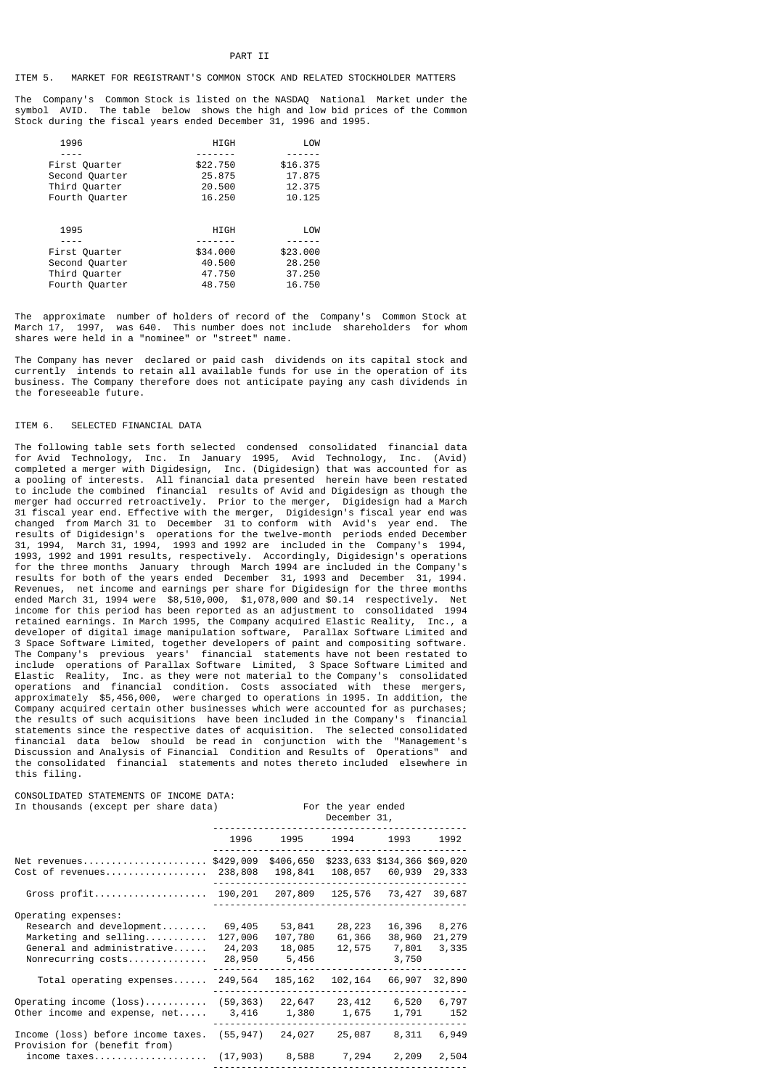# ITEM 5. MARKET FOR REGISTRANT'S COMMON STOCK AND RELATED STOCKHOLDER MATTERS

The Company's Common Stock is listed on the NASDAQ National Market under the symbol AVID. The table below shows the high and low bid prices of the Common Stock during the fiscal years ended December 31, 1996 and 1995.

| 1996           | HIGH     | LOW      |
|----------------|----------|----------|
|                |          |          |
| First Quarter  | \$22,750 | \$16,375 |
| Second Quarter | 25.875   | 17.875   |
| Third Quarter  | 20.500   | 12.375   |
| Fourth Quarter | 16.250   | 10.125   |
| 1995           | HIGH     | LOW      |
|                |          |          |
| First Quarter  | \$34,000 | \$23,000 |
| Second Quarter | 40.500   | 28,250   |
| Third Quarter  | 47.750   | 37.250   |
| Fourth Quarter | 48.750   | 16.750   |

The approximate number of holders of record of the Company's Common Stock at March 17, 1997, was 640. This number does not include shareholders for whom shares were held in a "nominee" or "street" name.

The Company has never declared or paid cash dividends on its capital stock and currently intends to retain all available funds for use in the operation of its business. The Company therefore does not anticipate paying any cash dividends in the foreseeable future.

#### ITEM 6. SELECTED FINANCIAL DATA

The following table sets forth selected condensed consolidated financial data for Avid Technology, Inc. In January 1995, Avid Technology, Inc. (Avid) completed a merger with Digidesign, Inc. (Digidesign) that was accounted for as a pooling of interests. All financial data presented herein have been restated to include the combined financial results of Avid and Digidesign as though the merger had occurred retroactively. Prior to the merger, Digidesign had a March 31 fiscal year end. Effective with the merger, Digidesign's fiscal year end was changed from March 31 to December 31 to conform with Avid's year end. The results of Digidesign's operations for the twelve-month periods ended December 31, 1994, March 31, 1994, 1993 and 1992 are included in the Company's 1994, 1993, 1992 and 1991 results, respectively. Accordingly, Digidesign's operations for the three months January through March 1994 are included in the Company's results for both of the years ended December 31, 1993 and December 31, 1994. Revenues, net income and earnings per share for Digidesign for the three months ended March 31, 1994 were \$8,510,000, \$1,078,000 and \$0.14 respectively. Net income for this period has been reported as an adjustment to consolidated 1994 retained earnings. In March 1995, the Company acquired Elastic Reality, Inc., a developer of digital image manipulation software, Parallax Software Limited and 3 Space Software Limited, together developers of paint and compositing software. The Company's previous years' financial statements have not been restated to include operations of Parallax Software Limited, 3 Space Software Limited and Elastic Reality, Inc. as they were not material to the Company's consolidated operations and financial condition. Costs associated with these mergers, approximately \$5,456,000, were charged to operations in 1995. In addition, the Company acquired certain other businesses which were accounted for as purchases; the results of such acquisitions have been included in the Company's financial statements since the respective dates of acquisition. The selected consolidated financial data below should be read in conjunction with the "Management's Discussion and Analysis of Financial Condition and Results of Onerations" and Discussion and Analysis of Financial Condition and Results of Operations" the consolidated financial statements and notes thereto included elsewhere in this filing.

CONSOLIDATED STATEMENTS OF INCOME DATA: In thousands (except per share data) For the year ended

|                                                                                                                                |                                       |                                      | December 31,               |                                    |                          |
|--------------------------------------------------------------------------------------------------------------------------------|---------------------------------------|--------------------------------------|----------------------------|------------------------------------|--------------------------|
|                                                                                                                                | 1996                                  | 1995                                 | 1994                       | 1993                               | 1992                     |
| Net revenues<br>Cost of revenues                                                                                               | \$429,009<br>238,808                  | \$406,650<br>198,841                 | 108,057                    | \$233,633 \$134,366<br>60,939      | \$69,020<br>29,333       |
| Gross profit                                                                                                                   | 190,201                               | 207,809                              | 125,576                    | 73,427                             | 39,687                   |
| Operating expenses:<br>$Research$ and development<br>Marketing and selling<br>General and administrative<br>Nonrecurring costs | 69,405<br>127,006<br>24,203<br>28,950 | 53,841<br>107,780<br>18,085<br>5,456 | 28,223<br>61,366<br>12,575 | 16,396<br>38,960<br>7,801<br>3,750 | 8,276<br>21,279<br>3,335 |
| $Total$ operating expenses                                                                                                     | 249,564                               | 185, 162                             | 102,164                    | 66,907                             | 32,890                   |
| Operating income $(\text{loss})$<br>Other income and expense, $net$                                                            | (59, 363)<br>3,416                    | 22,647<br>1,380                      | 23,412<br>1,675            | 6,520<br>1,791                     | 6,797<br>152             |
| Income (loss) before income taxes.<br>Provision for (benefit from)                                                             | (55, 947)                             | 24,027                               | 25,087                     | 8,311                              | 6,949                    |
| income taxes                                                                                                                   | (17, 903)                             | 8,588                                | 7,294                      | 2,209                              | 2,504                    |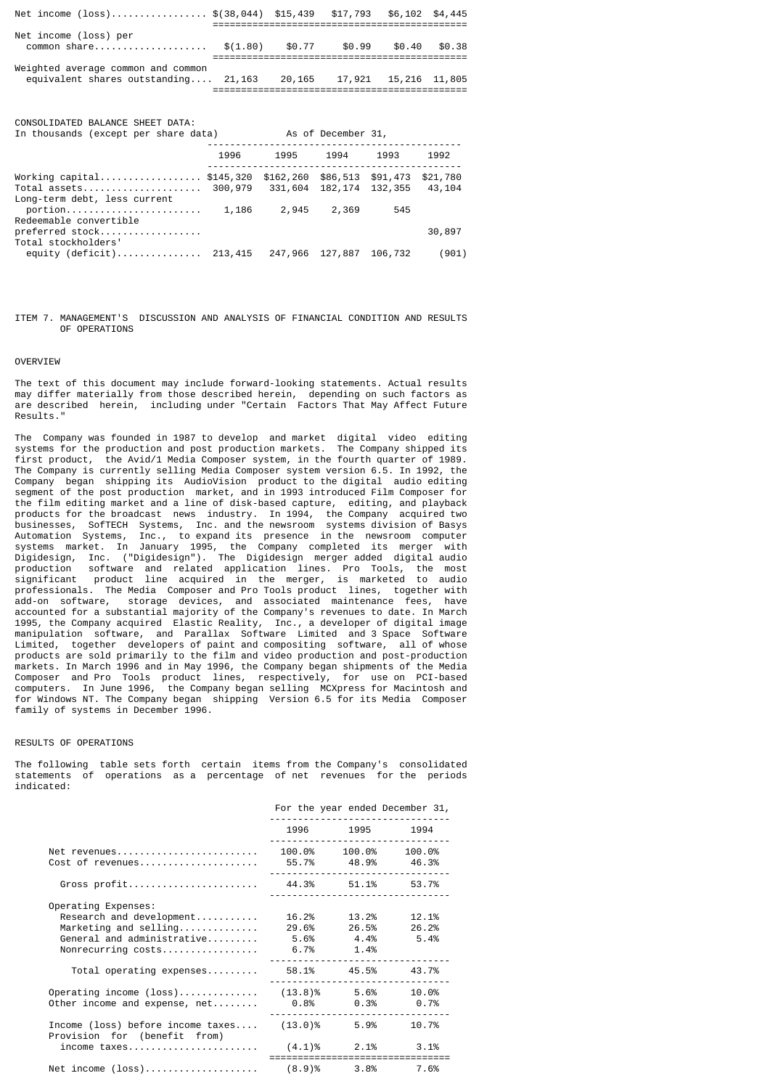| Net income (loss) \$(38,044) \$15,439 \$17,793                             |          |        |        | $$6.102$ $$4.445$      |        |
|----------------------------------------------------------------------------|----------|--------|--------|------------------------|--------|
| Net income (loss) per<br>common share                                      | \$(1.80) | \$0.77 | \$0.99 | \$0.40                 | \$0.38 |
| Weighted average common and common<br>equivalent shares outstanding 21,163 |          | 20,165 |        | 17,921  15,216  11,805 |        |

CONSOLIDATED BALANCE SHEET DATA:

| In thousands (except per share data)                                      | As of December 31, |                                        |                   |         |                    |
|---------------------------------------------------------------------------|--------------------|----------------------------------------|-------------------|---------|--------------------|
|                                                                           | 1996               | 1995                                   | 1994              | 1993    | 1992               |
| Working capital \$145,320<br>Total assets<br>Long-term debt, less current | 300,979            | \$162,260 \$86,513 \$91,473<br>331,604 | 182, 174 132, 355 |         | \$21,780<br>43,104 |
| Redeemable convertible<br>preferred stock<br>Total stockholders'          | 1,186              | 2,945                                  | 2,369             | 545     | 30,897             |
| equity (deficit) 213,415                                                  |                    | 247,966 127,887                        |                   | 106,732 | (901)              |

ITEM 7. MANAGEMENT'S DISCUSSION AND ANALYSIS OF FINANCIAL CONDITION AND RESULTS OF OPERATIONS

### OVERVIEW

The text of this document may include forward-looking statements. Actual results may differ materially from those described herein, depending on such factors as are described herein, including under "Certain Factors That May Affect Future Results."

The Company was founded in 1987 to develop and market digital video editing systems for the production and post production markets. The Company shipped its first product, the Avid/1 Media Composer system, in the fourth quarter of 1989. The Company is currently selling Media Composer system version 6.5. In 1992, the Company began shipping its AudioVision product to the digital audio editing segment of the post production market, and in 1993 introduced Film Composer for the film editing market and a line of disk-based capture, editing, and playback products for the broadcast news industry. In 1994, the Company acquired two businesses, SofTECH Systems, Inc. and the newsroom systems division of Basys Automation Systems, Inc., to expand its presence in the newsroom computer systems market. In January 1995, the Company completed its merger with Digidesign, Inc. ("Digidesign"). The Digidesign merger added digital audio production software and related application lines. Pro Tools, the most significant product line acquired in the merger, is marketed to audio professionals. The Media Composer and Pro Tools product lines, together with add-on software, storage devices, and associated maintenance fees, have accounted for a substantial majority of the Company's revenues to date. In March 1995, the Company acquired Elastic Reality, Inc., a developer of digital image manipulation software, and Parallax Software Limited and 3 Space Software Limited, together developers of paint and compositing software, all of whose products are sold primarily to the film and video production and post-production markets. In March 1996 and in May 1996, the Company began shipments of the Media Composer and Pro Tools product lines, respectively, for use on PCI-based computers. In June 1996, the Company began selling MCXpress for Macintosh and for Windows NT. The Company began shipping Version 6.5 for its Media Composer family of systems in December 1996.

## RESULTS OF OPERATIONS

The following table sets forth certain items from the Company's consolidated statements of operations as a percentage of net revenues for the periods indicated:

|                                                                                                                                     |                             |                            | For the year ended December 31,    |
|-------------------------------------------------------------------------------------------------------------------------------------|-----------------------------|----------------------------|------------------------------------|
|                                                                                                                                     |                             |                            | 1996 1995 1994<br><u></u>          |
| Net revenues<br>Cost of revenues                                                                                                    | 55.7% 48.9% 46.3%           |                            | 100.0% 100.0% 100.0%<br><u></u>    |
|                                                                                                                                     |                             |                            |                                    |
| Operating Expenses:<br>Research and development<br>$M$ arketing and selling<br>General and administrative<br>Nonrecurring costs     | 5.6% 4.4% 5.4%<br>6.7% 1.4% | 16.2% 13.2%<br>29.6% 26.5% | 12.1%<br>26.2%                     |
| $Total$ operating expenses                                                                                                          | 58.1% 45.5% 43.7%           | .                          |                                    |
| Operating income $(loss)$ $(13.8)$ % 5.6% 10.0%<br>Other income and expense, net                                                    | $0.8\%$ 0.3% 0.7%           |                            |                                    |
| Income (loss) before income $\texttt{taxes} \dots$ (13.0)% 5.9%<br>Provision for (benefit from)<br>income taxes $(4.1)$ % 2.1% 3.1% |                             |                            | 10.7%                              |
| Net income (loss) (8.9)% 3.8% 7.6%                                                                                                  |                             |                            | ---------------------------------- |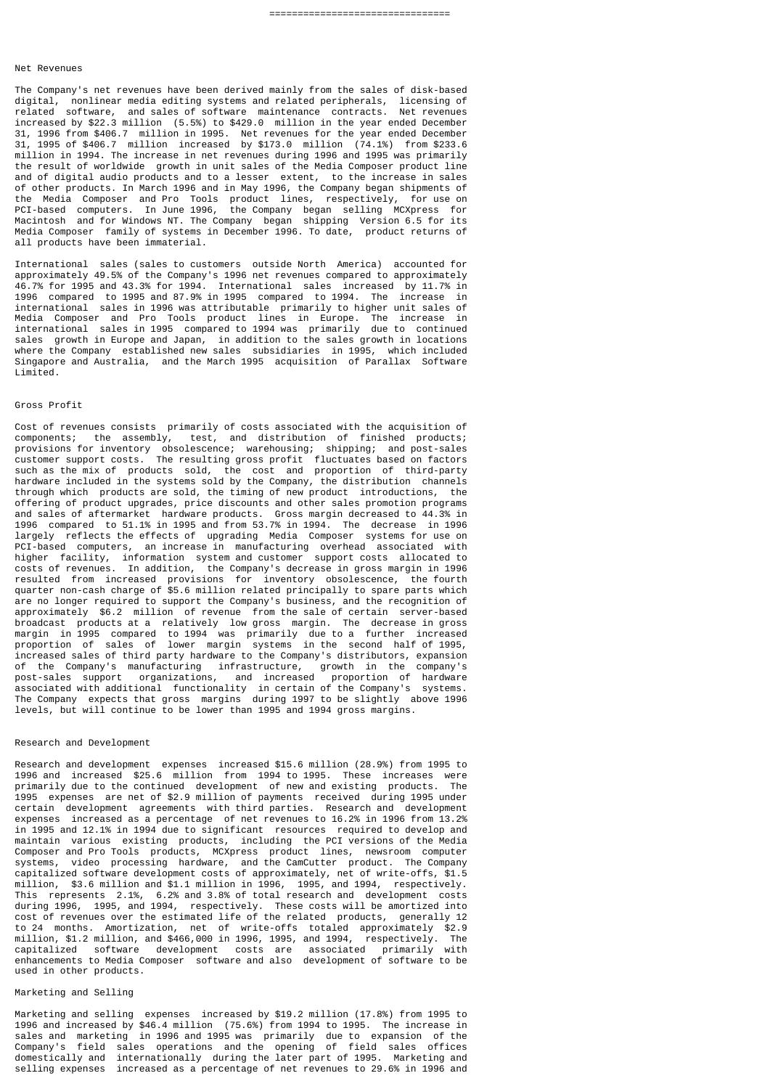#### Net Revenues

The Company's net revenues have been derived mainly from the sales of disk-based digital, nonlinear media editing systems and related peripherals, licensing of related software, and sales of software maintenance contracts. Net revenues increased by \$22.3 million (5.5%) to \$429.0 million in the year ended December 31, 1996 from \$406.7 million in 1995. Net revenues for the year ended December 31, 1995 of \$406.7 million increased by \$173.0 million (74.1%) from \$233.6 million in 1994. The increase in net revenues during 1996 and 1995 was primarily the result of worldwide growth in unit sales of the Media Composer product line and of digital audio products and to a lesser extent, to the increase in sales of other products. In March 1996 and in May 1996, the Company began shipments of the Media Composer and Pro Tools product lines, respectively, for use on PCI-based computers. In June 1996, the Company began selling MCXpress for Macintosh and for Windows NT. The Company began shipping Version 6.5 for its Media Composer family of systems in December 1996. To date, product returns of all products have been immaterial.

International sales (sales to customers outside North America) accounted for approximately 49.5% of the Company's 1996 net revenues compared to approximately 46.7% for 1995 and 43.3% for 1994. International sales increased by 11.7% in 1996 compared to 1995 and 87.9% in 1995 compared to 1994. The increase in international sales in 1996 was attributable primarily to higher unit sales of Media Composer and Pro Tools product lines in Europe. The increase in international sales in 1995 compared to 1994 was primarily due to continued sales growth in Europe and Japan, in addition to the sales growth in locations where the Company established new sales subsidiaries in 1995, which included Singapore and Australia, and the March 1995 acquisition of Parallax Software Limited.

### Gross Profit

Cost of revenues consists primarily of costs associated with the acquisition of components; the assembly, test, and distribution of finished products; provisions for inventory obsolescence; warehousing; shipping; and post-sales customer support costs. The resulting gross profit fluctuates based on factors such as the mix of products sold, the cost and proportion of third-party hardware included in the systems sold by the Company, the distribution channels through which products are sold, the timing of new product introductions, the offering of product upgrades, price discounts and other sales promotion programs and sales of aftermarket hardware products. Gross margin decreased to 44.3% in 1996 compared to 51.1% in 1995 and from 53.7% in 1994. The decrease in 1996 largely reflects the effects of upgrading Media Composer systems for use on PCI-based computers, an increase in manufacturing overhead associated with higher facility, information system and customer support costs allocated to costs of revenues. In addition, the Company's decrease in gross margin in 1996 resulted from increased provisions for inventory obsolescence, the fourth quarter non-cash charge of \$5.6 million related principally to spare parts which are no longer required to support the Company's business, and the recognition of approximately \$6.2 million of revenue from the sale of certain server-based broadcast products at a relatively low gross margin. The decrease in gross margin in 1995 compared to 1994 was primarily due to a further increased proportion of sales of lower margin systems in the second half of 1995, increased sales of third party hardware to the Company's distributors, expansion of the Company's manufacturing infrastructure, growth in the company's post-sales support organizations, and increased proportion of hardware associated with additional functionality in certain of the Company's systems. The Company expects that gross margins during 1997 to be slightly above 1996 levels, but will continue to be lower than 1995 and 1994 gross margins.

### Research and Development

Research and development expenses increased \$15.6 million (28.9%) from 1995 to 1996 and increased \$25.6 million from 1994 to 1995. These increases were primarily due to the continued development of new and existing products. The 1995 expenses are net of \$2.9 million of payments received during 1995 under certain development agreements with third parties. Research and development expenses increased as a percentage of net revenues to 16.2% in 1996 from 13.2% in 1995 and 12.1% in 1994 due to significant resources required to develop and maintain various existing products, including the PCI versions of the Media Composer and Pro Tools products, MCXpress product lines, newsroom computer systems, video processing hardware, and the CamCutter product. The Company capitalized software development costs of approximately, net of write-offs, \$1.5 million, \$3.6 million and \$1.1 million in 1996, 1995, and 1994, respectively. This represents 2.1%, 6.2% and 3.8% of total research and development costs during 1996, 1995, and 1994, respectively. These costs will be amortized into cost of revenues over the estimated life of the related products, generally 12 to 24 months. Amortization, net of write-offs totaled approximately \$2.9 million, \$1.2 million, and \$466,000 in 1996, 1995, and 1994, respectively. The capitalized software development costs are associated primarily with enhancements to Media Composer software and also development of software to be used in other products.

#### Marketing and Selling

Marketing and selling expenses increased by \$19.2 million (17.8%) from 1995 to 1996 and increased by \$46.4 million (75.6%) from 1994 to 1995. The increase in sales and marketing in 1996 and 1995 was primarily due to expansion of the Company's field sales operations and the opening of field sales offices domestically and internationally during the later part of 1995. Marketing and selling expenses increased as a percentage of net revenues to 29.6% in 1996 and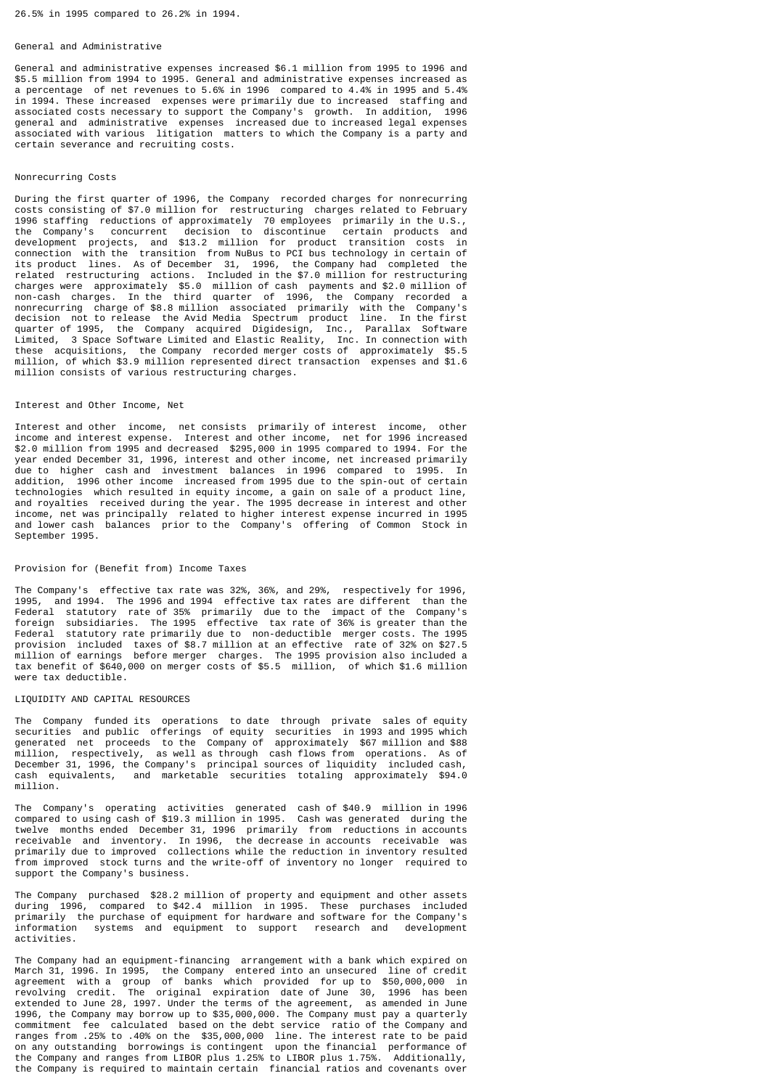### 26.5% in 1995 compared to 26.2% in 1994.

#### General and Administrative

General and administrative expenses increased \$6.1 million from 1995 to 1996 and \$5.5 million from 1994 to 1995. General and administrative expenses increased as a percentage of net revenues to 5.6% in 1996 compared to 4.4% in 1995 and 5.4% in 1994. These increased expenses were primarily due to increased staffing and associated costs necessary to support the Company's growth. In addition, 1996 general and administrative expenses increased due to increased legal expenses associated with various litigation matters to which the Company is a party and certain severance and recruiting costs.

### Nonrecurring Costs

During the first quarter of 1996, the Company recorded charges for nonrecurring costs consisting of \$7.0 million for restructuring charges related to February 1996 staffing reductions of approximately 70 employees primarily in the U.S., the Company's concurrent decision to discontinue certain products and development projects, and \$13.2 million for product transition costs in connection with the transition from NuBus to PCI bus technology in certain of its product lines. As of December 31, 1996, the Company had completed the related restructuring actions. Included in the \$7.0 million for restructuring charges were approximately \$5.0 million of cash payments and \$2.0 million of non-cash charges. In the third quarter of 1996, the Company recorded a nonrecurring charge of \$8.8 million associated primarily with the Company's decision not to release the Avid Media Spectrum product line. In the first quarter of 1995, the Company acquired Digidesign, Inc., Parallax Software Limited, 3 Space Software Limited and Elastic Reality, Inc. In connection with these acquisitions, the Company recorded merger costs of approximately \$5.5 million, of which \$3.9 million represented direct transaction expenses and \$1.6 million consists of various restructuring charges.

#### Interest and Other Income, Net

Interest and other income, net consists primarily of interest income, other income and interest expense. Interest and other income, net for 1996 increased \$2.0 million from 1995 and decreased \$295,000 in 1995 compared to 1994. For the year ended December 31, 1996, interest and other income, net increased primarily due to higher cash and investment balances in 1996 compared to 1995. In addition, 1996 other income increased from 1995 due to the spin-out of certain technologies which resulted in equity income, a gain on sale of a product line, and royalties received during the year. The 1995 decrease in interest and other income, net was principally related to higher interest expense incurred in 1995 and lower cash balances prior to the Company's offering of Common Stock in September 1995.

#### Provision for (Benefit from) Income Taxes

The Company's effective tax rate was 32%, 36%, and 29%, respectively for 1996, 1995, and 1994. The 1996 and 1994 effective tax rates are different than the Federal statutory rate of 35% primarily due to the impact of the Company's foreign subsidiaries. The 1995 effective tax rate of 36% is greater than the Federal statutory rate primarily due to non-deductible merger costs. The 1995 provision included taxes of \$8.7 million at an effective rate of 32% on \$27.5 million of earnings before merger charges. The 1995 provision also included a tax benefit of \$640,000 on merger costs of \$5.5 million, of which \$1.6 million were tax deductible.

#### LIQUIDITY AND CAPITAL RESOURCES

The Company funded its operations to date through private sales of equity securities and public offerings of equity securities in 1993 and 1995 which generated net proceeds to the Company of approximately \$67 million and \$88 million, respectively, as well as through cash flows from operations. As of December 31, 1996, the Company's principal sources of liquidity included cash, cash equivalents, and marketable securities totaling approximately \$94.0 and marketable securities totaling approximately \$94.0 million.

The Company's operating activities generated cash of \$40.9 million in 1996 compared to using cash of \$19.3 million in 1995. Cash was generated during the twelve months ended December 31, 1996 primarily from reductions in accounts receivable and inventory. In 1996, the decrease in accounts receivable was primarily due to improved collections while the reduction in inventory resulted from improved stock turns and the write-off of inventory no longer required to support the Company's business.

The Company purchased \$28.2 million of property and equipment and other assets during 1996, compared to \$42.4 million in 1995. These purchases included primarily the purchase of equipment for hardware and software for the Company's systems and equipment to support activities.

The Company had an equipment-financing arrangement with a bank which expired on March 31, 1996. In 1995, the Company entered into an unsecured line of credit agreement with a group of banks which provided for up to \$50,000,000 in revolving credit. The original expiration date of June 30, 1996 has been extended to June 28, 1997. Under the terms of the agreement, as amended in June 1996, the Company may borrow up to \$35,000,000. The Company must pay a quarterly commitment fee calculated based on the debt service ratio of the Company and ranges from .25% to .40% on the \$35,000,000 line. The interest rate to be paid on any outstanding borrowings is contingent upon the financial performance of the Company and ranges from LIBOR plus 1.25% to LIBOR plus 1.75%. Additionally, the Company is required to maintain certain financial ratios and covenants over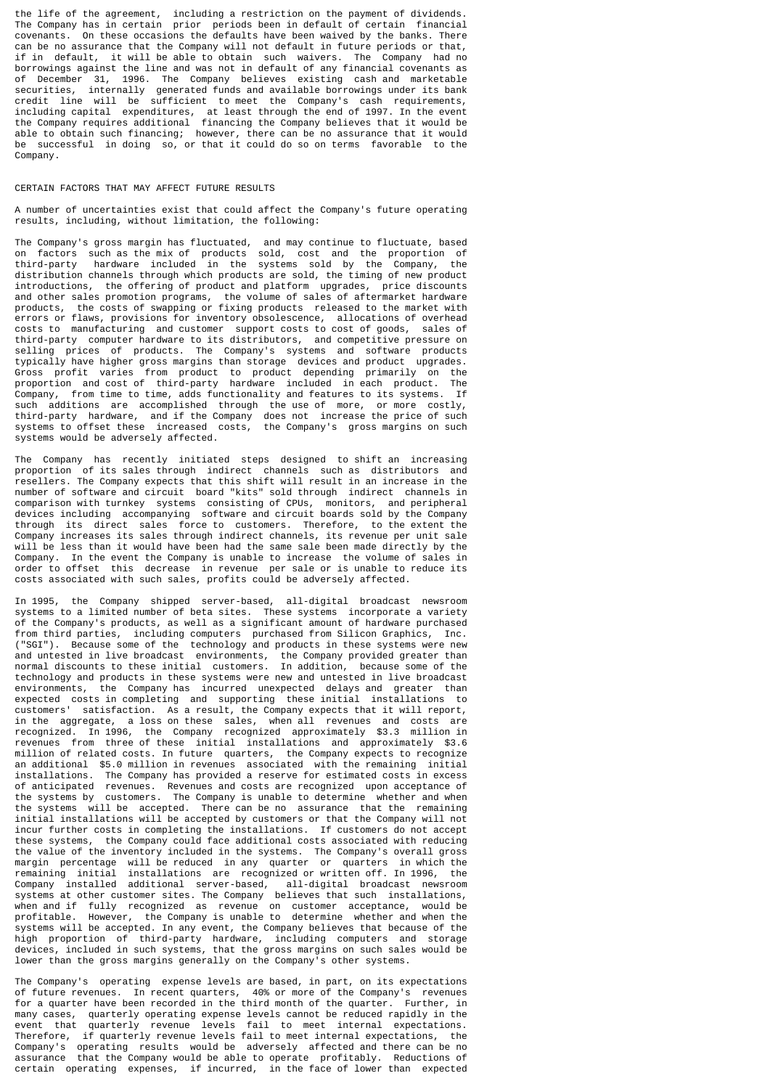the life of the agreement, including a restriction on the payment of dividends. The Company has in certain prior periods been in default of certain financial covenants. On these occasions the defaults have been waived by the banks. There can be no assurance that the Company will not default in future periods or that, if in default, it will be able to obtain such waivers. The Company had no borrowings against the line and was not in default of any financial covenants as of December 31, 1996. The Company believes existing cash and marketable securities, internally generated funds and available borrowings under its bank credit line will be sufficient to meet the Company's cash requirements, including capital expenditures, at least through the end of 1997. In the event the Company requires additional financing the Company believes that it would be able to obtain such financing; however, there can be no assurance that it would be successful in doing so, or that it could do so on terms favorable to the Company.

### CERTAIN FACTORS THAT MAY AFFECT FUTURE RESULTS

A number of uncertainties exist that could affect the Company's future operating results, including, without limitation, the following:

The Company's gross margin has fluctuated, and may continue to fluctuate, based on factors such as the mix of products sold, cost and the proportion of third-party hardware included in the systems sold by the Company, the distribution channels through which products are sold, the timing of new product introductions, the offering of product and platform upgrades, price discounts and other sales promotion programs, the volume of sales of aftermarket hardware products, the costs of swapping or fixing products released to the market with errors or flaws, provisions for inventory obsolescence, allocations of overhead costs to manufacturing and customer support costs to cost of goods, sales of third-party computer hardware to its distributors, and competitive pressure on selling prices of products. The Company's systems and software products typically have higher gross margins than storage devices and product upgrades. Gross profit varies from product to product depending primarily on the proportion and cost of third-party hardware included in each product. The Company, from time to time, adds functionality and features to its systems. If such additions are accomplished through the use of more, or more costly, third-party hardware, and if the Company does not increase the price of such systems to offset these increased costs, the Company's gross margins on such systems would be adversely affected.

The Company has recently initiated steps designed to shift an increasing proportion of its sales through indirect channels such as distributors and resellers. The Company expects that this shift will result in an increase in the number of software and circuit board "kits" sold through indirect channels in comparison with turnkey systems consisting of CPUs, monitors, and peripheral devices including accompanying software and circuit boards sold by the Company through its direct sales force to customers. Therefore, to the extent the Company increases its sales through indirect channels, its revenue per unit sale will be less than it would have been had the same sale been made directly by the Company. In the event the Company is unable to increase the volume of sales in order to offset this decrease in revenue per sale or is unable to reduce its costs associated with such sales, profits could be adversely affected.

In 1995, the Company shipped server-based, all-digital broadcast newsroom systems to a limited number of beta sites. These systems incorporate a variety of the Company's products, as well as a significant amount of hardware purchased from third parties, including computers purchased from Silicon Graphics, Inc. ("SGI"). Because some of the technology and products in these systems were new and untested in live broadcast environments, the Company provided greater than normal discounts to these initial customers. In addition, because some of the technology and products in these systems were new and untested in live broadcast environments, the Company has incurred unexpected delays and greater than expected costs in completing and supporting these initial installations to customers' satisfaction. As a result, the Company expects that it will report, in the aggregate, a loss on these sales, when all revenues and costs are recognized. In 1996, the Company recognized approximately \$3.3 million in revenues from three of these initial installations and approximately \$3.6 million of related costs. In future quarters, the Company expects to recognize an additional \$5.0 million in revenues associated with the remaining initial installations. The Company has provided a reserve for estimated costs in excess of anticipated revenues. Revenues and costs are recognized upon acceptance of the systems by customers. The Company is unable to determine whether and when the systems will be accepted. There can be no assurance that the remaining initial installations will be accepted by customers or that the Company will not incur further costs in completing the installations. If customers do not accept these systems, the Company could face additional costs associated with reducing the value of the inventory included in the systems. The Company's overall gross margin percentage will be reduced in any quarter or quarters in which the remaining initial installations are recognized or written off. In 1996, the Company installed additional server-based, all-digital broadcast newsroom systems at other customer sites. The Company believes that such installations, when and if fully recognized as revenue on customer acceptance, would be profitable. However, the Company is unable to determine whether and when the systems will be accepted. In any event, the Company believes that because of the high proportion of third-party hardware, including computers and storage devices, included in such systems, that the gross margins on such sales would be lower than the gross margins generally on the Company's other systems.

The Company's operating expense levels are based, in part, on its expectations of future revenues. In recent quarters, 40% or more of the Company's revenues for a quarter have been recorded in the third month of the quarter. Further, in many cases, quarterly operating expense levels cannot be reduced rapidly in the event that quarterly revenue levels fail to meet internal expectations. Therefore, if quarterly revenue levels fail to meet internal expectations, the Company's operating results would be adversely affected and there can be no assurance that the Company would be able to operate profitably. Reductions of certain operating expenses, if incurred, in the face of lower than expected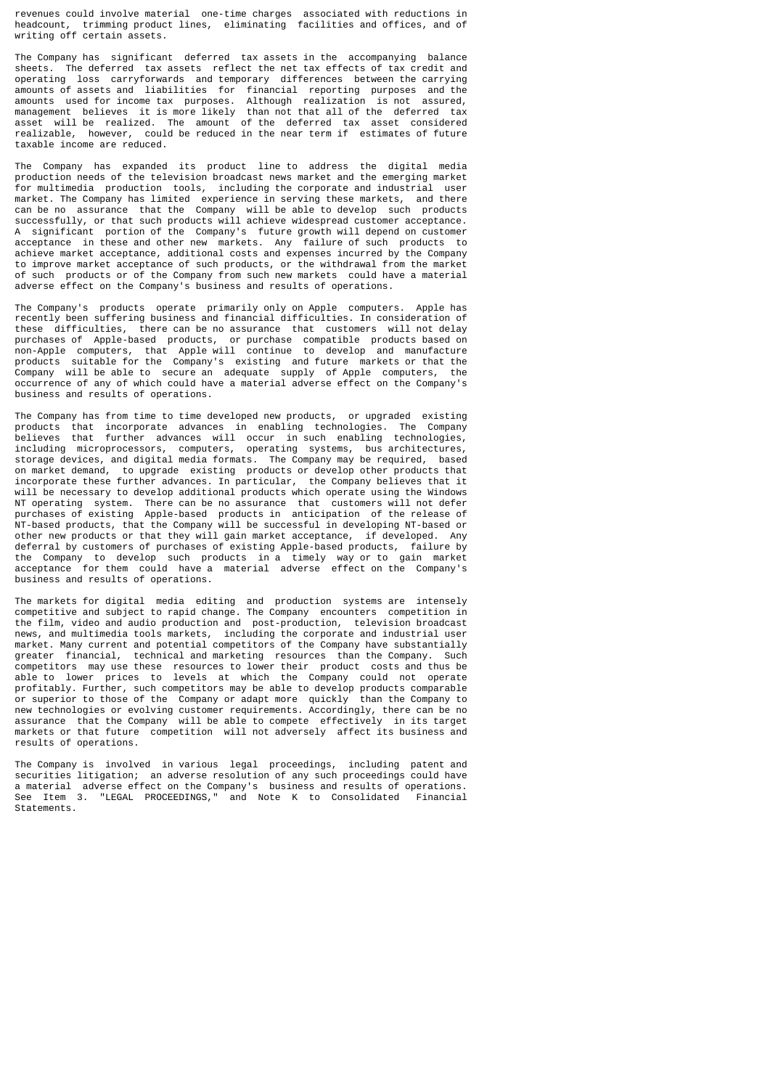revenues could involve material one-time charges associated with reductions in headcount, trimming product lines, eliminating facilities and offices, and of writing off certain assets.

The Company has significant deferred tax assets in the accompanying balance sheets. The deferred tax assets reflect the net tax effects of tax credit and operating loss carryforwards and temporary differences between the carrying amounts of assets and liabilities for financial reporting purposes and the amounts used for income tax purposes. Although realization is not assured, management believes it is more likely than not that all of the deferred tax asset will be realized. The amount of the deferred tax asset considered realizable, however, could be reduced in the near term if estimates of future taxable income are reduced.

The Company has expanded its product line to address the digital media production needs of the television broadcast news market and the emerging market for multimedia production tools, including the corporate and industrial user market. The Company has limited experience in serving these markets, and there can be no assurance that the Company will be able to develop such products successfully, or that such products will achieve widespread customer acceptance. A significant portion of the Company's future growth will depend on customer acceptance in these and other new markets. Any failure of such products to achieve market acceptance, additional costs and expenses incurred by the Company to improve market acceptance of such products, or the withdrawal from the market of such products or of the Company from such new markets could have a material adverse effect on the Company's business and results of operations.

The Company's products operate primarily only on Apple computers. Apple has recently been suffering business and financial difficulties. In consideration of these difficulties, there can be no assurance that customers will not delay purchases of Apple-based products, or purchase compatible products based on non-Apple computers, that Apple will continue to develop and manufacture products suitable for the Company's existing and future markets or that the Company will be able to secure an adequate supply of Apple computers, the occurrence of any of which could have a material adverse effect on the Company's business and results of operations.

The Company has from time to time developed new products, or upgraded existing products that incorporate advances in enabling technologies. The Company believes that further advances will occur in such enabling technologies, including microprocessors, computers, operating systems, bus architectures, storage devices, and digital media formats. The Company may be required, based on market demand, to upgrade existing products or develop other products that incorporate these further advances. In particular, the Company believes that it will be necessary to develop additional products which operate using the Windows NT operating system. There can be no assurance that customers will not defer purchases of existing Apple-based products in anticipation of the release of NT-based products, that the Company will be successful in developing NT-based or other new products or that they will gain market acceptance, if developed. Any deferral by customers of purchases of existing Apple-based products, failure by<br>the Company to develop such products in a timely way or to gain market the Company to develop such products in a timely way or to acceptance for them could have a material adverse effect on the Company's business and results of operations.

The markets for digital media editing and production systems are intensely competitive and subject to rapid change. The Company encounters competition in the film, video and audio production and post-production, television broadcast news, and multimedia tools markets, including the corporate and industrial user market. Many current and potential competitors of the Company have substantially greater financial, technical and marketing resources than the Company. Such competitors may use these resources to lower their product costs and thus be able to lower prices to levels at which the Company could not operate profitably. Further, such competitors may be able to develop products comparable or superior to those of the Company or adapt more quickly than the Company to new technologies or evolving customer requirements. Accordingly, there can be no assurance that the Company will be able to compete effectively in its target markets or that future competition will not adversely affect its business and results of operations.

The Company is involved in various legal proceedings, including patent and securities litigation; an adverse resolution of any such proceedings could have a material adverse effect on the Company's business and results of operations. See Item 3. "LEGAL PROCEEDINGS," and Note K to Consolidated Financial Statements.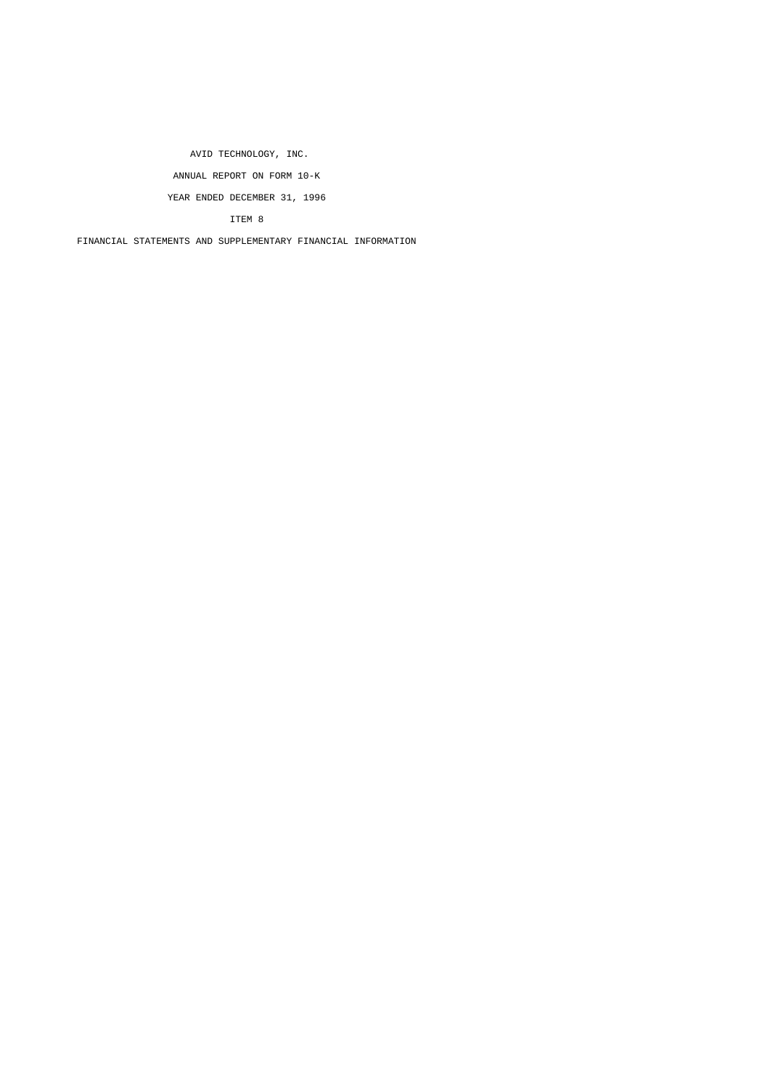AVID TECHNOLOGY, INC. ANNUAL REPORT ON FORM 10-K YEAR ENDED DECEMBER 31, 1996

ITEM 8

FINANCIAL STATEMENTS AND SUPPLEMENTARY FINANCIAL INFORMATION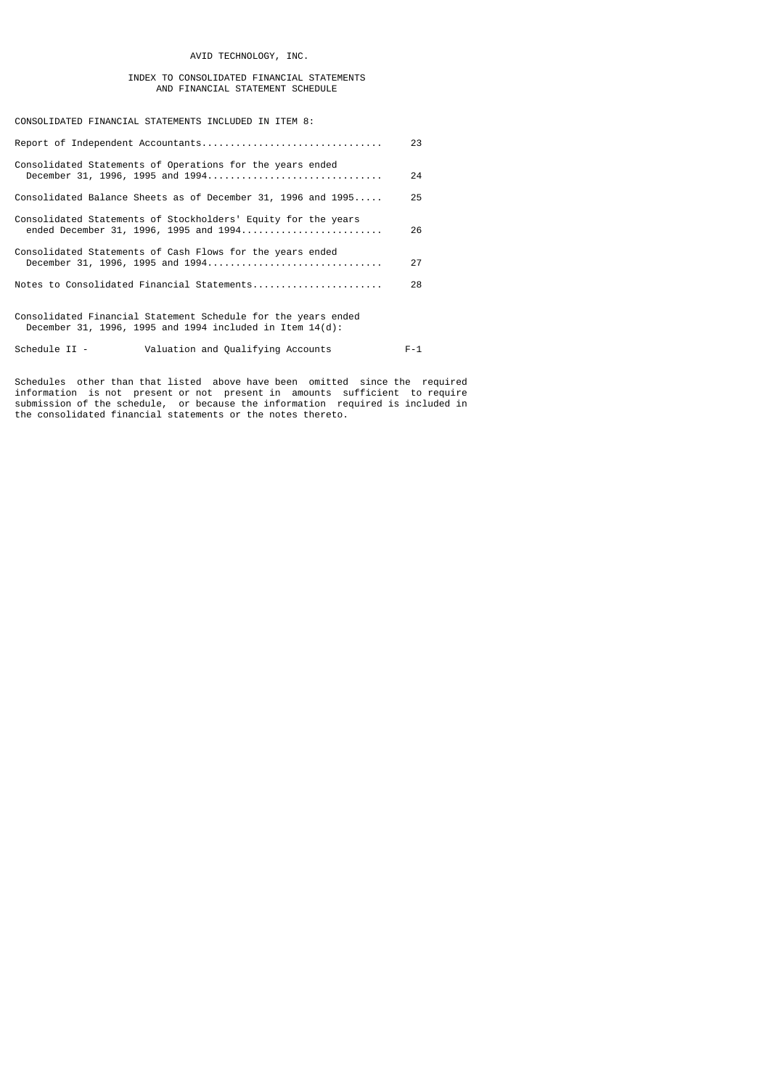# AVID TECHNOLOGY, INC.

# INDEX TO CONSOLIDATED FINANCIAL STATEMENTS AND FINANCIAL STATEMENT SCHEDULE

CONSOLIDATED FINANCIAL STATEMENTS INCLUDED IN ITEM 8:

|                                                                                                                              | 23      |
|------------------------------------------------------------------------------------------------------------------------------|---------|
| Consolidated Statements of Operations for the years ended<br>December 31, 1996, 1995 and 1994                                | 24      |
| Consolidated Balance Sheets as of December 31, 1996 and 1995                                                                 | 25      |
| Consolidated Statements of Stockholders' Equity for the years<br>ended December 31, 1996, 1995 and 1994                      | 26      |
| Consolidated Statements of Cash Flows for the years ended<br>December 31, 1996, 1995 and 1994                                | 27      |
|                                                                                                                              | 28      |
| Consolidated Financial Statement Schedule for the years ended<br>December 31, 1996, 1995 and 1994 included in Item $14(d)$ : |         |
| Valuation and Qualifying Accounts<br>Schedule II -                                                                           | $F - 1$ |

Schedules other than that listed above have been omitted since the required information is not present or not present in amounts sufficient to require submission of the schedule, or because the information required is included in the consolidated financial statements or the notes thereto.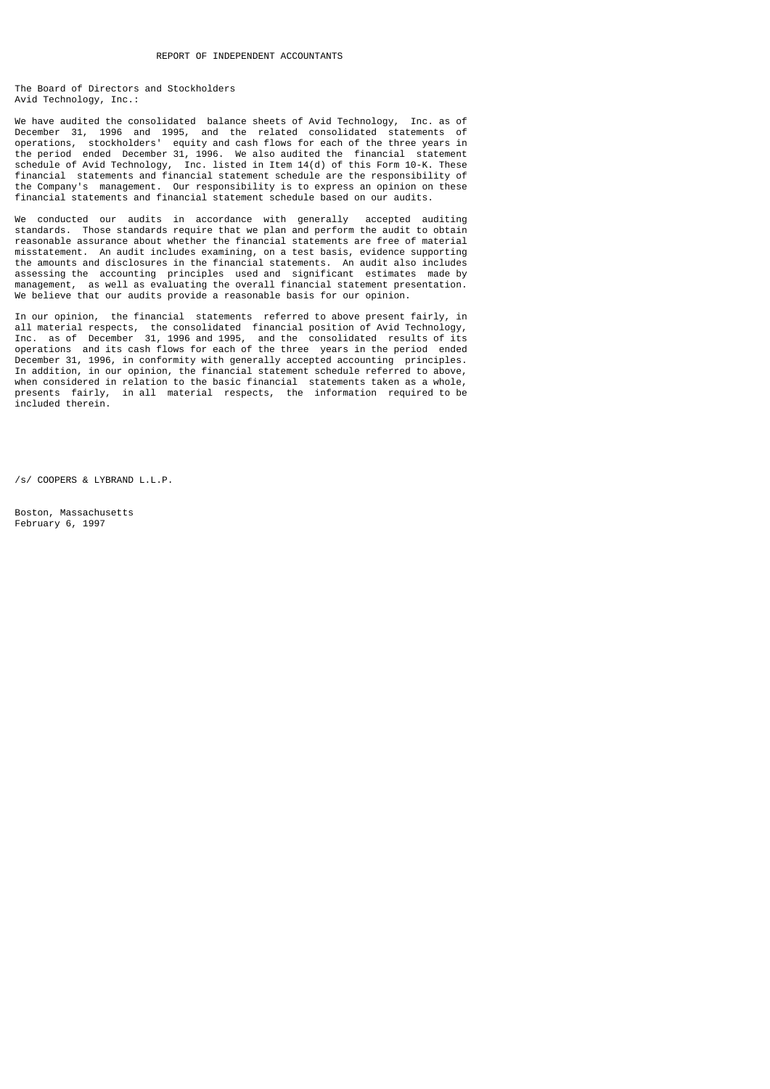The Board of Directors and Stockholders Avid Technology, Inc.:

We have audited the consolidated balance sheets of Avid Technology, Inc. as of December 31, 1996 and 1995, and the related consolidated statements of operations, stockholders' equity and cash flows for each of the three years in the period ended December 31, 1996. We also audited the financial statement schedule of Avid Technology, Inc. listed in Item 14(d) of this Form 10-K. These financial statements and financial statement schedule are the responsibility of the Company's management. Our responsibility is to express an opinion on these financial statements and financial statement schedule based on our audits.

We conducted our audits in accordance with generally accepted auditing standards. Those standards require that we plan and perform the audit to obtain reasonable assurance about whether the financial statements are free of material misstatement. An audit includes examining, on a test basis, evidence supporting the amounts and disclosures in the financial statements. An audit also includes assessing the accounting principles used and significant estimates made by management, as well as evaluating the overall financial statement presentation. We believe that our audits provide a reasonable basis for our opinion.

In our opinion, the financial statements referred to above present fairly, in all material respects, the consolidated financial position of Avid Technology, Inc. as of December 31, 1996 and 1995, and the consolidated results of its operations and its cash flows for each of the three years in the period ended December 31, 1996, in conformity with generally accepted accounting principles. In addition, in our opinion, the financial statement schedule referred to above, when considered in relation to the basic financial statements taken as a whole, presents fairly, in all material respects, the information required to be included therein.

/s/ COOPERS & LYBRAND L.L.P.

Boston, Massachusetts February 6, 1997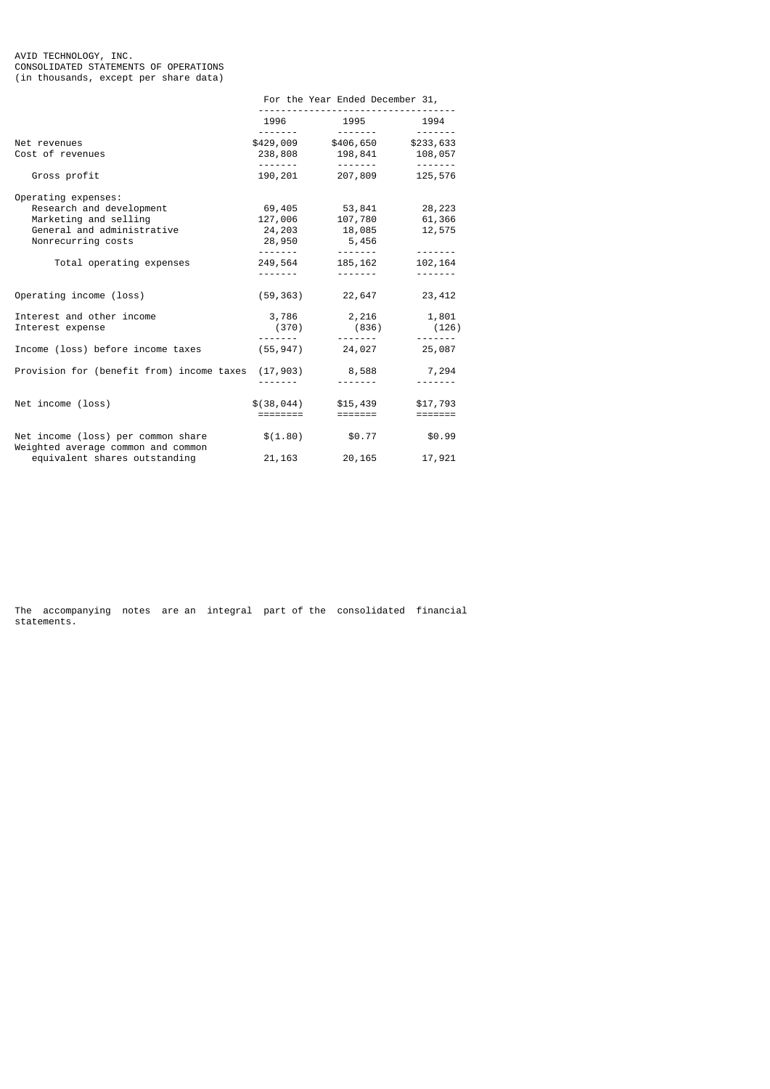#### AVID TECHNOLOGY, INC. CONSOLIDATED STATEMENTS OF OPERATIONS (in thousands, except per share data)

|                                                                                                                              | For the Year Ended December 31, |                                                  |                                       |  |  |
|------------------------------------------------------------------------------------------------------------------------------|---------------------------------|--------------------------------------------------|---------------------------------------|--|--|
|                                                                                                                              |                                 | 1996 1995                                        | 1994                                  |  |  |
| Net revenues<br>Cost of revenues                                                                                             |                                 | \$429,009 \$406,650 \$233,633<br>238,808 198,841 | -------<br>108,057                    |  |  |
| Gross profit                                                                                                                 | --------<br>190,201             | .<br>207,809                                     | .<br>125,576                          |  |  |
| Operating expenses:<br>Research and development<br>Marketing and selling<br>General and administrative<br>Nonrecurring costs | 69,405<br>127,006<br>24,203     | 53,841<br>107,780<br>18,085<br>28,950 5,456      | 28,223<br>61,366<br>12,575<br>------- |  |  |
| Total operating expenses                                                                                                     | 249,564<br>.                    | 185, 162<br><u>.</u>                             | 102,164                               |  |  |
| Operating income (loss)                                                                                                      |                                 | $(59, 363)$ 22,647                               | 23,412                                |  |  |
| Interest and other income<br>Interest expense                                                                                | (370)                           | 3,786 2,216 1,801<br>(836)                       | (126)                                 |  |  |
| Income (loss) before income taxes                                                                                            |                                 | $(55, 947)$ 24,027 25,087                        |                                       |  |  |
| Provision for (benefit from) income taxes (17,903) 8,588 7,294                                                               |                                 |                                                  |                                       |  |  |
| Net income (loss)                                                                                                            | \$(38,044)<br>========          | \$15,439<br>=======                              | \$17,793<br>=======                   |  |  |
| Net income (loss) per common share<br>Weighted average common and common                                                     |                                 | $$(1.80)$ \$0.77                                 | \$0.99                                |  |  |
| equivalent shares outstanding                                                                                                | 21, 163                         | 20,165                                           | 17,921                                |  |  |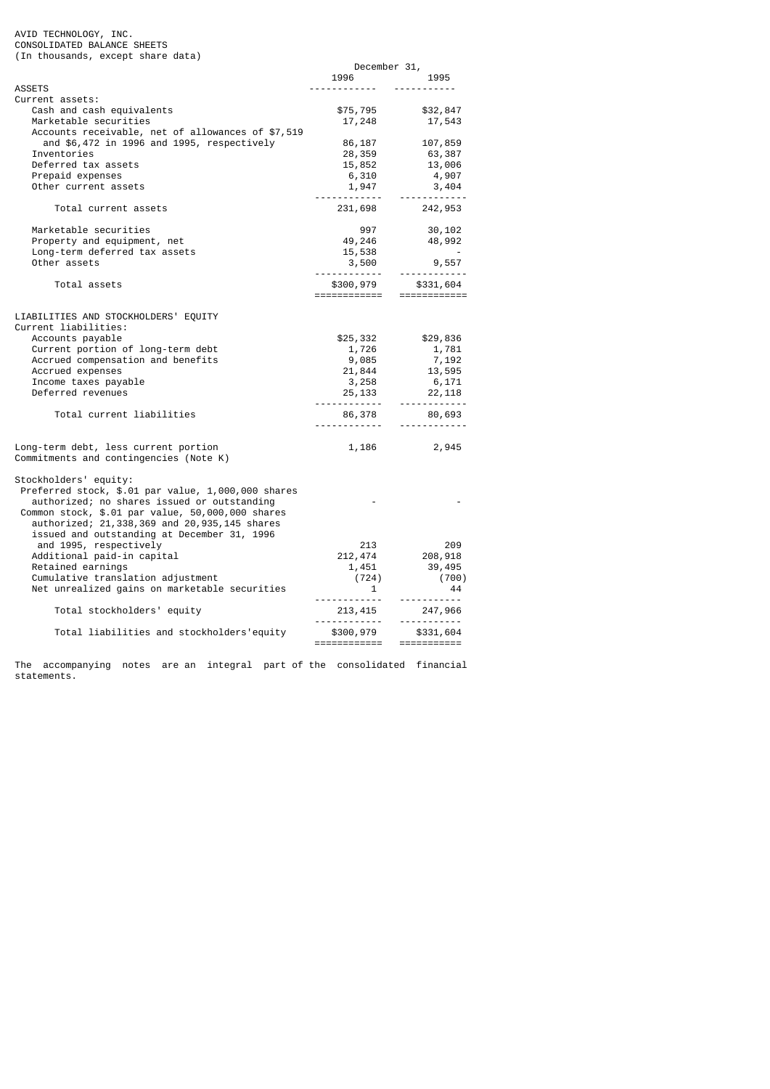AVID TECHNOLOGY, INC. CONSOLIDATED BALANCE SHEETS (In thousands, except share data)

|                                                              | December 31,                                                                                                 |                               |
|--------------------------------------------------------------|--------------------------------------------------------------------------------------------------------------|-------------------------------|
|                                                              | 1996 — 1996 — 1997 — 1998 — 1998 — 1998 — 1998 — 1998 — 1998 — 1998 — 1998 — 1998 — 1998 — 1998 — 1998 — 199 | 1995                          |
| ASSETS                                                       |                                                                                                              |                               |
| Current assets:                                              |                                                                                                              |                               |
| Cash and cash equivalents                                    | \$75,795                                                                                                     | \$32,847                      |
| Marketable securities                                        |                                                                                                              | 17, 248 17, 543               |
| Accounts receivable, net of allowances of \$7,519            |                                                                                                              |                               |
| and \$6,472 in 1996 and 1995, respectively                   | 86,187                                                                                                       | 107,859                       |
| Inventories                                                  | 28,359                                                                                                       | 63,387                        |
| Deferred tax assets                                          |                                                                                                              | 13,006                        |
|                                                              | 15,852                                                                                                       |                               |
| Prepaid expenses                                             | 6,310<br>1,947                                                                                               | 4,907                         |
| Other current assets                                         | <u> - - - - - - - - - - - -</u>                                                                              | 3,404<br>.                    |
| Total current assets                                         |                                                                                                              | 231,698 242,953               |
| Marketable securities                                        | 997                                                                                                          | 30,102                        |
| Property and equipment, net                                  | 49,246                                                                                                       | 48,992                        |
| Long-term deferred tax assets                                |                                                                                                              |                               |
| Other assets                                                 |                                                                                                              |                               |
|                                                              |                                                                                                              |                               |
| Total assets                                                 | \$300,979<br>============                                                                                    | \$331,604<br>$=$ ============ |
|                                                              |                                                                                                              |                               |
| LIABILITIES AND STOCKHOLDERS' EQUITY<br>Current liabilities: |                                                                                                              |                               |
|                                                              |                                                                                                              |                               |
| Accounts payable                                             | \$25,332                                                                                                     | \$29,836                      |
| Current portion of long-term debt                            | 1,726                                                                                                        | 1, 781<br>7, 192              |
| Accrued compensation and benefits                            | 9,085                                                                                                        |                               |
| Accrued expenses                                             | 21, 844<br>3, 258<br>25, 133                                                                                 | 13,595                        |
| Income taxes payable                                         |                                                                                                              | 6,171                         |
| Deferred revenues                                            |                                                                                                              | 22,118<br>------------        |
| Total current liabilities                                    | .                                                                                                            | 86,378 80,693                 |
|                                                              |                                                                                                              |                               |
| Long-term debt, less current portion                         |                                                                                                              | 1,186 2,945                   |
| Commitments and contingencies (Note K)                       |                                                                                                              |                               |
| Stockholders' equity:                                        |                                                                                                              |                               |
| Preferred stock, \$.01 par value, 1,000,000 shares           |                                                                                                              |                               |
| authorized; no shares issued or outstanding                  |                                                                                                              |                               |
| Common stock, \$.01 par value, 50,000,000 shares             |                                                                                                              |                               |
| authorized; 21,338,369 and 20,935,145 shares                 |                                                                                                              |                               |
| issued and outstanding at December 31, 1996                  |                                                                                                              |                               |
| and 1995, respectively                                       | 213                                                                                                          | 209                           |
| Additional paid-in capital                                   |                                                                                                              | 212, 474 208, 918             |
| Retained earnings                                            |                                                                                                              | 39,495                        |
| Cumulative translation adjustment                            |                                                                                                              | (700)                         |
| Net unrealized gains on marketable securities                | $1,451$<br>(724)<br>1                                                                                        | 44                            |
|                                                              |                                                                                                              | .                             |
| Total stockholders' equity                                   | $213,415$ $247,966$                                                                                          | 247,966                       |
|                                                              |                                                                                                              |                               |
| Total liabilities and stockholders'equity                    |                                                                                                              |                               |
|                                                              |                                                                                                              |                               |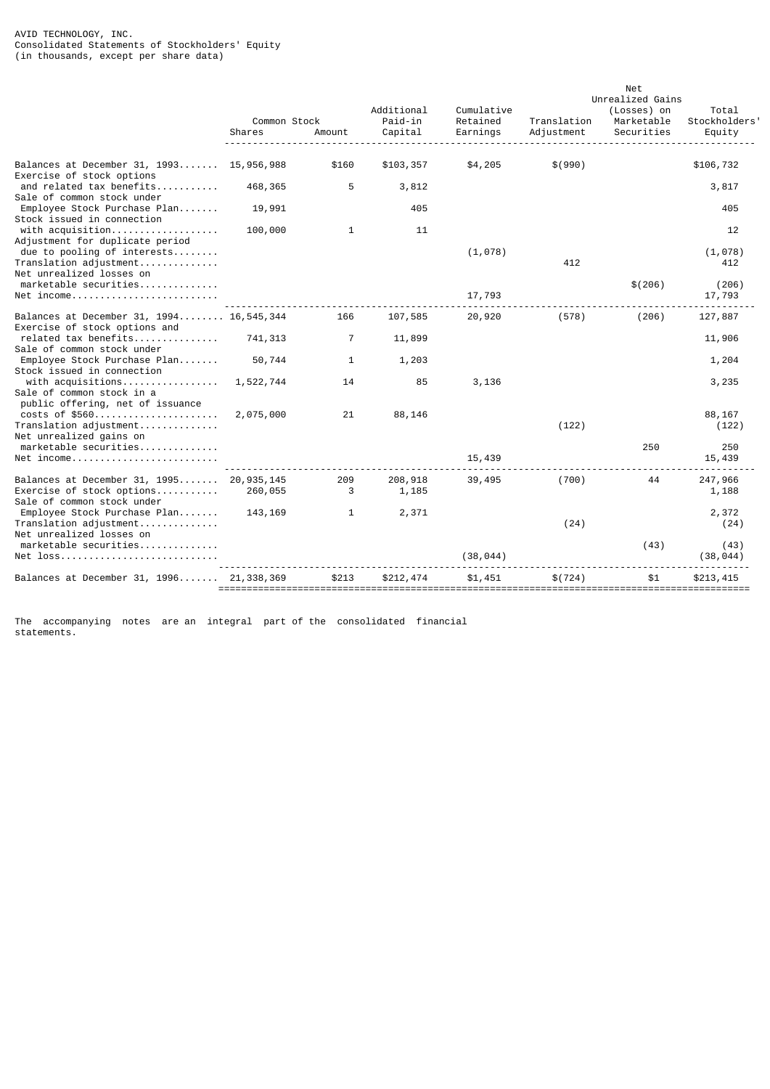#### AVID TECHNOLOGY, INC. Consolidated Statements of Stockholders' Equity (in thousands, except per share data)

|                                                                                                     |           |              |                       |            |             | Net              |                   |
|-----------------------------------------------------------------------------------------------------|-----------|--------------|-----------------------|------------|-------------|------------------|-------------------|
|                                                                                                     |           |              |                       |            |             | Unrealized Gains |                   |
|                                                                                                     |           |              | Additional<br>Paid-in | Cumulative |             | (Losses) on      | Total             |
|                                                                                                     |           | Common Stock |                       | Retained   | Translation | Marketable       | Stockholders'     |
|                                                                                                     | Shares    | Amount       | Capital               | Earnings   | Adjustment  | Securities       | Equity            |
| Balances at December 31, 1993 15,956,988                                                            |           | \$160        | \$103,357             | \$4,205    | \$ (990)    |                  | \$106,732         |
| Exercise of stock options<br>and related tax benefits<br>Sale of common stock under                 | 468,365   | 5            | 3,812                 |            |             |                  | 3,817             |
| Employee Stock Purchase Plan                                                                        | 19,991    |              | 405                   |            |             |                  | 405               |
| Stock issued in connection<br>with acquisition                                                      | 100,000   | 1            | 11                    |            |             |                  | 12                |
| Adjustment for duplicate period<br>due to pooling of interests                                      |           |              |                       | (1,078)    |             |                  | (1,078)           |
| Translation adjustment                                                                              |           |              |                       |            | 412         |                  | 412               |
| Net unrealized losses on<br>$marketable$ securities                                                 |           |              |                       |            |             | \$(206)          | (206)             |
| $Net$ income                                                                                        |           |              |                       | 17,793     |             |                  | 17,793            |
| Balances at December 31, 1994 16,545,344<br>Exercise of stock options and                           |           | 166          | 107,585               | 20,920     | (578)       | (206)            | 127,887           |
| related tax benefits<br>Sale of common stock under                                                  | 741,313   | 7            | 11,899                |            |             |                  | 11,906            |
| Employee Stock Purchase Plan<br>Stock issued in connection                                          | 50,744    | $\mathbf{1}$ | 1,203                 |            |             |                  | 1,204             |
| with acquisitions<br>Sale of common stock in a                                                      | 1,522,744 | 14           | 85                    | 3,136      |             |                  | 3,235             |
| public offering, net of issuance<br>costs of \$560                                                  | 2,075,000 | 21           | 88,146                |            |             |                  | 88,167            |
| Translation adjustment<br>Net unrealized gains on                                                   |           |              |                       |            | (122)       |                  | (122)             |
| marketable securities<br>$Net$ income                                                               |           |              |                       | 15,439     |             | 250              | 250<br>15,439     |
|                                                                                                     |           |              |                       |            |             |                  |                   |
| Balances at December 31, 1995 20,935,145<br>Exercise of stock options<br>Sale of common stock under | 260,055   | 209<br>3     | 208,918<br>1,185      | 39,495     | (700)       | 44               | 247,966<br>1,188  |
| Employee Stock Purchase Plan<br>Translation adjustment                                              | 143, 169  | $\mathbf{1}$ | 2,371                 |            | (24)        |                  | 2,372<br>(24)     |
| Net unrealized losses on                                                                            |           |              |                       |            |             |                  |                   |
| marketable securities<br>$Net$ loss                                                                 |           |              |                       | (38, 044)  |             | (43)             | (43)<br>(38, 044) |
| Balances at December 31, 1996 21,338,369                                                            |           | \$213        | \$212,474             | \$1.451    | \$(724)     | \$1              | \$213,415         |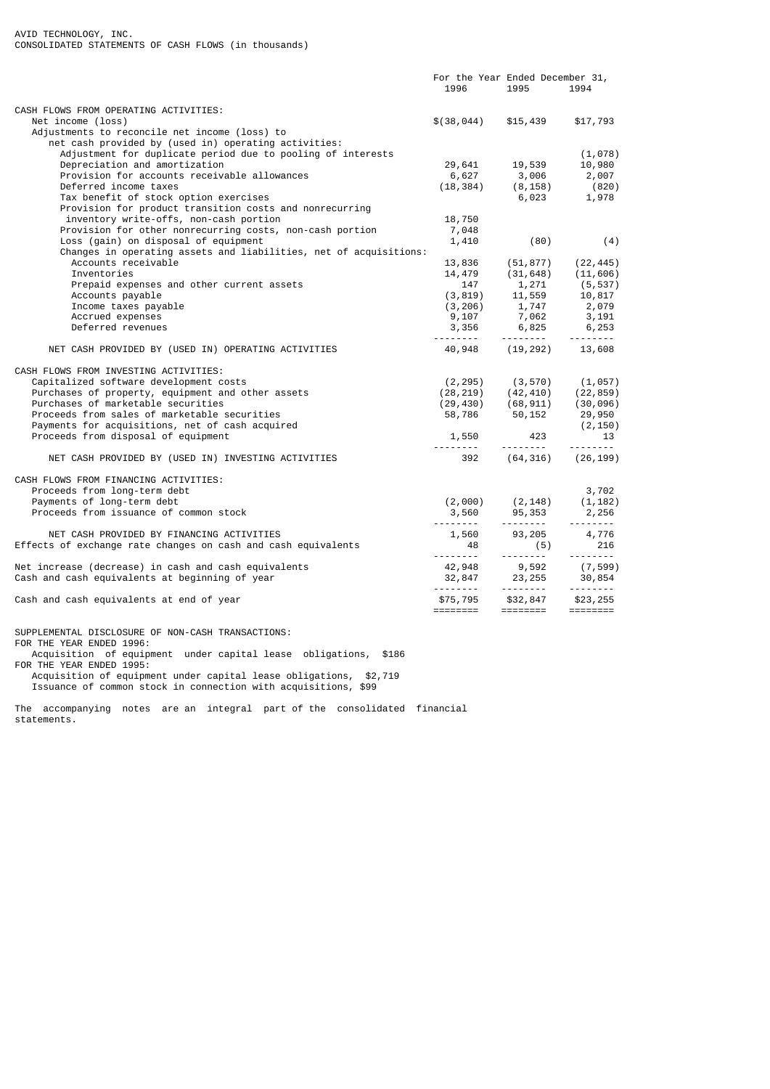|                                                                   | For the Year Ended December 31,                                 |                            |                         |
|-------------------------------------------------------------------|-----------------------------------------------------------------|----------------------------|-------------------------|
|                                                                   | 1996                                                            | 1995                       | 1994                    |
| CASH FLOWS FROM OPERATING ACTIVITIES:                             |                                                                 |                            |                         |
| Net income (loss)                                                 | \$(38,044)                                                      | \$15,439                   | \$17,793                |
| Adjustments to reconcile net income (loss) to                     |                                                                 |                            |                         |
| net cash provided by (used in) operating activities:              |                                                                 |                            |                         |
| Adjustment for duplicate period due to pooling of interests       |                                                                 |                            | (1,078)                 |
| Depreciation and amortization                                     | 29,641 19,539                                                   |                            | 10,980                  |
| Provision for accounts receivable allowances                      | $0, 027$ 3,006<br>(18,384) (8.158)                              |                            | 2,007                   |
| Deferred income taxes                                             |                                                                 |                            | (820)                   |
| Tax benefit of stock option exercises                             |                                                                 | 6,023                      | 1,978                   |
| Provision for product transition costs and nonrecurring           |                                                                 |                            |                         |
| inventory write-offs, non-cash portion                            | 18,750                                                          |                            |                         |
| Provision for other nonrecurring costs, non-cash portion          | 7,048                                                           |                            |                         |
| Loss (gain) on disposal of equipment                              | 1,410                                                           | (80)                       | (4)                     |
| Changes in operating assets and liabilities, net of acquisitions: |                                                                 |                            |                         |
| Accounts receivable                                               | 13,836 (51,877)                                                 |                            | (22, 445)               |
| Inventories                                                       | 14,479                                                          | (31, 648)                  | (11, 606)               |
| Prepaid expenses and other current assets                         | $147$ $1,271$<br>$(3,819)$ $11,559$                             |                            |                         |
| Accounts payable                                                  |                                                                 |                            | $(5, 537)$<br>10,817    |
| Income taxes payable                                              | (3, 206)                                                        |                            |                         |
| Accrued expenses                                                  | 9,107                                                           | 1,747 2,079<br>7,062 3,191 |                         |
| Deferred revenues                                                 |                                                                 |                            | 6,253                   |
|                                                                   | $3,356$ $6,825$<br>-------- -------- --                         |                            | <u>.</u>                |
| NET CASH PROVIDED BY (USED IN) OPERATING ACTIVITIES               | 40,948                                                          | (19, 292)                  | 13,608                  |
| CASH FLOWS FROM INVESTING ACTIVITIES:                             |                                                                 |                            |                         |
| Capitalized software development costs                            | (2, 295)                                                        | (3, 570)                   | (1, 057)                |
| Purchases of property, equipment and other assets                 | (28, 219)                                                       |                            | $(42, 410)$ $(22, 859)$ |
| Purchases of marketable securities                                | $(29, 430)$ $(68, 911)$ $(30, 096)$                             |                            |                         |
| Proceeds from sales of marketable securities                      | 58,786 50,152                                                   |                            | 29,950                  |
| Payments for acquisitions, net of cash acquired                   |                                                                 |                            | (2, 150)                |
| Proceeds from disposal of equipment                               | 1,550                                                           | 423                        | 13                      |
|                                                                   |                                                                 | <u>.</u>                   |                         |
| NET CASH PROVIDED BY (USED IN) INVESTING ACTIVITIES               | 392                                                             | (64, 316)                  | (26, 199)               |
| CASH FLOWS FROM FINANCING ACTIVITIES:                             |                                                                 |                            |                         |
| Proceeds from long-term debt                                      |                                                                 |                            | 3,702                   |
| Payments of long-term debt                                        | $(2,000)$ $(2,148)$ $(1,182)$                                   |                            |                         |
| Proceeds from issuance of common stock                            | 3,560                                                           |                            | 95,353 2,256            |
|                                                                   |                                                                 |                            | $- - - - - - - - -$     |
| NET CASH PROVIDED BY FINANCING ACTIVITIES                         | 1,560                                                           | 93,205                     | 4,776                   |
| Effects of exchange rate changes on cash and cash equivalents     | 48                                                              | (5)                        | 216                     |
|                                                                   | <u> - - - - - - - - - -</u>                                     |                            | $- - - - - - - - -$     |
| Net increase (decrease) in cash and cash equivalents              |                                                                 |                            |                         |
| Cash and cash equivalents at beginning of year                    |                                                                 |                            |                         |
|                                                                   | $42,948$<br>32,847<br>58,92 (7,599)<br>58,854<br>58,955 (7,599) |                            |                         |
| Cash and cash equivalents at end of year                          | \$75,795 \$32,847                                               |                            | \$23,255                |
|                                                                   | ========                                                        | ========                   | ========                |
|                                                                   |                                                                 |                            |                         |
| SUPPLEMENTAL DISCLOSURE OF NON-CASH TRANSACTIONS:                 |                                                                 |                            |                         |
| FOR THE YEAR ENDED 1996:                                          |                                                                 |                            |                         |

 Acquisition of equipment under capital lease obligations, \$186 FOR THE YEAR ENDED 1995: Acquisition of equipment under capital lease obligations, \$2,719 Issuance of common stock in connection with acquisitions, \$99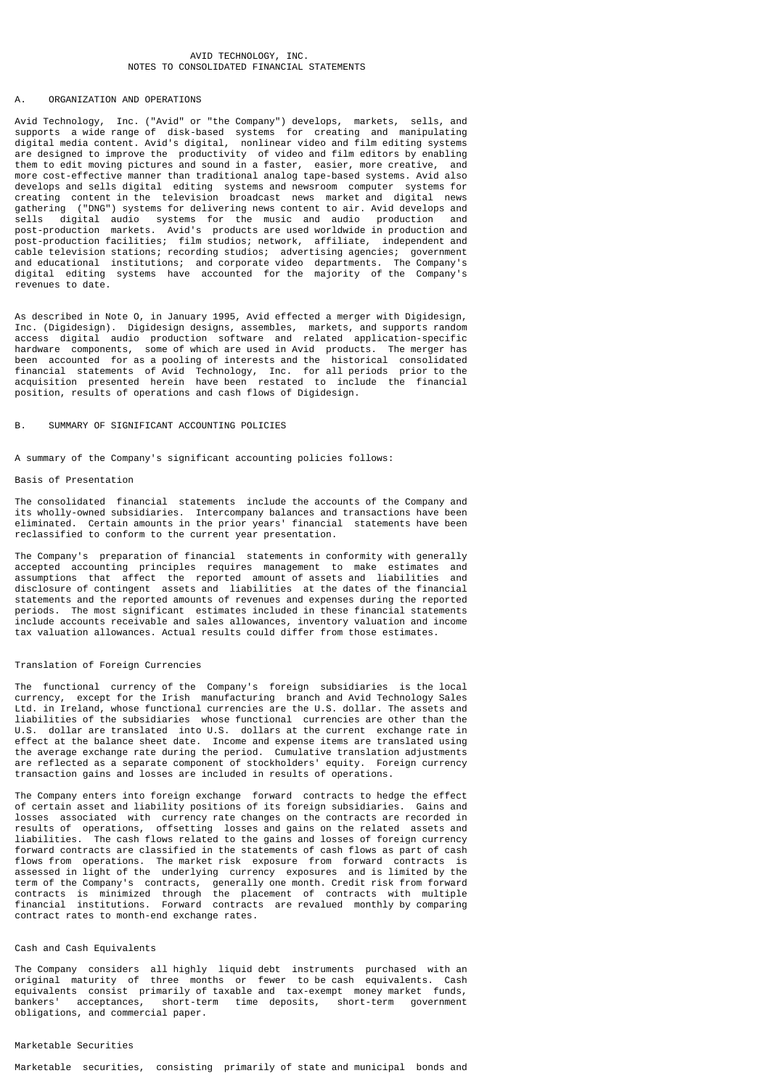### AVID TECHNOLOGY INC. NOTES TO CONSOLIDATED FINANCIAL STATEMENTS

### A. ORGANIZATION AND OPERATIONS

Avid Technology, Inc. ("Avid" or "the Company") develops, markets, sells, and supports a wide range of disk-based systems for creating and manipulating digital media content. Avid's digital, nonlinear video and film editing systems are designed to improve the productivity of video and film editors by enabling them to edit moving pictures and sound in a faster, easier, more creative, and more cost-effective manner than traditional analog tape-based systems. Avid also develops and sells digital editing systems and newsroom computer systems for creating content in the television broadcast news market and digital news gathering ("DNG") systems for delivering news content to air. Avid develops and sells digital audio systems for the music and audio production and post-production markets. Avid's products are used worldwide in production and post-production facilities; film studios; network, affiliate, independent and cable television stations; recording studios; advertising agencies; government and educational institutions; and corporate video departments. The Company's digital editing systems have accounted for the majority of the Company's revenues to date.

As described in Note O, in January 1995, Avid effected a merger with Digidesign, Inc. (Digidesign). Digidesign designs, assembles, markets, and supports random access digital audio production software and related application-specific hardware components, some of which are used in Avid products. The merger has been accounted for as a pooling of interests and the historical consolidated financial statements of Avid Technology, Inc. for all periods prior to the acquisition presented herein have been restated to include the financial position, results of operations and cash flows of Digidesign.

### SUMMARY OF SIGNIFICANT ACCOUNTING POLICIES

A summary of the Company's significant accounting policies follows:

### Basis of Presentation

The consolidated financial statements include the accounts of the Company and its wholly-owned subsidiaries. Intercompany balances and transactions have been eliminated. Certain amounts in the prior years' financial statements have been reclassified to conform to the current year presentation.

The Company's preparation of financial statements in conformity with generally accepted accounting principles requires management to make estimates and<br>assumptions that affect the reported amount of assets and liabilities and assumptions that affect the reported amount of assets and liabilities disclosure of contingent assets and liabilities at the dates of the financial statements and the reported amounts of revenues and expenses during the reported periods. The most significant estimates included in these financial statements include accounts receivable and sales allowances, inventory valuation and income tax valuation allowances. Actual results could differ from those estimates.

### Translation of Foreign Currencies

The functional currency of the Company's foreign subsidiaries is the local currency, except for the Irish manufacturing branch and Avid Technology Sales Ltd. in Ireland, whose functional currencies are the U.S. dollar. The assets and liabilities of the subsidiaries whose functional currencies are other than the U.S. dollar are translated into U.S. dollars at the current exchange rate in effect at the balance sheet date. Income and expense items are translated using the average exchange rate during the period. Cumulative translation adjustments are reflected as a separate component of stockholders' equity. Foreign currency transaction gains and losses are included in results of operations.

The Company enters into foreign exchange forward contracts to hedge the effect of certain asset and liability positions of its foreign subsidiaries. Gains and losses associated with currency rate changes on the contracts are recorded in results of operations, offsetting losses and gains on the related assets and liabilities. The cash flows related to the gains and losses of foreign currency forward contracts are classified in the statements of cash flows as part of cash flows from operations. The market risk exposure from forward contracts is assessed in light of the underlying currency exposures and is limited by the term of the Company's contracts, generally one month. Credit risk from forward contracts is minimized through the placement of contracts with multiple financial institutions. Forward contracts are revalued monthly by comparing contract rates to month-end exchange rates.

### Cash and Cash Equivalents

The Company considers all highly liquid debt instruments purchased with an original maturity of three months or fewer to be cash equivalents. Cash equivalents consist primarily of taxable and tax-exempt money market funds,<br>bankers' acceptances, short-term time deposits, short-term qovernment time deposits, obligations, and commercial paper.

### Marketable Securities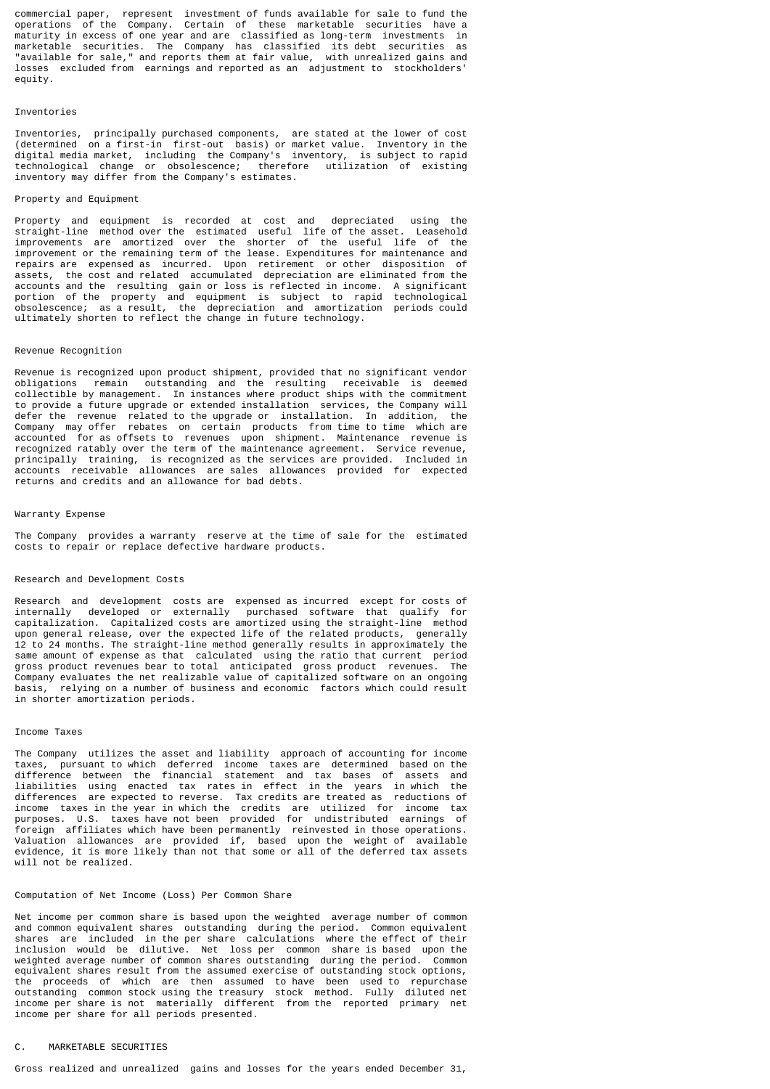commercial paper, represent investment of funds available for sale to fund the operations of the Company. Certain of these marketable securities have a maturity in excess of one year and are classified as long-term investments in marketable securities. The Company has classified its debt securities as "available for sale," and reports them at fair value, with unrealized gains and losses excluded from earnings and reported as an adjustment to stockholders' equity.

### Inventories

Inventories, principally purchased components, are stated at the lower of cost (determined on a first-in first-out basis) or market value. Inventory in the digital media market, including the Company's inventory, is subject to rapid technological change or obsolescence; therefore utilization of existing inventory may differ from the Company's estimates.

#### Property and Equipment

Property and equipment is recorded at cost and depreciated using the straight-line method over the estimated useful life of the asset. Leasehold straight-line method over the estimated useful life of the asset. improvements are amortized over the shorter of the useful life of the improvement or the remaining term of the lease. Expenditures for maintenance and repairs are expensed as incurred. Upon retirement or other disposition of assets, the cost and related accumulated depreciation are eliminated from the accounts and the resulting gain or loss is reflected in income. A significant portion of the property and equipment is subject to rapid technological obsolescence; as a result, the depreciation and amortization periods could ultimately shorten to reflect the change in future technology.

#### Revenue Recognition

Revenue is recognized upon product shipment, provided that no significant vendor obligations remain outstanding and the resulting receivable is deemed collectible by management. In instances where product ships with the commitment to provide a future upgrade or extended installation services, the Company will defer the revenue related to the upgrade or installation. In addition, the Company may offer rebates on certain products from time to time which are accounted for as offsets to revenues upon shipment. Maintenance revenue is recognized ratably over the term of the maintenance agreement. Service revenue, principally training, is recognized as the services are provided. Included in accounts receivable allowances are sales allowances provided for expected returns and credits and an allowance for bad debts.

### Warranty Expense

The Company provides a warranty reserve at the time of sale for the estimated costs to repair or replace defective hardware products.

#### Research and Development Costs

Research and development costs are expensed as incurred except for costs of internally developed or externally purchased software that qualify for capitalization. Capitalized costs are amortized using the straight-line method upon general release, over the expected life of the related products, generally 12 to 24 months. The straight-line method generally results in approximately the same amount of expense as that calculated using the ratio that current period gross product revenues bear to total anticipated gross product revenues. The Company evaluates the net realizable value of capitalized software on an ongoing basis, relying on a number of business and economic factors which could result in shorter amortization periods.

#### Income Taxes

The Company utilizes the asset and liability approach of accounting for income taxes, pursuant to which deferred income taxes are determined based on the difference between the financial statement and tax bases of assets and liabilities using enacted tax rates in effect in the years in which the differences are expected to reverse. Tax credits are treated as reductions of income taxes in the year in which the credits are utilized for income tax purposes. U.S. taxes have not been provided for undistributed earnings of foreign affiliates which have been permanently reinvested in those operations. Valuation allowances are provided if, based upon the weight of available evidence, it is more likely than not that some or all of the deferred tax assets will not be realized.

### Computation of Net Income (Loss) Per Common Share

Net income per common share is based upon the weighted average number of common and common equivalent shares outstanding during the period. Common equivalent shares are included in the per share calculations where the effect of their inclusion would be dilutive. Net loss per common share is based upon the weighted average number of common shares outstanding during the period. Common equivalent shares result from the assumed exercise of outstanding stock options, the proceeds of which are then assumed to have been used to repurchase outstanding common stock using the treasury stock method. Fully diluted net income per share is not materially different from the reported primary net income per share for all periods presented.

#### C. MARKETABLE SECURITIES

Gross realized and unrealized gains and losses for the years ended December 31,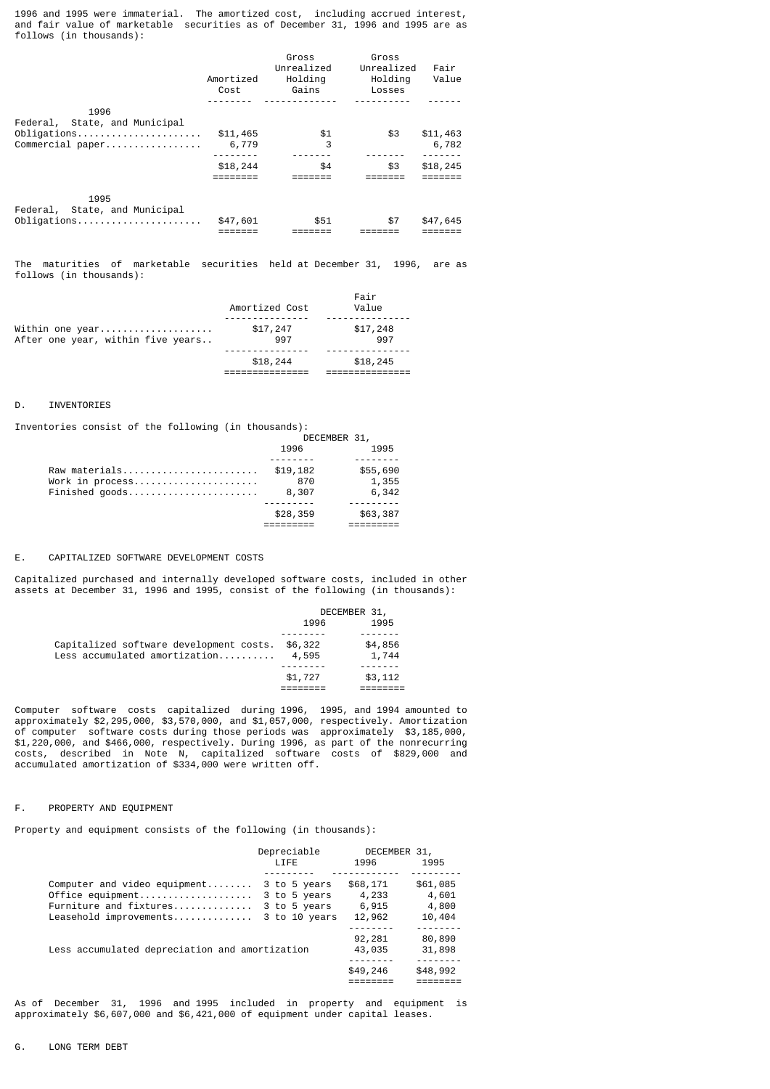1996 and 1995 were immaterial. The amortized cost, including accrued interest, and fair value of marketable securities as of December 31, 1996 and 1995 are as follows (in thousands):

|                                       | Amortized<br>Cost | Gross<br>Unrealized<br>Holdina<br>Gains | Gross<br>Unrealized<br>Holdina<br>Losses | Fair<br>Value |
|---------------------------------------|-------------------|-----------------------------------------|------------------------------------------|---------------|
| 1996<br>Federal, State, and Municipal |                   |                                         |                                          |               |
| Obligations                           | \$11,465          | \$1<br>3                                | \$3                                      | \$11,463      |
| Commercial paper                      | 6,779             |                                         |                                          | 6,782         |
|                                       | \$18,244          | \$4                                     | \$3                                      | \$18,245      |
|                                       |                   |                                         |                                          |               |
| 1995<br>Federal, State, and Municipal |                   |                                         |                                          |               |
| Obligations                           | \$47,601          | \$51                                    | \$7                                      | \$47,645      |

The maturities of marketable securities held at December 31, 1996, are as follows (in thousands):

|                                   | \$18,244       | \$18,245 |
|-----------------------------------|----------------|----------|
|                                   |                |          |
| After one year, within five years | 997            | 997      |
| Within one year                   | \$17,247       | \$17,248 |
|                                   |                |          |
|                                   | Amortized Cost | Value    |
|                                   |                | Fair     |

### D. INVENTORIES

Inventories consist of the following (in thousands):

| DECEMBER 31,            |          |
|-------------------------|----------|
| 1996                    | 1995     |
|                         |          |
| \$19.182                | \$55,690 |
| 870                     | 1,355    |
| Finished goods<br>8,307 | 6,342    |
|                         |          |
| \$28,359                | \$63,387 |
|                         |          |
|                         |          |

E. CAPITALIZED SOFTWARE DEVELOPMENT COSTS

Capitalized purchased and internally developed software costs, included in other assets at December 31, 1996 and 1995, consist of the following (in thousands):

|                                         |         | DECEMBER 31, |
|-----------------------------------------|---------|--------------|
|                                         | 1996    | 1995         |
|                                         |         |              |
| Capitalized software development costs. | \$6,322 | \$4,856      |
| Less accumulated amortization           | 4,595   | 1,744        |
|                                         |         |              |
|                                         | \$1,727 | \$3,112      |
|                                         |         |              |

Computer software costs capitalized during 1996, 1995, and 1994 amounted to approximately \$2,295,000, \$3,570,000, and \$1,057,000, respectively. Amortization of computer software costs during those periods was approximately \$3,185,000, \$1,220,000, and \$466,000, respectively. During 1996, as part of the nonrecurring costs, described in Note N, capitalized software costs of \$829,000 and accumulated amortization of \$334,000 were written off.

### F. PROPERTY AND EQUIPMENT

Property and equipment consists of the following (in thousands):

|                                                                                                      | Depreciable<br><b>LIFE</b>                                    | DECEMBER 31,<br>1996                 | 1995                                 |
|------------------------------------------------------------------------------------------------------|---------------------------------------------------------------|--------------------------------------|--------------------------------------|
| Computer and video equipment<br>Office equipment<br>Furniture and fixtures<br>Leasehold improvements | 3 to 5 years<br>3 to 5 years<br>3 to 5 years<br>3 to 10 years | \$68,171<br>4,233<br>6,915<br>12,962 | \$61,085<br>4,601<br>4,800<br>10,404 |
| Less accumulated depreciation and amortization                                                       |                                                               | 92,281<br>43,035<br>\$49,246         | 80,890<br>31,898<br>\$48,992         |
|                                                                                                      |                                                               |                                      |                                      |

As of December 31, 1996 and 1995 included in property and equipment is approximately \$6,607,000 and \$6,421,000 of equipment under capital leases.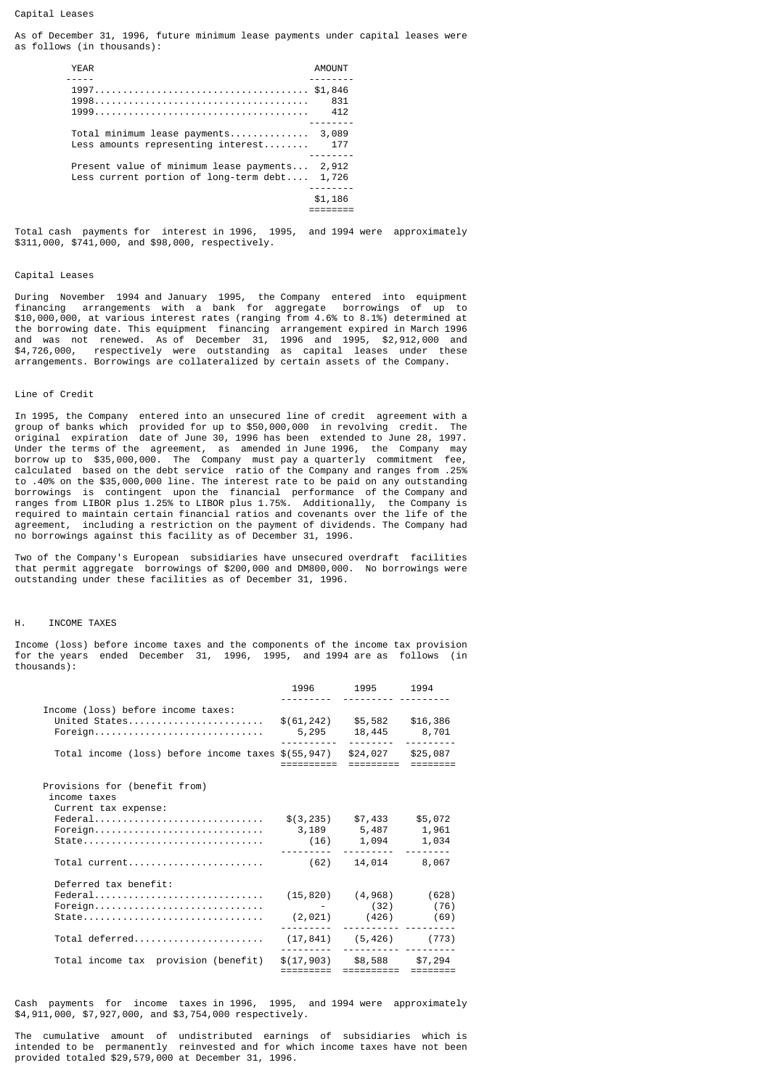### Capital Leases

As of December 31, 1996, future minimum lease payments under capital leases were as follows (in thousands):

| <b>YEAR</b>                                                                                     | AMOUNT     |
|-------------------------------------------------------------------------------------------------|------------|
|                                                                                                 | 831<br>412 |
| Total minimum lease payments 3,089<br>Less amounts representing interest 177                    |            |
| Present value of minimum lease payments 2,912<br>Less current portion of long-term $debt$ 1,726 |            |
|                                                                                                 | \$1,186    |

Total cash payments for interest in 1996, 1995, and 1994 were approximately \$311,000, \$741,000, and \$98,000, respectively.

### Capital Leases

During November 1994 and January 1995, the Company entered into equipment financing arrangements with a bank for aggregate borrowings of up to \$10,000,000, at various interest rates (ranging from 4.6% to 8.1%) determined at the borrowing date. This equipment financing arrangement expired in March 1996 and was not renewed. As of December 31, 1996 and 1995, \$2,912,000 and \$4,726,000, respectively were outstanding as capital leases under these arrangements. Borrowings are collateralized by certain assets of the Company.

### Line of Credit

In 1995, the Company entered into an unsecured line of credit agreement with a group of banks which provided for up to \$50,000,000 in revolving credit. The original expiration date of June 30, 1996 has been extended to June 28, 1997. Under the terms of the agreement, as amended in June 1996, the Company may borrow up to \$35,000,000. The Company must pay a quarterly commitment fee, calculated based on the debt service ratio of the Company and ranges from .25% to .40% on the \$35,000,000 line. The interest rate to be paid on any outstanding borrowings is contingent upon the financial performance of the Company and ranges from LIBOR plus 1.25% to LIBOR plus 1.75%. Additionally, the Company is required to maintain certain financial ratios and covenants over the life of the agreement, including a restriction on the payment of dividends. The Company had no borrowings against this facility as of December 31, 1996.

Two of the Company's European subsidiaries have unsecured overdraft facilities that permit aggregate borrowings of \$200,000 and DM800,000. No borrowings were outstanding under these facilities as of December 31, 1996.

#### H. INCOME TAXES

Income (loss) before income taxes and the components of the income tax provision for the years ended December 31, 1996, 1995, and 1994 are as follows (in thousands):

|                                                                       | 1996                              | 1995 1994<br><u>.</u>            |         |
|-----------------------------------------------------------------------|-----------------------------------|----------------------------------|---------|
| Income (loss) before income taxes:<br>United States<br>Foreign        | $$(61, 242)$ $$5, 582$ $$16, 386$ | 5,295 18,445 8,701               |         |
| Total income (loss) before income taxes \$(55,947)                    |                                   | $$24,027$ $$25,087$<br>========= |         |
| Provisions for (benefit from)<br>income taxes<br>Current tax expense: |                                   |                                  |         |
|                                                                       |                                   | $$(3, 235)$ $$7, 433$            | \$5,072 |
| Foreign                                                               | 3,189 5,487 1,961                 |                                  |         |
| $State$                                                               |                                   | $(16)$ 1,094<br>.                | 1,034   |
|                                                                       |                                   | 14,014                           | 8,067   |
| Deferred tax benefit:                                                 |                                   |                                  |         |
| Federal                                                               |                                   | $(15, 820)$ $(4, 968)$ $(628)$   |         |
| Foreign                                                               |                                   | - (32) (76)                      |         |
|                                                                       |                                   | $(2,021)$ $(426)$ $(69)$         |         |
| Total deferred                                                        |                                   | $(17, 841)$ $(5, 426)$ $(773)$   |         |
| Total income tax provision (benefit)                                  |                                   | $$(17,903)$ $$8,588$ $$7,294$    |         |
|                                                                       | =========                         |                                  |         |

Cash payments for income taxes in 1996, 1995, and 1994 were approximately \$4,911,000, \$7,927,000, and \$3,754,000 respectively.

The cumulative amount of undistributed earnings of subsidiaries which is intended to be permanently reinvested and for which income taxes have not been provided totaled \$29,579,000 at December 31, 1996.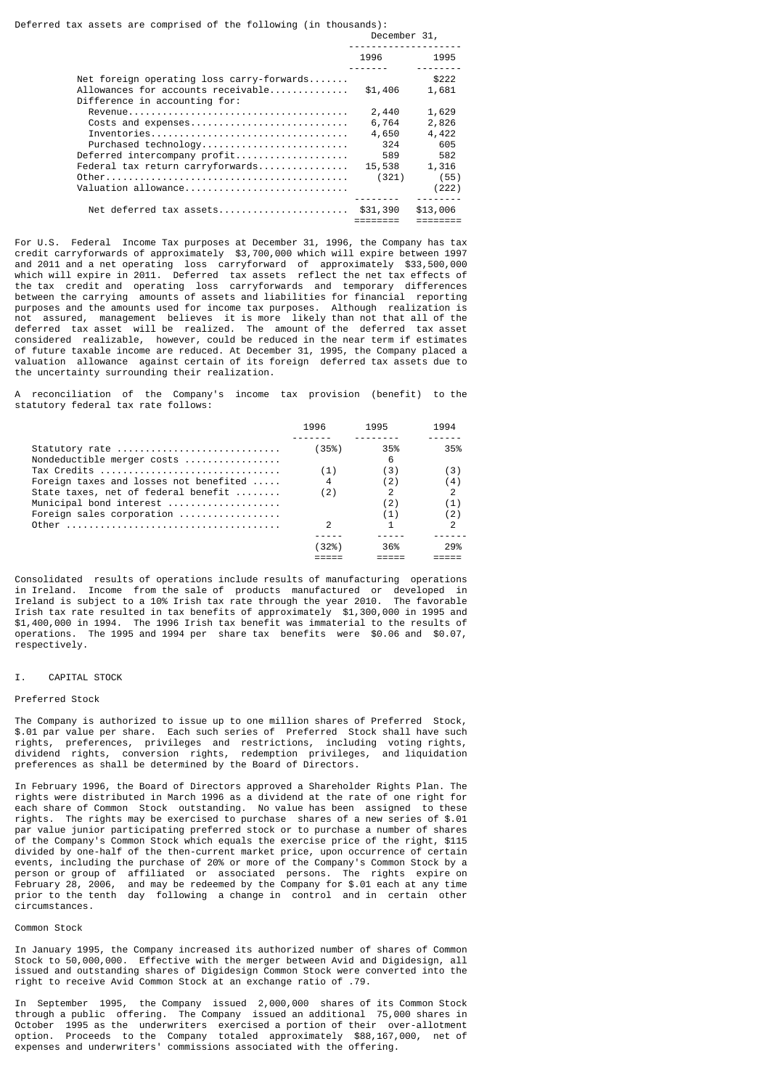|                                                                                                                                                      | 1996                                                     | 1995                                                            |
|------------------------------------------------------------------------------------------------------------------------------------------------------|----------------------------------------------------------|-----------------------------------------------------------------|
| Net foreign operating loss carry-forwards<br>Allowances for accounts receivable<br>Difference in accounting for:                                     | \$1,406                                                  | \$222<br>1,681                                                  |
| Costs and expenses<br>Inventories<br>Purchased technology<br>Deferred intercompany profit<br>Federal tax return carryforwards<br>Valuation allowance | 2,440<br>6,764<br>4,650<br>324<br>589<br>15,538<br>(321) | 1,629<br>2,826<br>4,422<br>605<br>582<br>1,316<br>(55)<br>(222) |
| Net deferred tax assets \$31,390                                                                                                                     |                                                          | \$13,006                                                        |

For U.S. Federal Income Tax purposes at December 31, 1996, the Company has tax credit carryforwards of approximately \$3,700,000 which will expire between 1997 and 2011 and a net operating loss carryforward of approximately \$33,500,000 which will expire in 2011. Deferred tax assets reflect the net tax effects of the tax credit and operating loss carryforwards and temporary differences between the carrying amounts of assets and liabilities for financial reporting purposes and the amounts used for income tax purposes. Although realization is not assured, management believes it is more likely than not that all of the deferred tax asset will be realized. The amount of the deferred tax asset considered realizable, however, could be reduced in the near term if estimates of future taxable income are reduced. At December 31, 1995, the Company placed a valuation allowance against certain of its foreign deferred tax assets due to the uncertainty surrounding their realization.

A reconciliation of the Company's income tax provision (benefit) to the statutory federal tax rate follows:

|                                        | 1996  | 1995           | 1994 |
|----------------------------------------|-------|----------------|------|
|                                        |       |                |      |
| Statutory rate                         | (35%) | 35%            | 35%  |
| Nondeductible merger costs             |       | 6              |      |
| Tax Credits                            | (1)   | (3)            | (3)  |
| Foreign taxes and losses not benefited |       | $\binom{2}{ }$ | (4)  |
| State taxes, net of federal benefit    | (2)   |                |      |
| Municipal bond interest                |       | (2)            | 11   |
| Foreign sales corporation              |       | (1)            | (2)  |
| Other                                  |       |                |      |
|                                        |       |                |      |
|                                        |       | 36%            | 29%  |
|                                        |       |                |      |
|                                        |       |                |      |

Consolidated results of operations include results of manufacturing operations in Ireland. Income from the sale of products manufactured or developed in Ireland is subject to a 10% Irish tax rate through the year 2010. The favorable Irish tax rate resulted in tax benefits of approximately \$1,300,000 in 1995 and \$1,400,000 in 1994. The 1996 Irish tax benefit was immaterial to the results of operations. The 1995 and 1994 per share tax benefits were \$0.06 and \$0.07, respectively.

#### I. CAPITAL STOCK

#### Preferred Stock

The Company is authorized to issue up to one million shares of Preferred Stock, \$.01 par value per share. Each such series of Preferred Stock shall have such rights, preferences, privileges and restrictions, including voting rights, dividend rights, conversion rights, redemption privileges, and liquidation preferences as shall be determined by the Board of Directors.

In February 1996, the Board of Directors approved a Shareholder Rights Plan. The rights were distributed in March 1996 as a dividend at the rate of one right for each share of Common Stock outstanding. No value has been assigned to these rights. The rights may be exercised to purchase shares of a new series of \$.01 par value junior participating preferred stock or to purchase a number of shares of the Company's Common Stock which equals the exercise price of the right, \$115 divided by one-half of the then-current market price, upon occurrence of certain events, including the purchase of 20% or more of the Company's Common Stock by a person or group of affiliated or associated persons. The rights expire on February 28, 2006, and may be redeemed by the Company for \$.01 each at any time prior to the tenth day following a change in control and in certain other circumstances.

#### Common Stock

In January 1995, the Company increased its authorized number of shares of Common Stock to 50,000,000. Effective with the merger between Avid and Digidesign, all issued and outstanding shares of Digidesign Common Stock were converted into the right to receive Avid Common Stock at an exchange ratio of .79.

In September 1995, the Company issued 2,000,000 shares of its Common Stock through a public offering. The Company issued an additional 75,000 shares in October 1995 as the underwriters exercised a portion of their over-allotment option. Proceeds to the Company totaled approximately \$88,167,000, net of expenses and underwriters' commissions associated with the offering.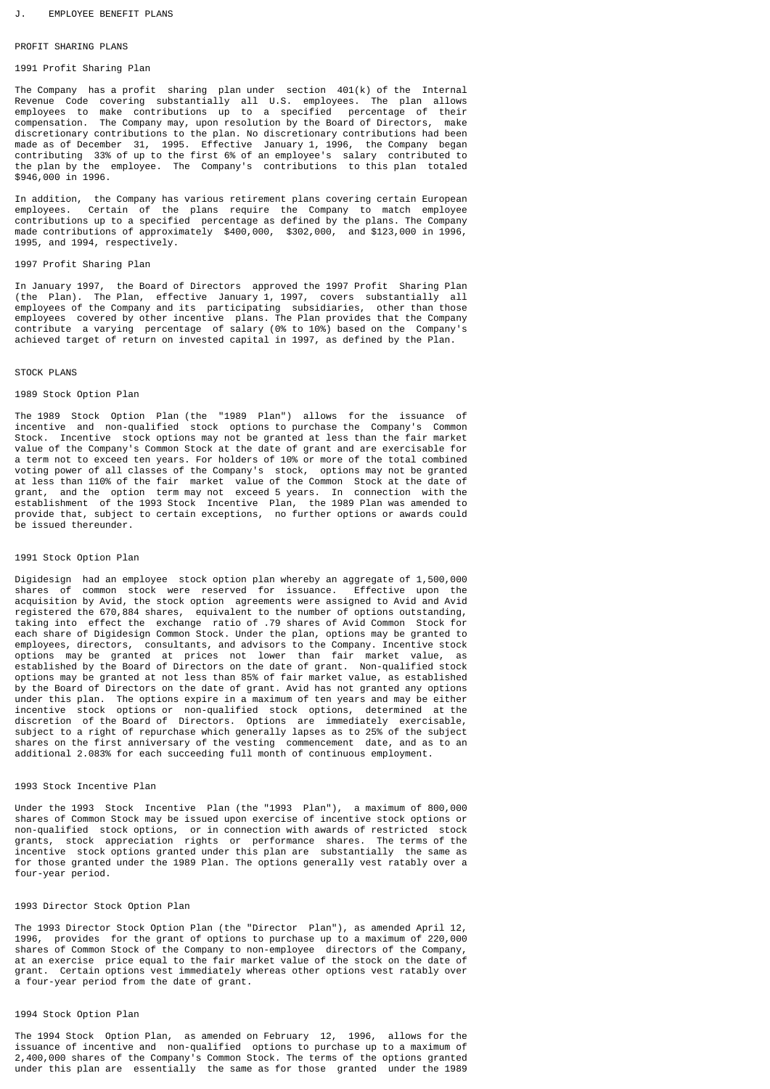#### PROFIT SHARING PLANS

### 1991 Profit Sharing Plan

The Company has a profit sharing plan under section 401(k) of the Internal Revenue Code covering substantially all U.S. employees. The plan allows employees to make contributions up to a specified percentage of their<br>compensation. The Company-may, upon-resolution-by-the-Board-of-Directors, make compensation. The Company may, upon resolution by the Board of Directors, discretionary contributions to the plan. No discretionary contributions had been made as of December 31, 1995. Effective January 1, 1996, the Company began contributing 33% of up to the first 6% of an employee's salary contributed to the plan by the employee. The Company's contributions to this plan totaled \$946,000 in 1996.

In addition, the Company has various retirement plans covering certain European employees. Certain of the plans require the Company to match employee contributions up to a specified percentage as defined by the plans. The Company made contributions of approximately \$400,000, \$302,000, and \$123,000 in 1996, 1995, and 1994, respectively.

### 1997 Profit Sharing Plan

In January 1997, the Board of Directors approved the 1997 Profit Sharing Plan (the Plan). The Plan, effective January 1, 1997, covers substantially all employees of the Company and its participating subsidiaries, other than those employees covered by other incentive plans. The Plan provides that the Company contribute a varying percentage of salary (0% to 10%) based on the Company's achieved target of return on invested capital in 1997, as defined by the Plan.

#### STOCK PLANS

#### 1989 Stock Option Plan

The 1989 Stock Option Plan (the "1989 Plan") allows for the issuance of incentive and non-qualified stock options to purchase the Company's Common Stock. Incentive stock options may not be granted at less than the fair market value of the Company's Common Stock at the date of grant and are exercisable for a term not to exceed ten years. For holders of 10% or more of the total combined voting power of all classes of the Company's stock, options may not be granted at less than 110% of the fair market value of the Common Stock at the date of grant, and the option term may not exceed 5 years. In connection with the establishment of the 1993 Stock Incentive Plan, the 1989 Plan was amended to provide that, subject to certain exceptions, no further options or awards could be issued thereunder.

### 1991 Stock Option Plan

Digidesign had an employee stock option plan whereby an aggregate of 1,500,000 shares of common stock were reserved for issuance. Effective upon the shares of common stock were reserved for issuance. acquisition by Avid, the stock option agreements were assigned to Avid and Avid registered the 670,884 shares, equivalent to the number of options outstanding, taking into effect the exchange ratio of .79 shares of Avid Common Stock for each share of Digidesign Common Stock. Under the plan, options may be granted to employees, directors, consultants, and advisors to the Company. Incentive stock options may be granted at prices not lower than fair market value, as established by the Board of Directors on the date of grant. Non-qualified stock options may be granted at not less than 85% of fair market value, as established by the Board of Directors on the date of grant. Avid has not granted any options under this plan. The options expire in a maximum of ten years and may be either incentive stock options or non-qualified stock options, determined at the discretion of the Board of Directors. Options are immediately exercisable, subject to a right of repurchase which generally lapses as to 25% of the subject shares on the first anniversary of the vesting commencement date, and as to an additional 2.083% for each succeeding full month of continuous employment.

### 1993 Stock Incentive Plan

Under the 1993 Stock Incentive Plan (the "1993 Plan"), a maximum of 800,000 shares of Common Stock may be issued upon exercise of incentive stock options or non-qualified stock options, or in connection with awards of restricted stock grants, stock appreciation rights or performance shares. The terms of the incentive stock options granted under this plan are substantially the same as for those granted under the 1989 Plan. The options generally vest ratably over a four-year period.

### 1993 Director Stock Option Plan

The 1993 Director Stock Option Plan (the "Director Plan"), as amended April 12, 1996, provides for the grant of options to purchase up to a maximum of 220,000 shares of Common Stock of the Company to non-employee directors of the Company, at an exercise price equal to the fair market value of the stock on the date of grant. Certain options vest immediately whereas other options vest ratably over a four-year period from the date of grant.

#### 1994 Stock Option Plan

The 1994 Stock Option Plan, as amended on February 12, 1996, allows for the issuance of incentive and non-qualified options to purchase up to a maximum of 2,400,000 shares of the Company's Common Stock. The terms of the options granted under this plan are essentially the same as for those granted under the 1989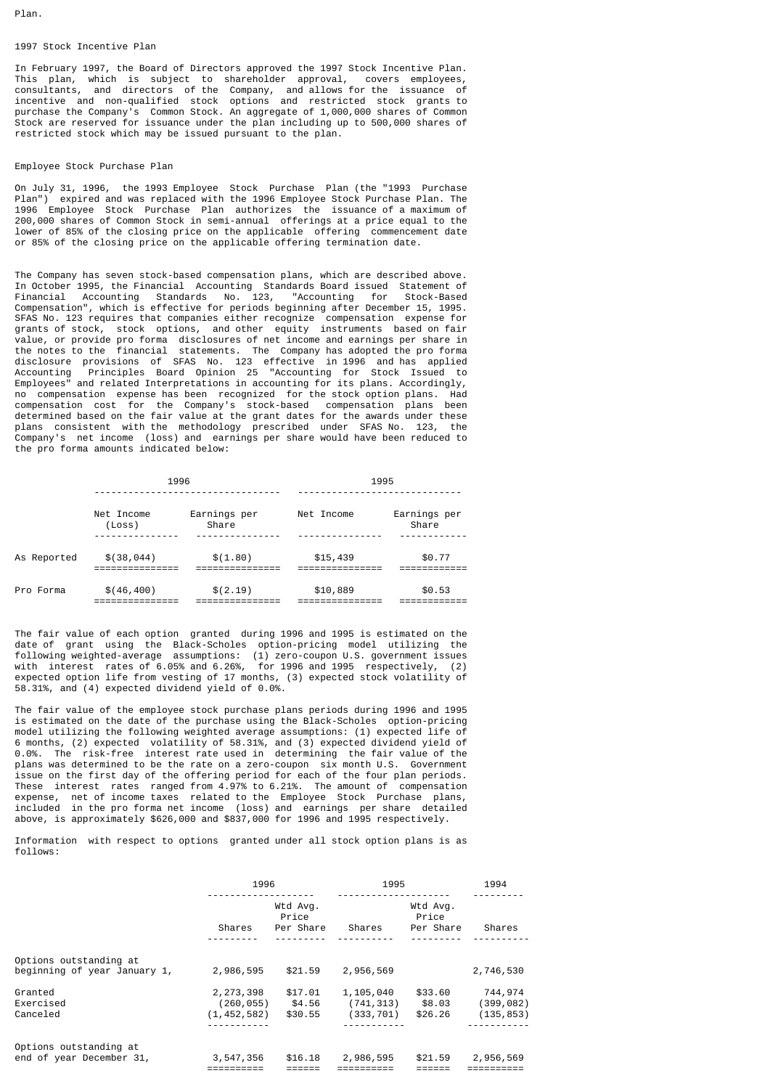Plan.

### 1997 Stock Incentive Plan

In February 1997, the Board of Directors approved the 1997 Stock Incentive Plan. This plan, which is subject to shareholder approval, covers employees, consultants, and directors of the Company, and allows for the issuance of incentive and non-qualified stock options and restricted stock grants to purchase the Company's Common Stock. An aggregate of 1,000,000 shares of Common Stock are reserved for issuance under the plan including up to 500,000 shares of restricted stock which may be issued pursuant to the plan.

### Employee Stock Purchase Plan

On July 31, 1996, the 1993 Employee Stock Purchase Plan (the "1993 Purchase Plan") expired and was replaced with the 1996 Employee Stock Purchase Plan. The 1996 Employee Stock Purchase Plan authorizes the issuance of a maximum of 200,000 shares of Common Stock in semi-annual offerings at a price equal to the lower of 85% of the closing price on the applicable offering commencement date or 85% of the closing price on the applicable offering termination date.

The Company has seven stock-based compensation plans, which are described above. In October 1995, the Financial Accounting Standards Board issued Statement of Financial Accounting Standards No. 123. "Accounting for Stock-Based Financial Accounting Standards No. 123, "Accounting for Compensation", which is effective for periods beginning after December 15, 1995. SFAS No. 123 requires that companies either recognize compensation expense for grants of stock, stock options, and other equity instruments based on fair value, or provide pro forma disclosures of net income and earnings per share in the notes to the financial statements. The Company has adopted the pro forma disclosure provisions of SFAS No. 123 effective in 1996 and has applied Accounting Principles Board Opinion 25 "Accounting for Stock Issued to Employees" and related Interpretations in accounting for its plans. Accordingly, no compensation expense has been recognized for the stock option plans. Had compensation cost for the Company's stock-based compensation plans been determined based on the fair value at the grant dates for the awards under these plans consistent with the methodology prescribed under SFAS No. 123, the Company's net income (loss) and earnings per share would have been reduced to the pro forma amounts indicated below:

|             | 1996                 |                       | 1995       |                       |
|-------------|----------------------|-----------------------|------------|-----------------------|
|             | Net Income<br>(Loss) | Earnings per<br>Share | Net Income | Earnings per<br>Share |
| As Reported | \$(38, 044)          | \$(1.80)              | \$15,439   | \$0.77                |
| Pro Forma   | \$(46, 400)          | \$(2.19)              | \$10,889   | \$0.53                |

The fair value of each option granted during 1996 and 1995 is estimated on the date of grant using the Black-Scholes option-pricing model utilizing the following weighted-average assumptions: (1) zero-coupon U.S. government issues with interest rates of 6.05% and 6.26%, for 1996 and 1995 respectively, (2) expected option life from vesting of 17 months, (3) expected stock volatility of 58.31%, and (4) expected dividend yield of 0.0%.

The fair value of the employee stock purchase plans periods during 1996 and 1995 is estimated on the date of the purchase using the Black-Scholes option-pricing model utilizing the following weighted average assumptions: (1) expected life of 6 months, (2) expected volatility of 58.31%, and (3) expected dividend yield of 0.0%. The risk-free interest rate used in determining the fair value of the plans was determined to be the rate on a zero-coupon six month U.S. Government issue on the first day of the offering period for each of the four plan periods. These interest rates ranged from 4.97% to 6.21%. The amount of compensation expense, net of income taxes related to the Employee Stock Purchase plans, included in the pro forma net income (loss) and earnings per share detailed above, is approximately \$626,000 and \$837,000 for 1996 and 1995 respectively.

Information with respect to options granted under all stock option plans is as follows:

|                                                        | 1996                                       |                                | 1995                                  |                                | 1994                                |
|--------------------------------------------------------|--------------------------------------------|--------------------------------|---------------------------------------|--------------------------------|-------------------------------------|
|                                                        | Shares                                     | Wtd Avg.<br>Price<br>Per Share | Shares                                | Wtd Avg.<br>Price<br>Per Share | Shares                              |
| Options outstanding at<br>beginning of year January 1, | 2,986,595                                  | \$21.59                        | 2,956,569                             |                                | 2,746,530                           |
| Granted<br>Exercised<br>Canceled                       | 2, 273, 398<br>(260, 055)<br>(1, 452, 582) | \$17.01<br>\$4.56<br>\$30.55   | 1,105,040<br>(741, 313)<br>(333, 701) | \$33.60<br>\$8.03<br>\$26.26   | 744,974<br>(399, 082)<br>(135, 853) |
| Options outstanding at<br>end of year December 31,     | 3,547,356                                  | \$16.18                        | 2,986,595                             | \$21.59                        | 2,956,569                           |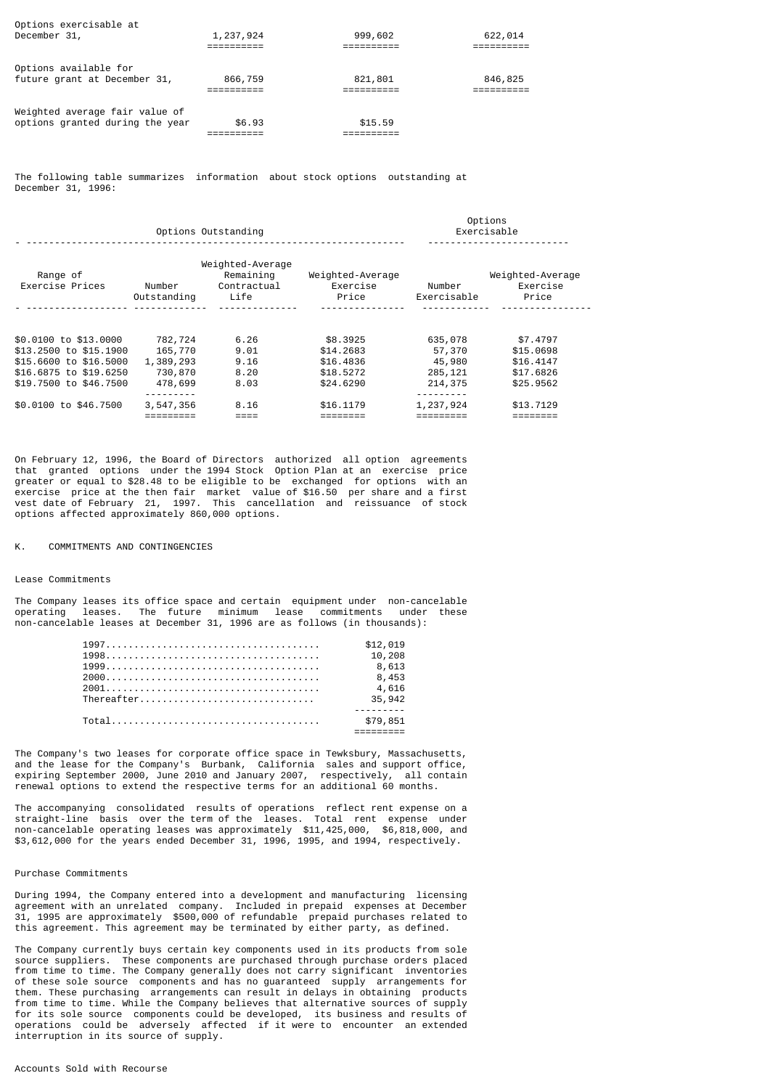| Options exercisable at<br>December 31,                            | 1,237,924 | 999,602 | 622,014 |
|-------------------------------------------------------------------|-----------|---------|---------|
| Options available for<br>future grant at December 31,             | 866,759   | 821,801 | 846,825 |
| Weighted average fair value of<br>options granted during the year | \$6.93    | \$15.59 |         |

The following table summarizes information about stock options outstanding at December 31, 1996:

|                                                                                                                               | Options Outstanding                                   |                                                      | Options<br>Exercisable                                       |                                                   |                                                              |
|-------------------------------------------------------------------------------------------------------------------------------|-------------------------------------------------------|------------------------------------------------------|--------------------------------------------------------------|---------------------------------------------------|--------------------------------------------------------------|
| Range of<br>Exercise Prices                                                                                                   | Number<br>Outstanding                                 | Weighted-Average<br>Remaining<br>Contractual<br>Life | Weighted-Average<br>Exercise<br>Price                        | Number<br>Exercisable                             | Weighted-Average<br>Exercise<br>Price                        |
| \$0.0100 to \$13.0000<br>\$13,2500 to \$15,1900<br>\$15,6600 to \$16,5000<br>\$16,6875 to \$19,6250<br>\$19,7500 to \$46,7500 | 782,724<br>165,770<br>1,389,293<br>730,870<br>478,699 | 6.26<br>9.01<br>9.16<br>8.20<br>8.03                 | \$8,3925<br>\$14,2683<br>\$16,4836<br>\$18,5272<br>\$24,6290 | 635,078<br>57,370<br>45,980<br>285,121<br>214,375 | \$7,4797<br>\$15,0698<br>\$16,4147<br>\$17,6826<br>\$25,9562 |
| \$0.0100 to \$46.7500                                                                                                         | 3,547,356                                             | 8.16<br>====                                         | \$16,1179                                                    | 1,237,924                                         | \$13,7129                                                    |

On February 12, 1996, the Board of Directors authorized all option agreements that granted options under the 1994 Stock Option Plan at an exercise price greater or equal to \$28.48 to be eligible to be exchanged for options with an exercise price at the then fair market value of \$16.50 per share and a first vest date of February 21, 1997. This cancellation and reissuance of stock options affected approximately 860,000 options.

K. COMMITMENTS AND CONTINGENCIES

#### Lease Commitments

The Company leases its office space and certain equipment under non-cancelable operating leases. The future minimum lease commitments under these non-cancelable leases at December 31, 1996 are as follows (in thousands):

|            | \$12.019 |
|------------|----------|
|            | 10,208   |
|            | 8,613    |
|            | 8,453    |
|            | 4,616    |
| Thereafter | 35,942   |
|            |          |
|            | \$79,851 |
|            |          |

The Company's two leases for corporate office space in Tewksbury, Massachusetts, and the lease for the Company's Burbank, California sales and support office, expiring September 2000, June 2010 and January 2007, respectively, all contain renewal options to extend the respective terms for an additional 60 months.

The accompanying consolidated results of operations reflect rent expense on a straight-line basis over the term of the leases. Total rent expense under non-cancelable operating leases was approximately \$11,425,000, \$6,818,000, and \$3,612,000 for the years ended December 31, 1996, 1995, and 1994, respectively.

#### Purchase Commitments

During 1994, the Company entered into a development and manufacturing licensing agreement with an unrelated company. Included in prepaid expenses at December 31, 1995 are approximately \$500,000 of refundable prepaid purchases related to this agreement. This agreement may be terminated by either party, as defined.

The Company currently buys certain key components used in its products from sole source suppliers. These components are purchased through purchase orders placed from time to time. The Company generally does not carry significant inventories of these sole source components and has no guaranteed supply arrangements for them. These purchasing arrangements can result in delays in obtaining products from time to time. While the Company believes that alternative sources of supply for its sole source components could be developed, its business and results of operations could be adversely affected if it were to encounter an extended interruption in its source of supply.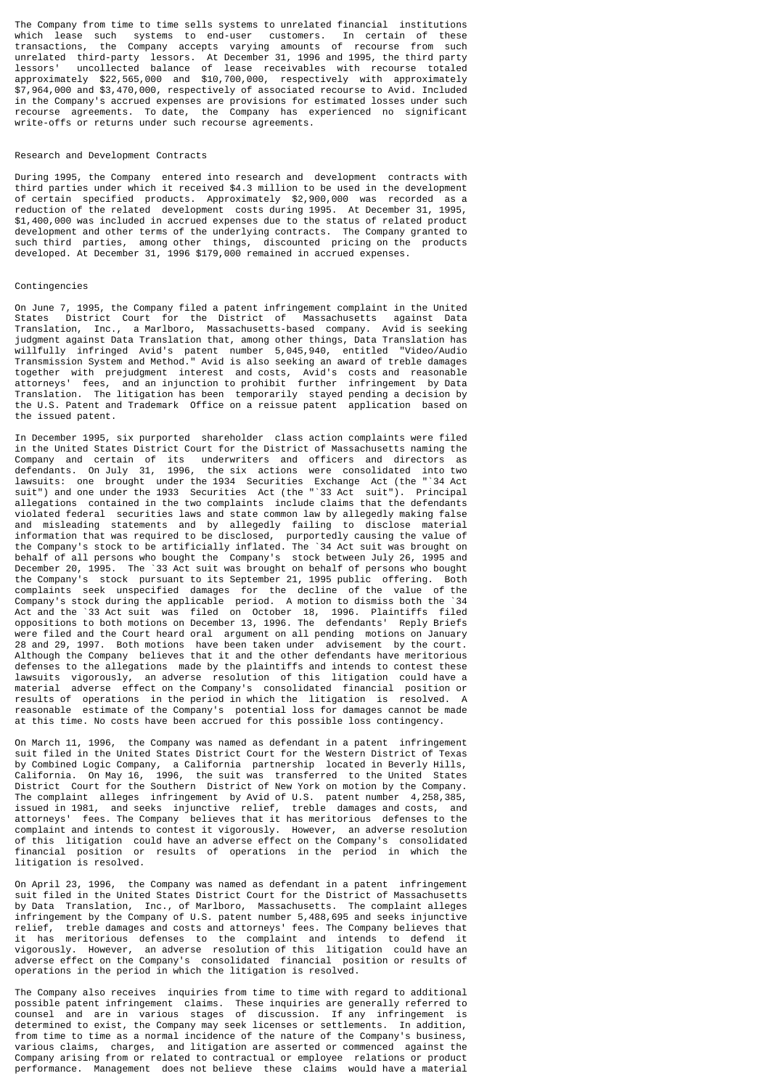The Company from time to time sells systems to unrelated financial institutions which lease such systems to end-user customers. In certain of these transactions, the Company accepts varying amounts of recourse from such unrelated third-party lessors. At December 31, 1996 and 1995, the third party lessors' uncollected balance of lease receivables with recourse totaled approximately \$22,565,000 and \$10,700,000, respectively with approximately \$7,964,000 and \$3,470,000, respectively of associated recourse to Avid. Included in the Company's accrued expenses are provisions for estimated losses under such recourse agreements. To date, the Company has experienced no significant write-offs or returns under such recourse agreements.

#### Research and Development Contracts

During 1995, the Company entered into research and development contracts with third parties under which it received \$4.3 million to be used in the development of certain specified products. Approximately \$2,900,000 was recorded as a reduction of the related development costs during 1995. At December 31, 1995, \$1,400,000 was included in accrued expenses due to the status of related product development and other terms of the underlying contracts. The Company granted to such third parties, among other things, discounted pricing on the products developed. At December 31, 1996 \$179,000 remained in accrued expenses.

### Contingencies

On June 7, 1995, the Company filed a patent infringement complaint in the United States District Court for the District of Massachusetts against Data Translation, Inc., a Marlboro, Massachusetts-based company. Avid is seeking judgment against Data Translation that, among other things, Data Translation has willfully infringed Avid's patent number 5,045,940, entitled "Video/Audio Transmission System and Method." Avid is also seeking an award of treble damages together with prejudgment interest and costs, Avid's costs and reasonable attorneys' fees, and an injunction to prohibit further infringement by Data Translation. The litigation has been temporarily stayed pending a decision by the U.S. Patent and Trademark Office on a reissue patent application based on the issued patent.

In December 1995, six purported shareholder class action complaints were filed in the United States District Court for the District of Massachusetts naming the Company and certain of its underwriters and officers and directors as defendants. On July 31, 1996, the six actions were consolidated into two lawsuits: one brought under the 1934 Securities Exchange Act (the "`34 Act suit") and one under the 1933 Securities Act (the "`33 Act suit"). Principal allegations contained in the two complaints include claims that the defendants violated federal securities laws and state common law by allegedly making false and misleading statements and by allegedly failing to disclose material information that was required to be disclosed, purportedly causing the value of the Company's stock to be artificially inflated. The `34 Act suit was brought on behalf of all persons who bought the Company's stock between July 26, 1995 and December 20, 1995. The `33 Act suit was brought on behalf of persons who bought the Company's stock pursuant to its September 21, 1995 public offering. Both complaints seek unspecified damages for the decline of the value of the Company's stock during the applicable period. A motion to dismiss both the `34 Act and the `33 Act suit was filed on October 18, 1996. Plaintiffs filed oppositions to both motions on December 13, 1996. The defendants' Reply Briefs were filed and the Court heard oral argument on all pending motions on January 28 and 29, 1997. Both motions have been taken under advisement by the court. Although the Company believes that it and the other defendants have meritorious defenses to the allegations made by the plaintiffs and intends to contest these lawsuits vigorously, an adverse resolution of this litigation could have a material adverse effect on the Company's consolidated financial position or results of operations in the period in which the litigation is resolved. A reasonable estimate of the Company's potential loss for damages cannot be made at this time. No costs have been accrued for this possible loss contingency.

On March 11, 1996, the Company was named as defendant in a patent infringement suit filed in the United States District Court for the Western District of Texas by Combined Logic Company, a California partnership located in Beverly Hills, California. On May 16, 1996, the suit was transferred to the United States District Court for the Southern District of New York on motion by the Company. The complaint alleges infringement by Avid of U.S. patent number 4,258,385, issued in 1981, and seeks injunctive relief, treble damages and costs, and attorneys' fees. The Company believes that it has meritorious defenses to the complaint and intends to contest it vigorously. However, an adverse resolution of this litigation could have an adverse effect on the Company's consolidated financial position or results of operations in the period in which the litigation is resolved.

On April 23, 1996, the Company was named as defendant in a patent infringement suit filed in the United States District Court for the District of Massachusetts by Data Translation, Inc., of Marlboro, Massachusetts. The complaint alleges infringement by the Company of U.S. patent number 5,488,695 and seeks injunctive relief, treble damages and costs and attorneys' fees. The Company believes that it has meritorious defenses to the complaint and intends to defend it vigorously. However, an adverse resolution of this litigation could have an adverse effect on the Company's consolidated financial position or results of operations in the period in which the litigation is resolved.

The Company also receives inquiries from time to time with regard to additional possible patent infringement claims. These inquiries are generally referred to counsel and are in various stages of discussion. If any infringement is determined to exist, the Company may seek licenses or settlements. In addition, from time to time as a normal incidence of the nature of the Company's business, various claims, charges, and litigation are asserted or commenced against the Company arising from or related to contractual or employee relations or product performance. Management does not believe these claims would have a material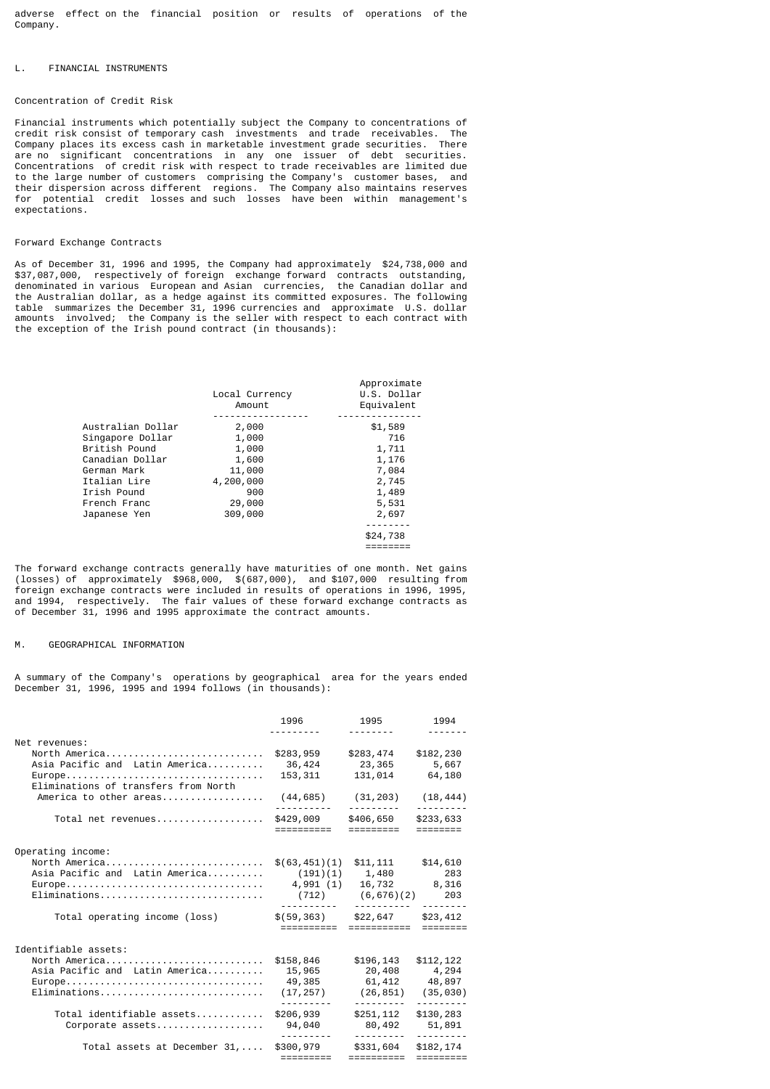adverse effect on the financial position or results of operations of the Company.

### L. FINANCIAL INSTRUMENTS

#### Concentration of Credit Risk

Financial instruments which potentially subject the Company to concentrations of credit risk consist of temporary cash investments and trade receivables. The Company places its excess cash in marketable investment grade securities. are no significant concentrations in any one issuer of debt securities. Concentrations of credit risk with respect to trade receivables are limited due to the large number of customers comprising the Company's customer bases, and their dispersion across different regions. The Company also maintains reserves for potential credit losses and such losses have been within management's expectations.

#### Forward Exchange Contracts

As of December 31, 1996 and 1995, the Company had approximately \$24,738,000 and \$37,087,000, respectively of foreign exchange forward contracts outstanding, denominated in various European and Asian currencies, the Canadian dollar and the Australian dollar, as a hedge against its committed exposures. The following table summarizes the December 31, 1996 currencies and approximate U.S. dollar amounts involved; the Company is the seller with respect to each contract with the exception of the Irish pound contract (in thousands):

| Local Currency<br>Amount | Approximate<br>U.S. Dollar<br>Equivalent |
|--------------------------|------------------------------------------|
|                          | \$1,589                                  |
| 1,000                    | 716                                      |
| 1,000                    | 1,711                                    |
| 1,600                    | 1,176                                    |
| 11,000                   | 7,084                                    |
| 4,200,000                | 2,745                                    |
| 900                      | 1,489                                    |
| 29,000                   | 5,531                                    |
| 309,000                  | 2,697                                    |
|                          |                                          |
|                          | \$24,738                                 |
|                          |                                          |
|                          | 2,000                                    |

The forward exchange contracts generally have maturities of one month. Net gains (losses) of approximately \$968,000, \$(687,000), and \$107,000 resulting from foreign exchange contracts were included in results of operations in 1996, 1995, and 1994, respectively. The fair values of these forward exchange contracts as of December 31, 1996 and 1995 approximate the contract amounts.

### M. GEOGRAPHICAL INFORMATION

A summary of the Company's operations by geographical area for the years ended December 31, 1996, 1995 and 1994 follows (in thousands):

|                                                 | 1996                                  | 1995                                             | 1994                   |
|-------------------------------------------------|---------------------------------------|--------------------------------------------------|------------------------|
| Net revenues:                                   |                                       |                                                  |                        |
| North America<br>Asia Pacific and Latin America | \$283,959<br>36,424                   | \$283,474<br>23,365                              | \$182,230<br>5,667     |
| Europe<br>Eliminations of transfers from North  | 153,311                               | 131,014                                          | 64,180                 |
| America to other areas                          | (44, 685)                             | (31,203)                                         | (18, 444)              |
| Total net revenues                              | \$429,009<br>==========               | \$406,650<br>$=$ $=$ $=$ $=$ $=$ $=$ $=$ $=$ $=$ | \$233,633<br>========  |
| Operating income:                               |                                       |                                                  |                        |
| North America                                   | \$(63, 451)(1)                        | \$11,111                                         | \$14,610               |
| Asia Pacific and Latin America                  | (191)(1)                              | 1,480                                            | 283                    |
|                                                 | 4,991 (1)                             | 16,732 8,316                                     |                        |
|                                                 |                                       | $(712)$ $(6, 676)(2)$                            | 203                    |
| Total operating income (loss)                   | $$(59, 363)$ $$22, 647$<br>========== | ===========                                      | \$23,412<br>========   |
|                                                 |                                       |                                                  |                        |
| Identifiable assets:                            |                                       |                                                  |                        |
| North America                                   | \$158,846                             | \$196,143                                        | \$112,122              |
| Asia Pacific and Latin America                  | 15,965                                | 20,408                                           | 4,294                  |
|                                                 | 49,385                                | 61,412                                           | 48,897                 |
|                                                 | (17, 257)                             | (26, 851)                                        | (35, 030)              |
| Total identifiable assets                       | \$206,939                             | \$251,112                                        | \$130,283              |
| Corporate assets                                | 94,040                                | 80,492                                           | 51,891                 |
| Total assets at December 31,                    | \$300,979<br>=========                | \$331,604<br>==========                          | \$182,174<br>========= |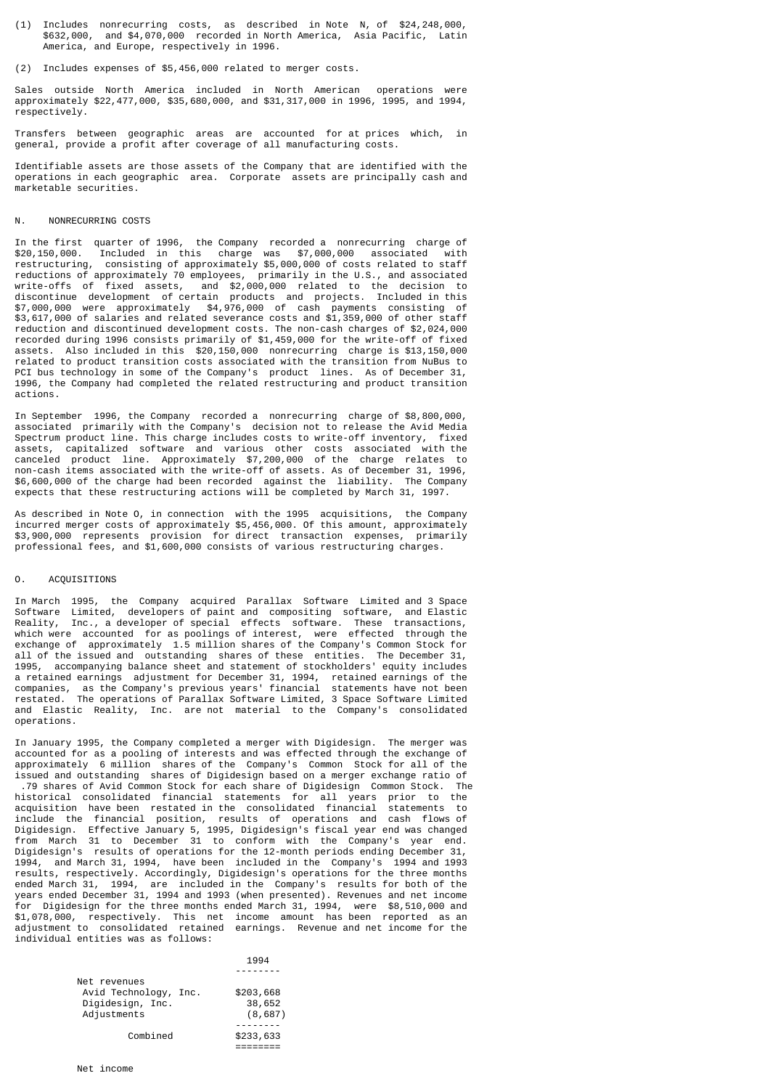- (1) Includes nonrecurring costs, as described in Note N, of \$24,248,000, \$632,000, and \$4,070,000 recorded in North America, Asia Pacific, Latin America, and Europe, respectively in 1996.
- (2) Includes expenses of \$5,456,000 related to merger costs.

Sales outside North America included in North American operations were approximately \$22,477,000, \$35,680,000, and \$31,317,000 in 1996, 1995, and 1994, respectively.

Transfers between geographic areas are accounted for at prices which, in general, provide a profit after coverage of all manufacturing costs.

Identifiable assets are those assets of the Company that are identified with the operations in each geographic area. Corporate assets are principally cash and marketable securities.

### N. NONRECURRING COSTS

In the first quarter of 1996, the Company recorded a nonrecurring charge of \$20,150,000. Included in this charge was \$7,000,000 associated with restructuring, consisting of approximately \$5,000,000 of costs related to staff reductions of approximately 70 employees, primarily in the U.S., and associated write-offs of fixed assets, and \$2,000,000 related to the decision to discontinue development of certain products and projects. Included in this \$7,000,000 were approximately \$4,976,000 of cash payments consisting of \$3,617,000 of salaries and related severance costs and \$1,359,000 of other staff reduction and discontinued development costs. The non-cash charges of \$2,024,000 recorded during 1996 consists primarily of \$1,459,000 for the write-off of fixed assets. Also included in this \$20,150,000 nonrecurring charge is \$13,150,000 related to product transition costs associated with the transition from NuBus to PCI bus technology in some of the Company's product lines. As of December 31, 1996, the Company had completed the related restructuring and product transition actions.

In September 1996, the Company recorded a nonrecurring charge of \$8,800,000, associated primarily with the Company's decision not to release the Avid Media Spectrum product line. This charge includes costs to write-off inventory, fixed assets, capitalized software and various other costs associated with the canceled product line. Approximately \$7,200,000 of the charge relates to non-cash items associated with the write-off of assets. As of December 31, 1996, \$6,600,000 of the charge had been recorded against the liability. The Company expects that these restructuring actions will be completed by March 31, 1997.

As described in Note O, in connection with the 1995 acquisitions, the Company incurred merger costs of approximately \$5,456,000. Of this amount, approximately \$3,900,000 represents provision for direct transaction expenses, primarily professional fees, and \$1,600,000 consists of various restructuring charges.

### O. ACQUISITIONS

In March 1995, the Company acquired Parallax Software Limited and 3 Space Software Limited, developers of paint and compositing software, and Elastic Reality, Inc., a developer of special effects software. These transactions, which were accounted for as poolings of interest, were effected through the exchange of approximately 1.5 million shares of the Company's Common Stock for all of the issued and outstanding shares of these entities. The December 31, 1995, accompanying balance sheet and statement of stockholders' equity includes a retained earnings adjustment for December 31, 1994, retained earnings of the companies, as the Company's previous years' financial statements have not been restated. The operations of Parallax Software Limited, 3 Space Software Limited and Elastic Reality, Inc. are not material to the Company's consolidated operations.

In January 1995, the Company completed a merger with Digidesign. The merger was accounted for as a pooling of interests and was effected through the exchange of approximately 6 million shares of the Company's Common Stock for all of the issued and outstanding shares of Digidesign based on a merger exchange ratio of .79 shares of Avid Common Stock for each share of Digidesign Common Stock. The historical consolidated financial statements for all years prior to the acquisition have been restated in the consolidated financial statements to include the financial position, results of operations and cash flows of Digidesign. Effective January 5, 1995, Digidesign's fiscal year end was changed from March 31 to December 31 to conform with the Company's year end. Digidesign's results of operations for the 12-month periods ending December 31, 1994, and March 31, 1994, have been included in the Company's 1994 and 1993 results, respectively. Accordingly, Digidesign's operations for the three months ended March 31, 1994, are included in the Company's results for both of the years ended December 31, 1994 and 1993 (when presented). Revenues and net income for Digidesign for the three months ended March 31, 1994, were \$8,510,000 and \$1,078,000, respectively. This net income amount has been reported as an adjustment to consolidated retained earnings. Revenue and net income for the individual entities was as follows:

|                       | 1994      |
|-----------------------|-----------|
|                       |           |
| Net revenues          |           |
| Avid Technology, Inc. | \$203,668 |
| Digidesign, Inc.      | 38,652    |
| Adjustments           | (8, 687)  |
|                       |           |
| Combined              | \$233,633 |

========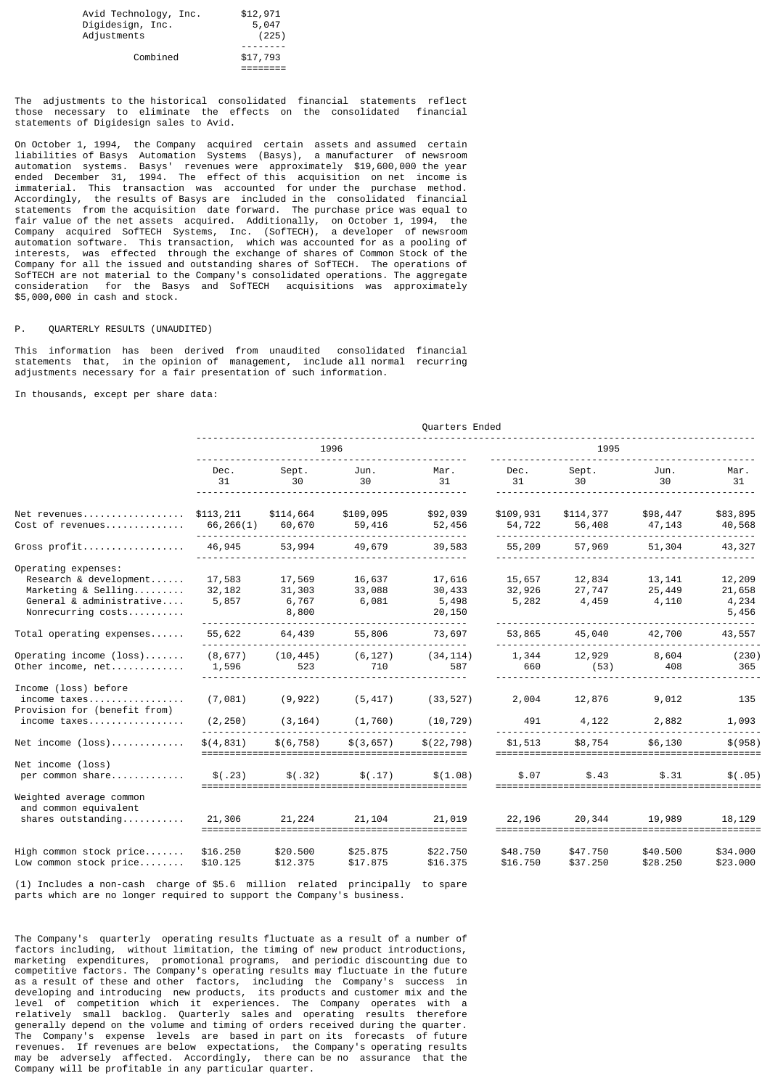| Avid Technology, Inc. | \$12,971 |
|-----------------------|----------|
| Digidesign, Inc.      | 5,047    |
| Adjustments           | (225)    |
| Combined              | \$17,793 |

The adjustments to the historical consolidated financial statements reflect those necessary to eliminate the effects on the consolidated financial those necessary to eliminate the effects on the consolidated statements of Digidesign sales to Avid.

On October 1, 1994, the Company acquired certain assets and assumed certain liabilities of Basys Automation Systems (Basys), a manufacturer of newsroom automation systems. Basys' revenues were approximately \$19,600,000 the year ended December 31, 1994. The effect of this acquisition on net income is immaterial. This transaction was accounted for under the purchase method. Accordingly, the results of Basys are included in the consolidated financial statements from the acquisition date forward. The purchase price was equal to fair value of the net assets acquired. Additionally, on October 1, 1994, the Company acquired SofTECH Systems, Inc. (SofTECH), a developer of newsroom automation software. This transaction, which was accounted for as a pooling of interests, was effected through the exchange of shares of Common Stock of the Company for all the issued and outstanding shares of SofTECH. The operations of SofTECH are not material to the Company's consolidated operations. The aggregate consideration for the Basys and SofTECH acquisitions was approximately \$5,000,000 in cash and stock.

#### P. QUARTERLY RESULTS (UNAUDITED)

This information has been derived from unaudited consolidated financial statements that, in the opinion of management, include all normal recurring adjustments necessary for a fair presentation of such information.

In thousands, except per share data:

|                                                                                                                        | Quarters Ended            |                                    |                           |                                     |                           |                           |                            |                                    |
|------------------------------------------------------------------------------------------------------------------------|---------------------------|------------------------------------|---------------------------|-------------------------------------|---------------------------|---------------------------|----------------------------|------------------------------------|
|                                                                                                                        | 1996                      |                                    |                           |                                     | 1995                      |                           |                            |                                    |
|                                                                                                                        | Dec.<br>31                | Sept.<br>30                        | Jun.<br>30                | Mar.<br>31                          | Dec.<br>31                | Sept.<br>30               | Jun.<br>30                 | Mar.<br>31                         |
| Net revenues<br>Cost of revenues                                                                                       | \$113,211<br>66,266(1)    | \$114,664<br>60,670                | \$109,095<br>59,416       | \$92,039<br>52,456                  | \$109,931<br>54,722       | \$114,377<br>56,408       | \$98,447<br>47,143         | \$83,895<br>40,568<br>------       |
| Gross profit                                                                                                           | 46,945                    | 53,994                             | 49,679                    | 39,583                              | 55,209                    | 57,969                    | 51,304                     | 43,327                             |
| Operating expenses:<br>Research & development<br>Marketing & Selling<br>General & administrative<br>Nonrecurring costs | 17,583<br>32,182<br>5,857 | 17,569<br>31,303<br>6,767<br>8,800 | 16,637<br>33,088<br>6,081 | 17,616<br>30,433<br>5,498<br>20,150 | 15,657<br>32,926<br>5,282 | 12,834<br>27,747<br>4,459 | 13, 141<br>25,449<br>4,110 | 12,209<br>21,658<br>4,234<br>5,456 |
| $Total$ operating expenses                                                                                             | 55,622                    | 64,439                             | 55,806                    | 73,697                              | 53,865                    | 45,040                    | 42,700                     | 43,557                             |
| Operating income $(\text{loss})$<br>Other income, net                                                                  | (8, 677)<br>1,596         | (10, 445)<br>523                   | (6, 127)<br>710           | (34, 114)<br>587                    | 1,344<br>660              | 12,929<br>(53)            | 8,604<br>408               | (230)<br>365                       |
| Income (loss) before<br>income taxes<br>Provision for (benefit from)<br>income taxes                                   | (7,081)<br>(2, 250)       | (9, 922)<br>(3, 164)               | (5, 417)<br>(1, 760)      | (33, 527)<br>(10, 729)              | 2,004<br>491              | 12,876<br>4,122           | 9,012<br>2,882             | 135<br>1,093                       |
| $Net$ income $(loss)$                                                                                                  | \$(4,831)                 | \$(6, 758)                         | \$(3, 657)                | \$(22, 798)                         | \$1,513                   | \$8,754                   | \$6,130                    | \$ (958)                           |
| Net income (loss)<br>per common share                                                                                  | \$(.23)                   | \$(.32)                            | \$(.17)                   | ========<br>\$(1.08)<br>==========  | \$.07                     | \$.43                     | \$.31                      | \$(.05)                            |
| Weighted average common<br>and common equivalent<br>shares outstanding                                                 | 21,306                    | 21,224                             | 21,104                    | 21,019                              | 22,196                    | 20,344                    | 19,989                     | 18,129                             |
| High common stock price<br>Low common stock price                                                                      | \$16.250<br>\$10.125      | \$20.500<br>\$12.375               | \$25.875<br>\$17.875      | \$22.750<br>\$16.375                | \$48.750<br>\$16.750      | \$47.750<br>\$37.250      | \$40.500<br>\$28.250       | \$34.000<br>\$23.000               |
| (1) Includes a non-cash, charge of \$5.6, million, related, principally, to spare                                      |                           |                                    |                           |                                     |                           |                           |                            |                                    |

(1) Includes a non-cash charge of \$5.6 million related principally to spare parts which are no longer required to support the Company's business.

The Company's quarterly operating results fluctuate as a result of a number of factors including, without limitation, the timing of new product introductions, marketing expenditures, promotional programs, and periodic discounting due to competitive factors. The Company's operating results may fluctuate in the future as a result of these and other factors, including the Company's success in developing and introducing new products, its products and customer mix and the level of competition which it experiences. The Company operates with a relatively small backlog. Quarterly sales and operating results therefore generally depend on the volume and timing of orders received during the quarter. The Company's expense levels are based in part on its forecasts of future revenues. If revenues are below expectations, the Company's operating results may be adversely affected. Accordingly, there can be no assurance that the Company will be profitable in any particular quarter.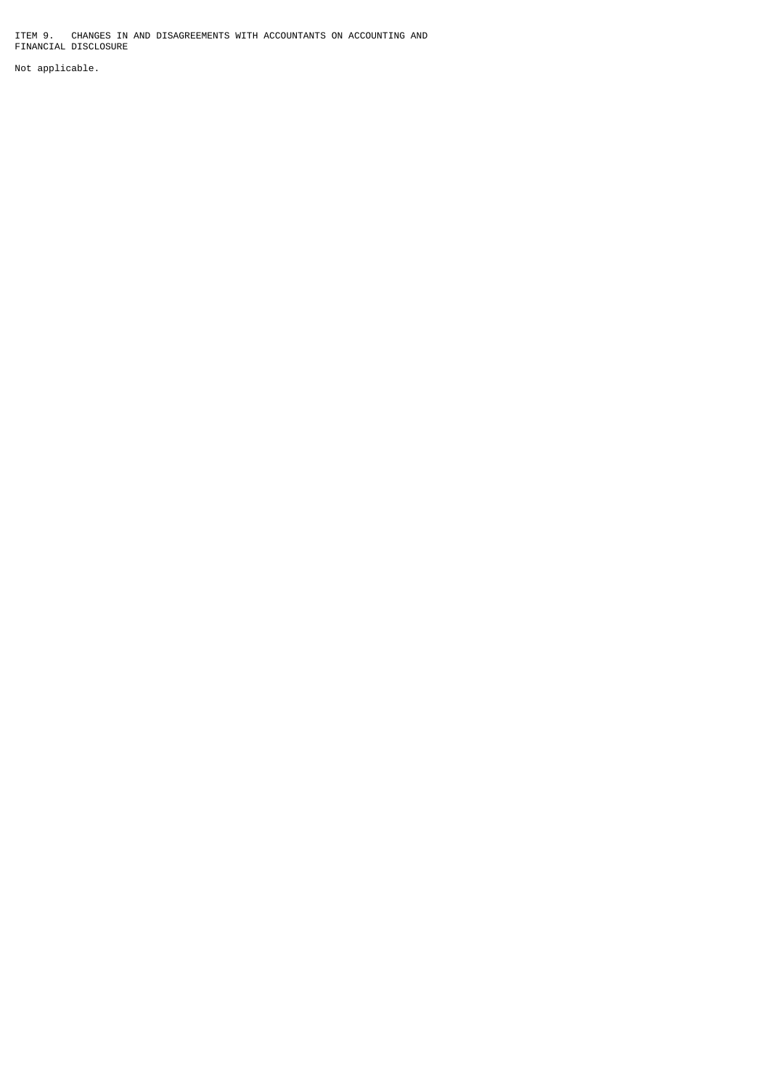ITEM 9. CHANGES IN AND DISAGREEMENTS WITH ACCOUNTANTS ON ACCOUNTING AND FINANCIAL DISCLOSURE

Not applicable.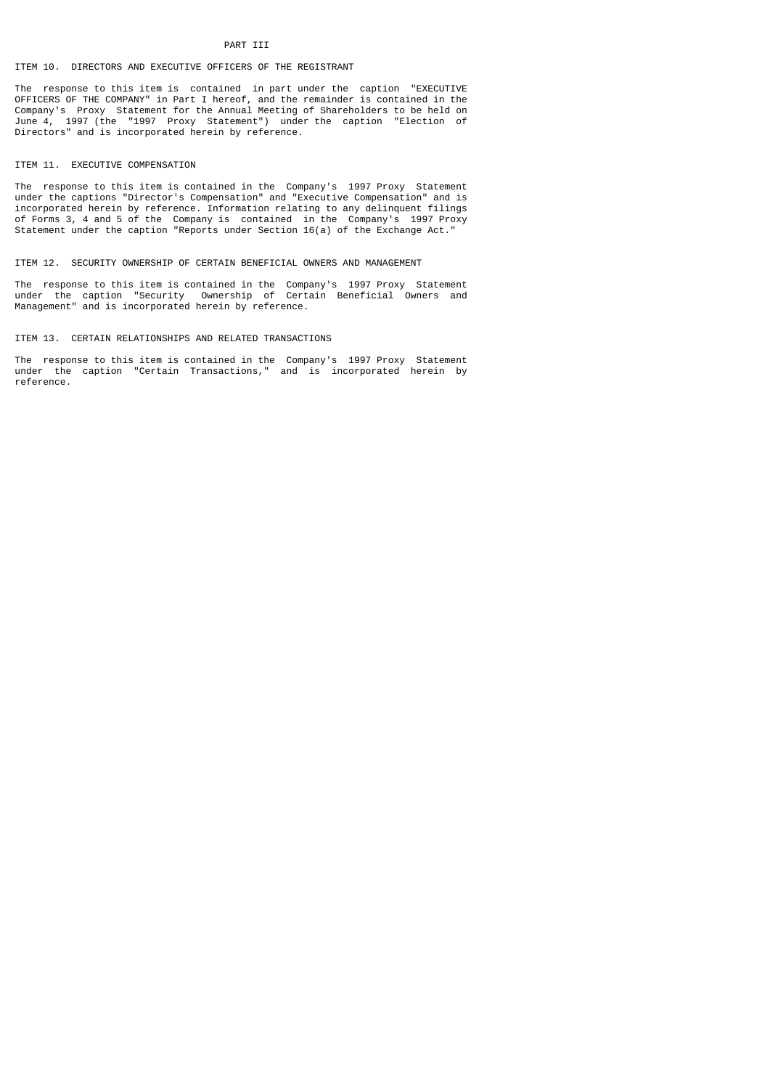### PART III

### ITEM 10. DIRECTORS AND EXECUTIVE OFFICERS OF THE REGISTRANT

The response to this item is contained in part under the caption "EXECUTIVE OFFICERS OF THE COMPANY" in Part I hereof, and the remainder is contained in the Company's Proxy Statement for the Annual Meeting of Shareholders to be held on June 4, 1997 (the "1997 Proxy Statement") under the caption "Election of Directors" and is incorporated herein by reference.

### ITEM 11. EXECUTIVE COMPENSATION

The response to this item is contained in the Company's 1997 Proxy Statement under the captions "Director's Compensation" and "Executive Compensation" and is incorporated herein by reference. Information relating to any delinquent filings of Forms 3, 4 and 5 of the Company is contained in the Company's 1997 Proxy Statement under the caption "Reports under Section 16(a) of the Exchange Act."

## ITEM 12. SECURITY OWNERSHIP OF CERTAIN BENEFICIAL OWNERS AND MANAGEMENT

The response to this item is contained in the Company's 1997 Proxy Statement under the caption "Security Ownership of Certain Beneficial Owners and Management" and is incorporated herein by reference.

### ITEM 13. CERTAIN RELATIONSHIPS AND RELATED TRANSACTIONS

The response to this item is contained in the Company's 1997 Proxy Statement under the caption "Certain Transactions," and is incorporated herein by reference.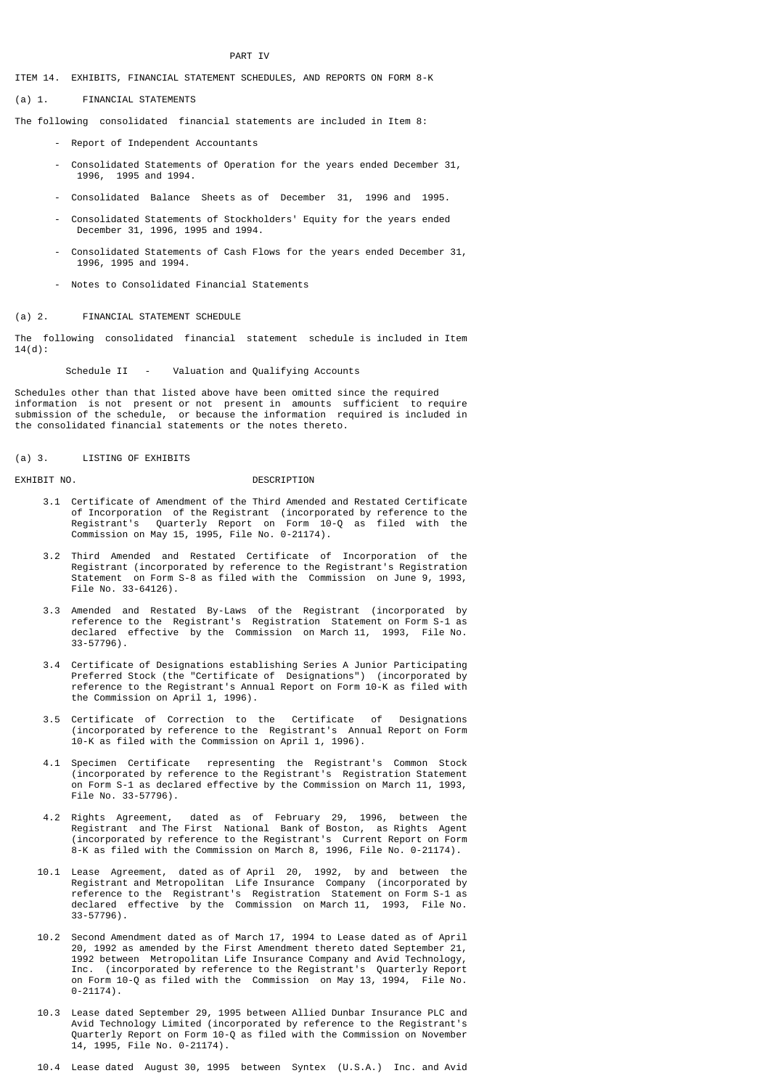### PART IV

ITEM 14. EXHIBITS, FINANCIAL STATEMENT SCHEDULES, AND REPORTS ON FORM 8-K

(a) 1. FINANCIAL STATEMENTS

The following consolidated financial statements are included in Item 8:

- Report of Independent Accountants
- Consolidated Statements of Operation for the years ended December 31, 1996, 1995 and 1994.
- Consolidated Balance Sheets as of December 31, 1996 and 1995.
- Consolidated Statements of Stockholders' Equity for the years ended December 31, 1996, 1995 and 1994.
- Consolidated Statements of Cash Flows for the years ended December 31, 1996, 1995 and 1994.
- Notes to Consolidated Financial Statements

### (a) 2. FINANCIAL STATEMENT SCHEDULE

The following consolidated financial statement schedule is included in Item 14(d):

Schedule II - Valuation and Qualifying Accounts

Schedules other than that listed above have been omitted since the required information is not present or not present in amounts sufficient to require submission of the schedule, or because the information required is included in the consolidated financial statements or the notes thereto.

(a) 3. LISTING OF EXHIBITS

#### EXHIBIT NO. 2008 DESCRIPTION

- 3.1 Certificate of Amendment of the Third Amended and Restated Certificate of Incorporation of the Registrant (incorporated by reference to the Registrant's Quarterly Report on Form 10-Q as filed with the Commission on May 15, 1995, File No. 0-21174).
- 3.2 Third Amended and Restated Certificate of Incorporation of the Registrant (incorporated by reference to the Registrant's Registration Statement on Form S-8 as filed with the Commission on June 9, 1993, File No. 33-64126).
- 3.3 Amended and Restated By-Laws of the Registrant (incorporated by reference to the Registrant's Registration Statement on Form S-1 as declared effective by the Commission on March 11, 1993, File No. 33-57796).
- 3.4 Certificate of Designations establishing Series A Junior Participating Preferred Stock (the "Certificate of Designations") (incorporated by reference to the Registrant's Annual Report on Form 10-K as filed with the Commission on April 1, 1996).
	- 3.5 Certificate of Correction to the Certificate of Designations (incorporated by reference to the Registrant's Annual Report on Form 10-K as filed with the Commission on April 1, 1996).
	- 4.1 Specimen Certificate representing the Registrant's Common Stock (incorporated by reference to the Registrant's Registration Statement on Form S-1 as declared effective by the Commission on March 11, 1993, File No. 33-57796).
- 4.2 Rights Agreement, dated as of February 29, 1996, between the Registrant and The First National Bank of Boston, as Rights Agent (incorporated by reference to the Registrant's Current Report on Form 8-K as filed with the Commission on March 8, 1996, File No. 0-21174).
	- 10.1 Lease Agreement, dated as of April 20, 1992, by and between the Registrant and Metropolitan Life Insurance Company (incorporated by reference to the Registrant's Registration Statement on Form S-1 as declared effective by the Commission on March 11, 1993, File No. 33-57796).
- 10.2 Second Amendment dated as of March 17, 1994 to Lease dated as of April 20, 1992 as amended by the First Amendment thereto dated September 21, 1992 between Metropolitan Life Insurance Company and Avid Technology, Inc. (incorporated by reference to the Registrant's Quarterly Report on Form 10-Q as filed with the Commission on May 13, 1994, File No. 0-21174).
	- 10.3 Lease dated September 29, 1995 between Allied Dunbar Insurance PLC and Avid Technology Limited (incorporated by reference to the Registrant's Quarterly Report on Form 10-Q as filed with the Commission on November 14, 1995, File No. 0-21174).

10.4 Lease dated August 30, 1995 between Syntex (U.S.A.) Inc. and Avid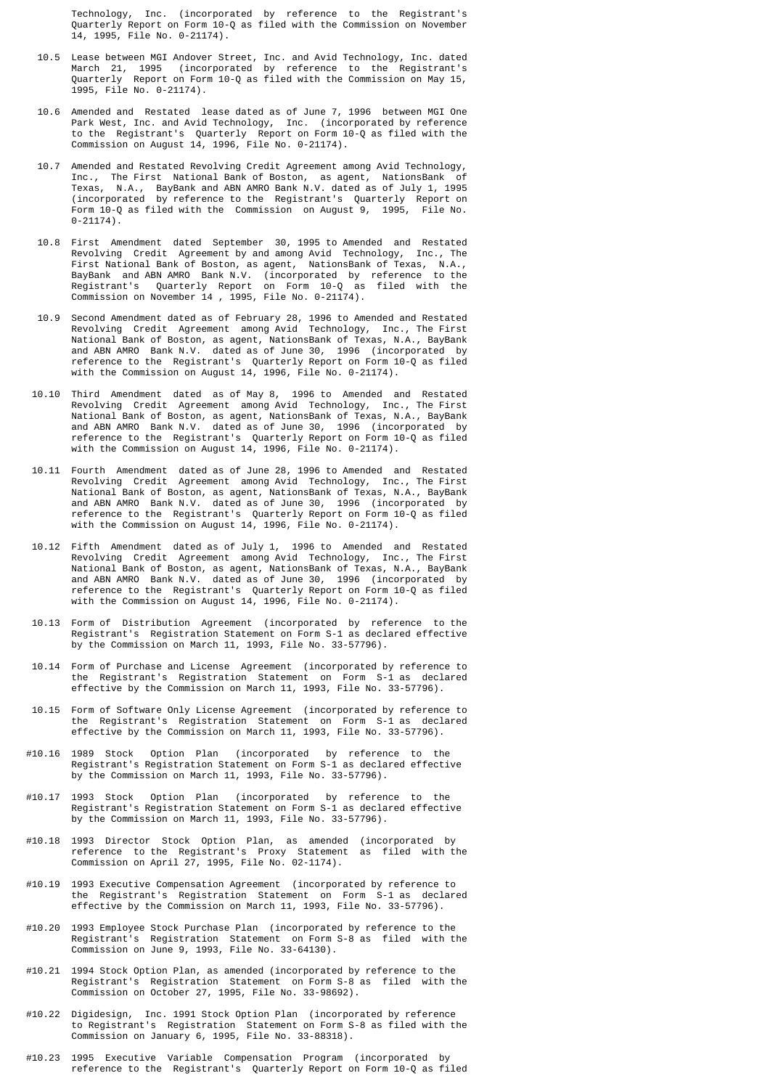Technology, Inc. (incorporated by reference to the Registrant's Quarterly Report on Form 10-Q as filed with the Commission on November 14, 1995, File No. 0-21174).

- 10.5 Lease between MGI Andover Street, Inc. and Avid Technology, Inc. dated March 21, 1995 (incorporated by reference to the Registrant's Quarterly Report on Form 10-Q as filed with the Commission on May 15, 1995, File No. 0-21174).
- 10.6 Amended and Restated lease dated as of June 7, 1996 between MGI One Park West, Inc. and Avid Technology, Inc. (incorporated by reference to the Registrant's Quarterly Report on Form 10-Q as filed with the Commission on August 14, 1996, File No. 0-21174).
- 10.7 Amended and Restated Revolving Credit Agreement among Avid Technology, Inc., The First National Bank of Boston, as agent, NationsBank Texas, N.A., BayBank and ABN AMRO Bank N.V. dated as of July 1, 1995 (incorporated by reference to the Registrant's Quarterly Report on Form 10-Q as filed with the Commission on August 9, 1995, File No.  $0 - 21174$ ).
- 10.8 First Amendment dated September 30, 1995 to Amended and Restated Revolving Credit Agreement by and among Avid Technology, Inc., The First National Bank of Boston, as agent, NationsBank of Texas, N.A., BayBank and ABN AMRO Bank N.V. (incorporated by reference to the BayBank and ABN AMRO Bank N.V. (incorporated by reference to the Registrant's Quarterly Report on Form 10-Q as filed with the Commission on November 14 , 1995, File No. 0-21174).
- 10.9 Second Amendment dated as of February 28, 1996 to Amended and Restated Revolving Credit Agreement among Avid Technology, Inc., The First National Bank of Boston, as agent, NationsBank of Texas, N.A., BayBank and ABN AMRO Bank N.V. dated as of June 30, 1996 (incorporated by reference to the Registrant's Quarterly Report on Form 10-Q as filed with the Commission on August 14, 1996, File No. 0-21174).
- 10.10 Third Amendment dated as of May 8, 1996 to Amended and Restated Revolving Credit Agreement among Avid Technology, Inc., The First National Bank of Boston, as agent, NationsBank of Texas, N.A., BayBank and ABN AMRO Bank N.V. dated as of June 30, 1996 (incorporated by reference to the Registrant's Quarterly Report on Form 10-Q as filed with the Commission on August 14, 1996, File No. 0-21174).
- 10.11 Fourth Amendment dated as of June 28, 1996 to Amended and Restated Revolving Credit Agreement among Avid Technology, Inc., The First National Bank of Boston, as agent, NationsBank of Texas, N.A., BayBank and ABN AMRO Bank N.V. dated as of June 30, 1996 (incorporated by reference to the Registrant's Quarterly Report on Form 10-Q as filed with the Commission on August 14, 1996, File No. 0-21174).
- 10.12 Fifth Amendment dated as of July 1, 1996 to Amended and Restated Revolving Credit Agreement among Avid Technology, Inc., The First National Bank of Boston, as agent, NationsBank of Texas, N.A., BayBank and ABN AMRO Bank N.V. dated as of June 30, 1996 (incorporated by reference to the Registrant's Quarterly Report on Form 10-Q as filed with the Commission on August 14, 1996, File No. 0-21174).
	- 10.13 Form of Distribution Agreement (incorporated by reference to the Registrant's Registration Statement on Form S-1 as declared effective by the Commission on March 11, 1993, File No. 33-57796).
- 10.14 Form of Purchase and License Agreement (incorporated by reference to the Registrant's Registration Statement on Form S-1 as declared effective by the Commission on March 11, 1993, File No. 33-57796).
	- 10.15 Form of Software Only License Agreement (incorporated by reference to the Registrant's Registration Statement on Form S-1 as declared effective by the Commission on March 11, 1993, File No. 33-57796).
	- #10.16 1989 Stock Option Plan (incorporated by reference to the Registrant's Registration Statement on Form S-1 as declared effective by the Commission on March 11, 1993, File No. 33-57796).
	- #10.17 1993 Stock Option Plan (incorporated by reference to the Registrant's Registration Statement on Form S-1 as declared effective by the Commission on March 11, 1993, File No. 33-57796).
- #10.18 1993 Director Stock Option Plan, as amended (incorporated by reference to the Registrant's Proxy Statement as filed with the Commission on April 27, 1995, File No. 02-1174).
- #10.19 1993 Executive Compensation Agreement (incorporated by reference to the Registrant's Registration Statement on Form S-1 as declared effective by the Commission on March 11, 1993, File No. 33-57796).
- #10.20 1993 Employee Stock Purchase Plan (incorporated by reference to the Registrant's Registration Statement on Form S-8 as filed with the Commission on June 9, 1993, File No. 33-64130).
	- #10.21 1994 Stock Option Plan, as amended (incorporated by reference to the Registrant's Registration Statement on Form S-8 as filed with the Commission on October 27, 1995, File No. 33-98692).
- #10.22 Digidesign, Inc. 1991 Stock Option Plan (incorporated by reference to Registrant's Registration Statement on Form S-8 as filed with the Commission on January 6, 1995, File No. 33-88318).
	- #10.23 1995 Executive Variable Compensation Program (incorporated by reference to the Registrant's Quarterly Report on Form 10-Q as filed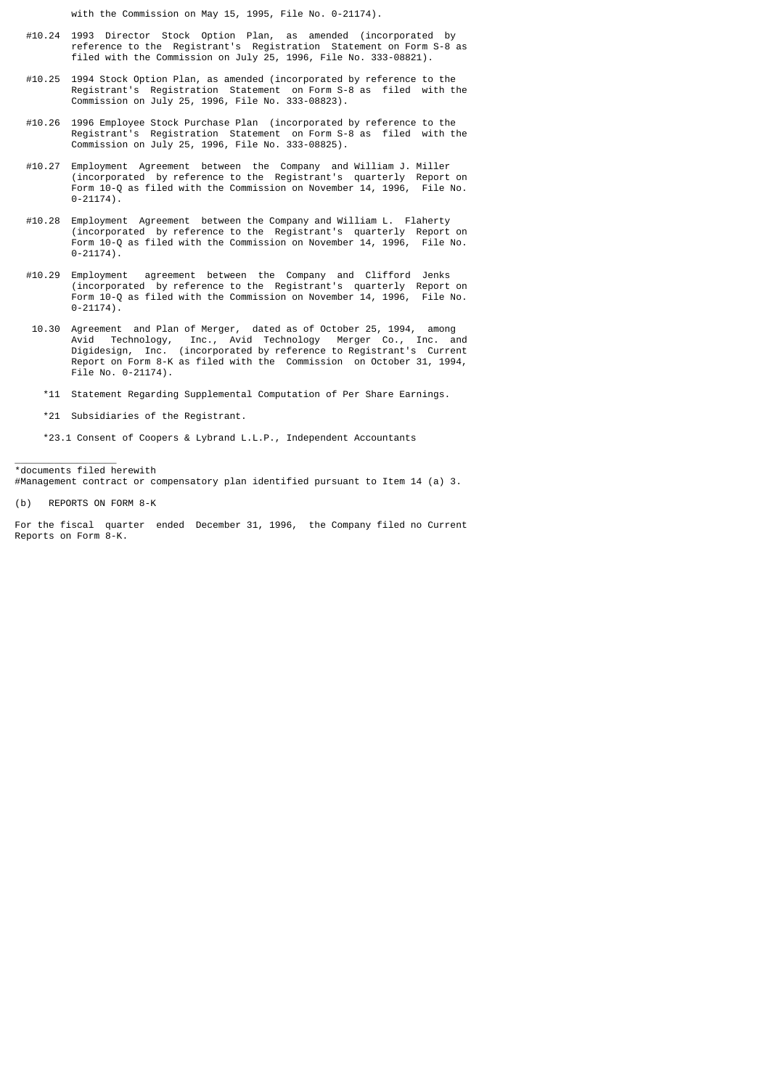with the Commission on May 15, 1995, File No. 0-21174).

- #10.24 1993 Director Stock Option Plan, as amended (incorporated by reference to the Registrant's Registration Statement on Form S-8 as filed with the Commission on July 25, 1996, File No. 333-08821).
- #10.25 1994 Stock Option Plan, as amended (incorporated by reference to the Registrant's Registration Statement on Form S-8 as filed with the Commission on July 25, 1996, File No. 333-08823).
- #10.26 1996 Employee Stock Purchase Plan (incorporated by reference to the Registrant's Registration Statement on Form S-8 as filed with the Commission on July 25, 1996, File No. 333-08825).
- #10.27 Employment Agreement between the Company and William J. Miller (incorporated by reference to the Registrant's quarterly Report on Form 10-Q as filed with the Commission on November 14, 1996, File No. 0-21174).
- #10.28 Employment Agreement between the Company and William L. Flaherty (incorporated by reference to the Registrant's quarterly Report on Form 10-Q as filed with the Commission on November 14, 1996, File No. 0-21174).
- #10.29 Employment agreement between the Company and Clifford Jenks (incorporated by reference to the Registrant's quarterly Report on Form 10-Q as filed with the Commission on November 14, 1996, File No. 0-21174).
- 10.30 Agreement and Plan of Merger, dated as of October 25, 1994, among Avid Technology, Inc., Avid Technology Merger Co., Inc. and Digidesign, Inc. (incorporated by reference to Registrant's Current Report on Form 8-K as filed with the Commission on October 31, 1994, File No. 0-21174).
	- \*11 Statement Regarding Supplemental Computation of Per Share Earnings.
	- \*21 Subsidiaries of the Registrant.

\*23.1 Consent of Coopers & Lybrand L.L.P., Independent Accountants

\*documents filed herewith #Management contract or compensatory plan identified pursuant to Item 14 (a) 3.

\_\_\_\_\_\_\_\_\_\_\_\_\_\_\_\_\_\_

(b) REPORTS ON FORM 8-K

For the fiscal quarter ended December 31, 1996, the Company filed no Current Reports on Form 8-K.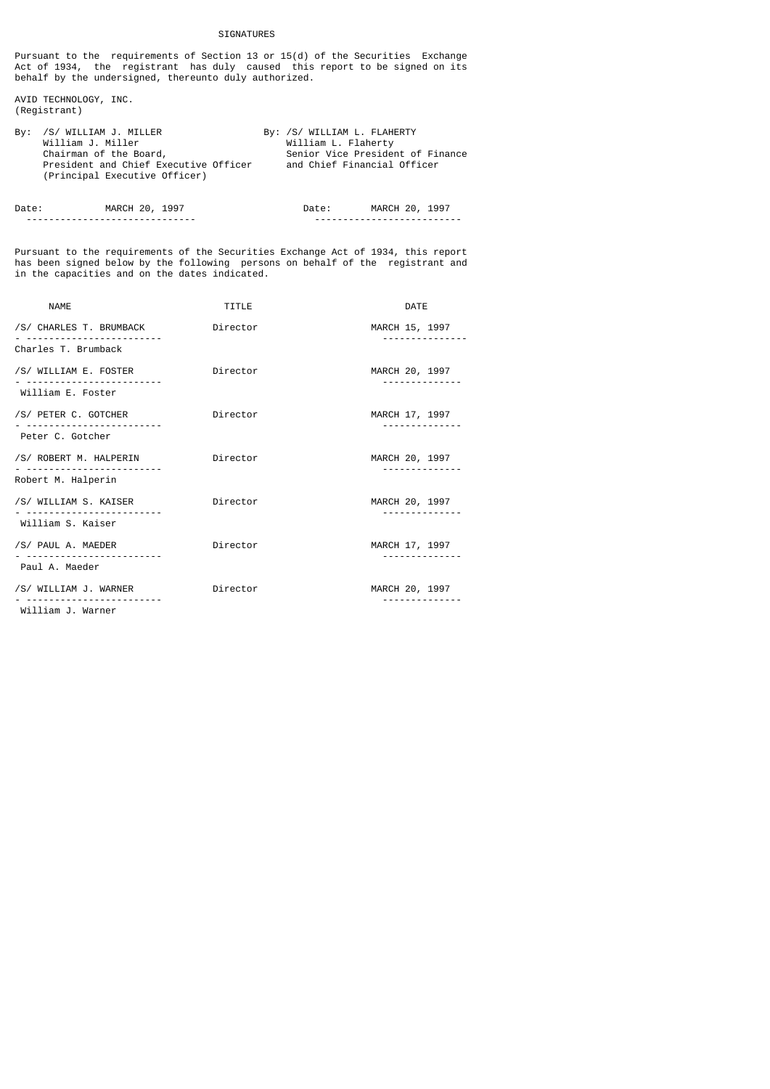## SIGNATURES

Pursuant to the requirements of Section 13 or 15(d) of the Securities Exchange Act of 1934, the registrant has duly caused this report to be signed on its behalf by the undersigned, thereunto duly authorized.

AVID TECHNOLOGY, INC. (Registrant)

| By: /S/ WILLIAM J. MILLER             | By: /S/ WILLIAM L. FLAHERTY      |
|---------------------------------------|----------------------------------|
| William J. Miller                     | William L. Flaherty              |
| Chairman of the Board,                | Senior Vice President of Finance |
| President and Chief Executive Officer | and Chief Financial Officer      |
| (Principal Executive Officer)         |                                  |

| Date | הפ                              |  | ንቡ                            |  |
|------|---------------------------------|--|-------------------------------|--|
|      | ------------------------------- |  | _____________________________ |  |

Pursuant to the requirements of the Securities Exchange Act of 1934, this report has been signed below by the following persons on behalf of the registrant and in the capacities and on the dates indicated.

| <b>NAME</b>                             | TITLE    | DATE           |
|-----------------------------------------|----------|----------------|
| /S/ CHARLES T. BRUMBACK                 | Director | MARCH 15, 1997 |
| Charles T. Brumback                     |          |                |
| /S/ WILLIAM E. FOSTER                   | Director | MARCH 20, 1997 |
| William E. Foster                       |          |                |
| /S/ PETER C. GOTCHER                    | Director | MARCH 17, 1997 |
| Peter C. Gotcher                        |          |                |
| /S/ ROBERT M. HALPERIN<br>. <u>.</u> .  | Director | MARCH 20, 1997 |
| Robert M. Halperin                      |          |                |
| /S/ WILLIAM S. KAISER<br>-------------- | Director | MARCH 20, 1997 |
| William S. Kaiser                       |          |                |
| /S/ PAUL A. MAEDER<br>------------      | Director | MARCH 17, 1997 |
| Paul A. Maeder                          |          |                |
| /S/ WILLIAM J. WARNER                   | Director | MARCH 20, 1997 |
| William J. Warner                       |          |                |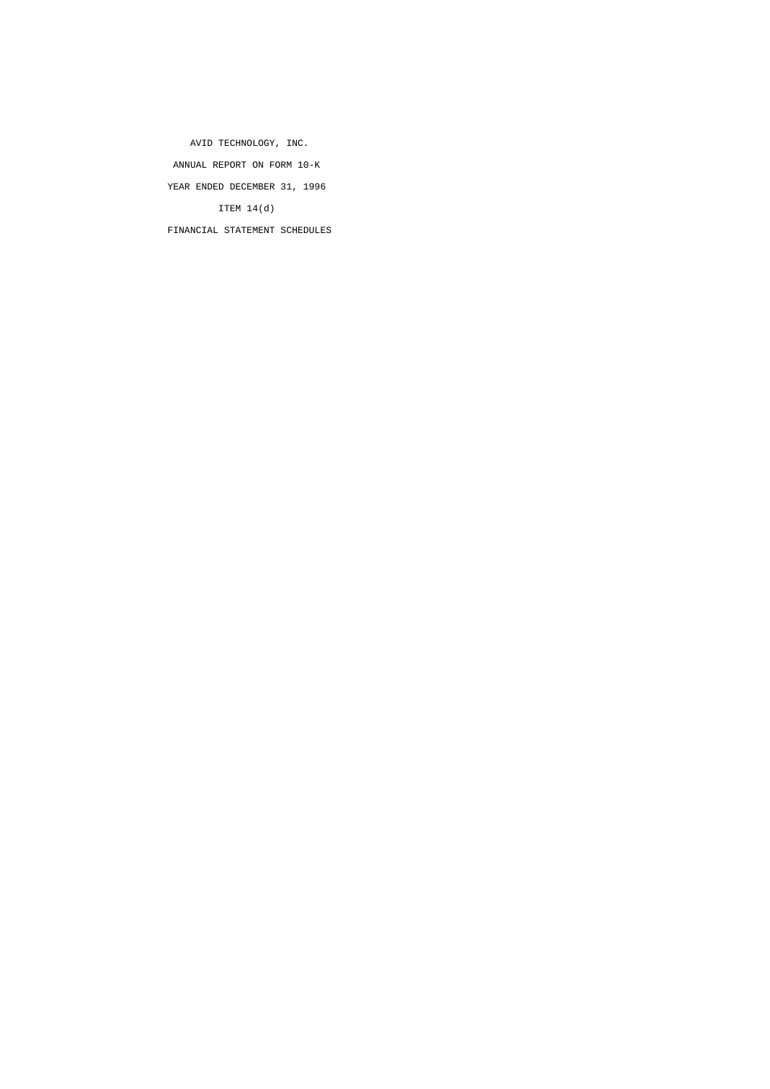AVID TECHNOLOGY, INC. ANNUAL REPORT ON FORM 10-K YEAR ENDED DECEMBER 31, 1996 ITEM 14(d) FINANCIAL STATEMENT SCHEDULES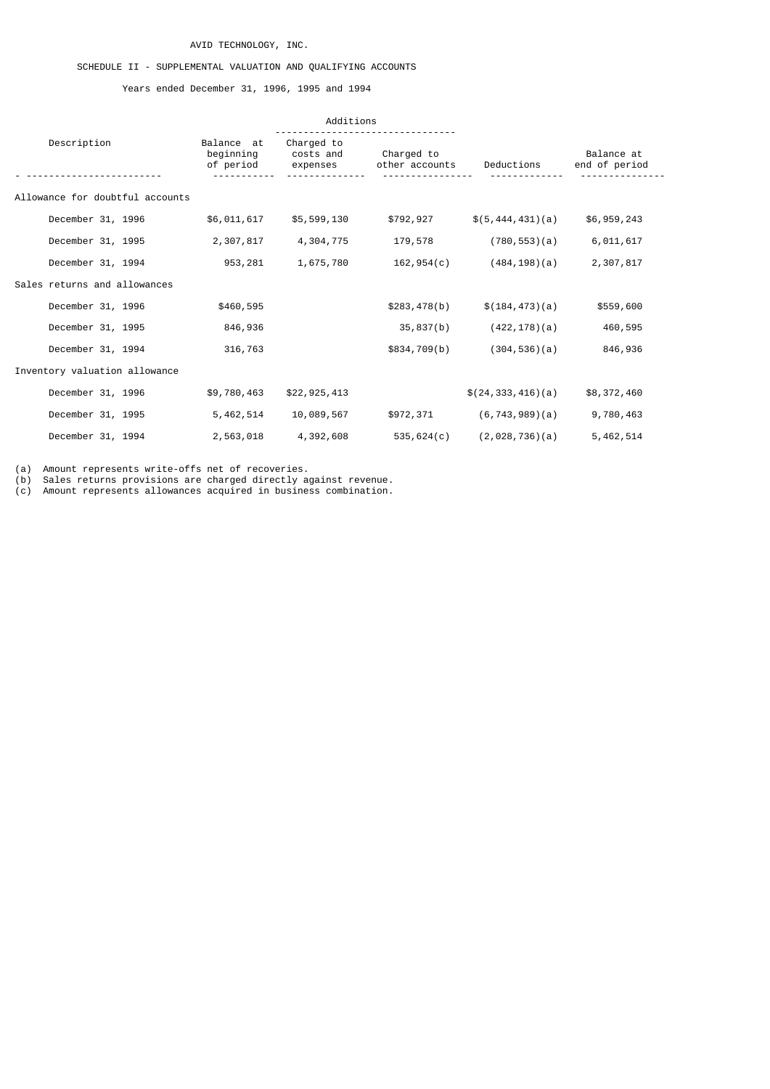# AVID TECHNOLOGY, INC.

# SCHEDULE II - SUPPLEMENTAL VALUATION AND QUALIFYING ACCOUNTS

Years ended December 31, 1996, 1995 and 1994

|                                 |                                      | Additions                           |                              |                       |                             |
|---------------------------------|--------------------------------------|-------------------------------------|------------------------------|-----------------------|-----------------------------|
| Description                     | Balance at<br>beginning<br>of period | Charged to<br>costs and<br>expenses | Charged to<br>other accounts | Deductions            | Balance at<br>end of period |
| Allowance for doubtful accounts |                                      |                                     |                              |                       |                             |
| December 31, 1996               | \$6,011,617                          | \$5,599,130                         | \$792,927                    | \$(5, 444, 431)(a)    | \$6,959,243                 |
| December 31, 1995               | 2,307,817                            | 4,304,775                           | 179,578                      | (780, 553)(a)         | 6,011,617                   |
| December 31, 1994               | 953,281                              | 1,675,780                           | 162,954(c)                   | $(484, 198)$ $(a)$    | 2,307,817                   |
| Sales returns and allowances    |                                      |                                     |                              |                       |                             |
| December 31, 1996               | \$460,595                            |                                     | \$283,478(b)                 | \$(184, 473)(a)       | \$559,600                   |
| December 31, 1995               | 846,936                              |                                     | 35,837(b)                    | $(422, 178)$ (a)      | 460,595                     |
| December 31, 1994               | 316,763                              |                                     | \$834,709(b)                 | (304, 536)(a)         | 846,936                     |
| Inventory valuation allowance   |                                      |                                     |                              |                       |                             |
| December 31, 1996               | \$9,780,463                          | \$22,925,413                        |                              | \$(24, 333, 416)(a)   | \$8,372,460                 |
| December 31, 1995               | 5, 462, 514                          | 10,089,567                          | \$972,371                    | $(6, 743, 989)$ $(a)$ | 9,780,463                   |
| December 31, 1994               | 2,563,018                            | 4,392,608                           | 535,624(c)                   | (2,028,736)(a)        | 5,462,514                   |

(a) Amount represents write-offs net of recoveries.

(b) Sales returns provisions are charged directly against revenue.

(c) Amount represents allowances acquired in business combination.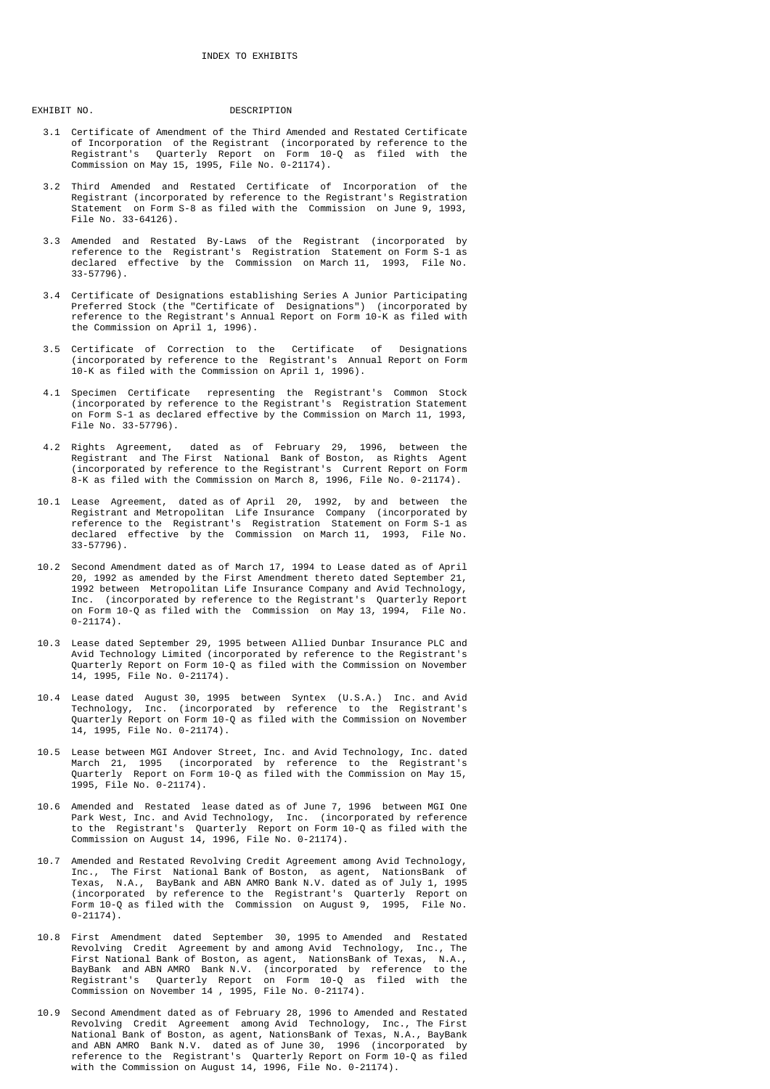EXHIBIT NO. 2008 DESCRIPTION

- 3.1 Certificate of Amendment of the Third Amended and Restated Certificate of Incorporation of the Registrant (incorporated by reference to the Registrant's Quarterly Report on Form 10-Q as filed with the Commission on May 15, 1995, File No. 0-21174).
- 3.2 Third Amended and Restated Certificate of Incorporation of the Registrant (incorporated by reference to the Registrant's Registration Statement on Form S-8 as filed with the Commission on June 9, 1993, File No. 33-64126).
- 3.3 Amended and Restated By-Laws of the Registrant (incorporated by reference to the Registrant's Registration Statement on Form S-1 as declared effective by the Commission on March 11, 1993, File No. 33-57796).
- 3.4 Certificate of Designations establishing Series A Junior Participating Preferred Stock (the "Certificate of Designations") (incorporated by reference to the Registrant's Annual Report on Form 10-K as filed with the Commission on April 1, 1996).
	- 3.5 Certificate of Correction to the Certificate of Designations (incorporated by reference to the Registrant's Annual Report on Form 10-K as filed with the Commission on April 1, 1996).
	- 4.1 Specimen Certificate representing the Registrant's Common Stock (incorporated by reference to the Registrant's Registration Statement on Form S-1 as declared effective by the Commission on March 11, 1993, File No. 33-57796).
- 4.2 Rights Agreement, dated as of February 29, 1996, between the Registrant and The First National Bank of Boston, as Rights Agent (incorporated by reference to the Registrant's Current Report on Form 8-K as filed with the Commission on March 8, 1996, File No. 0-21174).
- 10.1 Lease Agreement, dated as of April 20, 1992, by and between the Registrant and Metropolitan Life Insurance Company (incorporated by reference to the Registrant's Registration Statement on Form S-1 as declared effective by the Commission on March 11, 1993, File No. 33-57796).
- 10.2 Second Amendment dated as of March 17, 1994 to Lease dated as of April 20, 1992 as amended by the First Amendment thereto dated September 21, 1992 between Metropolitan Life Insurance Company and Avid Technology, Inc. (incorporated by reference to the Registrant's Quarterly Report on Form 10-Q as filed with the Commission on May 13, 1994, File No.  $0-21174$ ).
- 10.3 Lease dated September 29, 1995 between Allied Dunbar Insurance PLC and Avid Technology Limited (incorporated by reference to the Registrant's Quarterly Report on Form 10-Q as filed with the Commission on November 14, 1995, File No. 0-21174).
- 10.4 Lease dated August 30, 1995 between Syntex (U.S.A.) Inc. and Avid Technology, Inc. (incorporated by reference to the Registrant's Quarterly Report on Form 10-Q as filed with the Commission on November 14, 1995, File No. 0-21174).
- 10.5 Lease between MGI Andover Street, Inc. and Avid Technology, Inc. dated March 21, 1995 (incorporated by reference to the Registrant's Quarterly Report on Form 10-Q as filed with the Commission on May 15, 1995, File No. 0-21174).
- 10.6 Amended and Restated lease dated as of June 7, 1996 between MGI One Park West, Inc. and Avid Technology, Inc. (incorporated by reference to the Registrant's Quarterly Report on Form 10-Q as filed with the Commission on August 14, 1996, File No. 0-21174).
- 10.7 Amended and Restated Revolving Credit Agreement among Avid Technology, Inc., The First National Bank of Boston, as agent, NationsBank of Texas, N.A., BayBank and ABN AMRO Bank N.V. dated as of July 1, 1995 (incorporated by reference to the Registrant's Quarterly Report on Form 10-Q as filed with the Commission on August 9, 1995, File No.  $0 - 21174$ .
- 10.8 First Amendment dated September 30, 1995 to Amended and Restated Revolving Credit Agreement by and among Avid Technology, Inc., The First National Bank of Boston, as agent, NationsBank of Texas, N.A., BayBank and ABN AMRO Bank N.V. (incorporated by reference to the Registrant's Quarterly Report on Form 10-Q as filed with the Commission on November 14 , 1995, File No. 0-21174).
- 10.9 Second Amendment dated as of February 28, 1996 to Amended and Restated Revolving Credit Agreement among Avid Technology, Inc., The First National Bank of Boston, as agent, NationsBank of Texas, N.A., BayBank and ABN AMRO Bank N.V. dated as of June 30, 1996 (incorporated by reference to the Registrant's Quarterly Report on Form 10-Q as filed with the Commission on August 14, 1996, File No. 0-21174).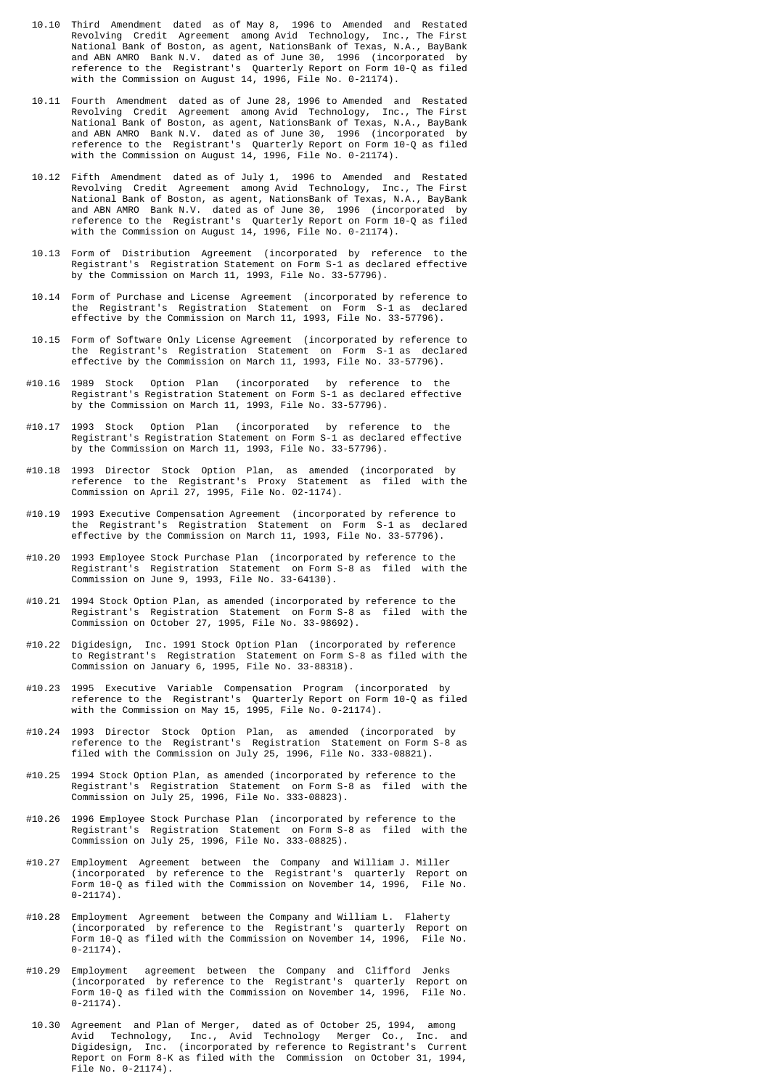- 10.10 Third Amendment dated as of May 8, 1996 to Amended and Restated Revolving Credit Agreement among Avid Technology, Inc., The First National Bank of Boston, as agent, NationsBank of Texas, N.A., BayBank and ABN AMRO Bank N.V. dated as of June 30, 1996 (incorporated by reference to the Registrant's Quarterly Report on Form 10-Q as filed with the Commission on August 14, 1996, File No. 0-21174).
- 10.11 Fourth Amendment dated as of June 28, 1996 to Amended and Restated Revolving Credit Agreement among Avid Technology, Inc., The First National Bank of Boston, as agent, NationsBank of Texas, N.A., BayBank and ABN AMRO Bank N.V. dated as of June 30, 1996 (incorporated by reference to the Registrant's Quarterly Report on Form 10-Q as filed with the Commission on August 14, 1996, File No. 0-21174).
- 10.12 Fifth Amendment dated as of July 1, 1996 to Amended and Restated Revolving Credit Agreement among Avid Technology, Inc., The First National Bank of Boston, as agent, NationsBank of Texas, N.A., BayBank and ABN AMRO Bank N.V. dated as of June 30, 1996 (incorporated by reference to the Registrant's Quarterly Report on Form 10-Q as filed with the Commission on August 14, 1996, File No. 0-21174).
	- 10.13 Form of Distribution Agreement (incorporated by reference to the Registrant's Registration Statement on Form S-1 as declared effective by the Commission on March 11, 1993, File No. 33-57796).
	- 10.14 Form of Purchase and License Agreement (incorporated by reference to the Registrant's Registration Statement on Form S-1 as declared effective by the Commission on March 11, 1993, File No. 33-57796).
	- 10.15 Form of Software Only License Agreement (incorporated by reference to the Registrant's Registration Statement on Form S-1 as declared effective by the Commission on March 11, 1993, File No. 33-57796).
- #10.16 1989 Stock Option Plan (incorporated by reference to the Registrant's Registration Statement on Form S-1 as declared effective by the Commission on March 11, 1993, File No. 33-57796).
	- #10.17 1993 Stock Option Plan (incorporated by reference to the Registrant's Registration Statement on Form S-1 as declared effective by the Commission on March 11, 1993, File No. 33-57796).
- #10.18 1993 Director Stock Option Plan, as amended (incorporated by reference to the Registrant's Proxy Statement as filed with the Commission on April 27, 1995, File No. 02-1174).
	- #10.19 1993 Executive Compensation Agreement (incorporated by reference to the Registrant's Registration Statement on Form S-1 as declared effective by the Commission on March 11, 1993, File No. 33-57796).
	- #10.20 1993 Employee Stock Purchase Plan (incorporated by reference to the Registrant's Registration Statement on Form S-8 as filed with the Commission on June 9, 1993, File No. 33-64130).
	- #10.21 1994 Stock Option Plan, as amended (incorporated by reference to the Registrant's Registration Statement on Form S-8 as filed with the Commission on October 27, 1995, File No. 33-98692).
- #10.22 Digidesign, Inc. 1991 Stock Option Plan (incorporated by reference to Registrant's Registration Statement on Form S-8 as filed with the Commission on January 6, 1995, File No. 33-88318).
- #10.23 1995 Executive Variable Compensation Program (incorporated by reference to the Registrant's Quarterly Report on Form 10-Q as filed with the Commission on May 15, 1995, File No. 0-21174).
- #10.24 1993 Director Stock Option Plan, as amended (incorporated by reference to the Registrant's Registration Statement on Form S-8 as filed with the Commission on July 25, 1996, File No. 333-08821).
	- #10.25 1994 Stock Option Plan, as amended (incorporated by reference to the Registrant's Registration Statement on Form S-8 as filed with the Commission on July 25, 1996, File No. 333-08823).
- #10.26 1996 Employee Stock Purchase Plan (incorporated by reference to the Registrant's Registration Statement on Form S-8 as filed with the Commission on July 25, 1996, File No. 333-08825).
- #10.27 Employment Agreement between the Company and William J. Miller (incorporated by reference to the Registrant's quarterly Report on Form 10-Q as filed with the Commission on November 14, 1996, File No.  $0 - 21174$ ).
- #10.28 Employment Agreement between the Company and William L. Flaherty (incorporated by reference to the Registrant's quarterly Report on Form 10-Q as filed with the Commission on November 14, 1996, File No. 0-21174).
- #10.29 Employment agreement between the Company and Clifford Jenks (incorporated by reference to the Registrant's quarterly Report on Form 10-Q as filed with the Commission on November 14, 1996, File No. 0-21174).
- 10.30 Agreement and Plan of Merger, dated as of October 25, 1994, among Avid Technology, Inc., Avid Technology Merger Co., Inc. and Digidesign, Inc. (incorporated by reference to Registrant's Current Report on Form 8-K as filed with the Commission on October 31, 1994, File No. 0-21174).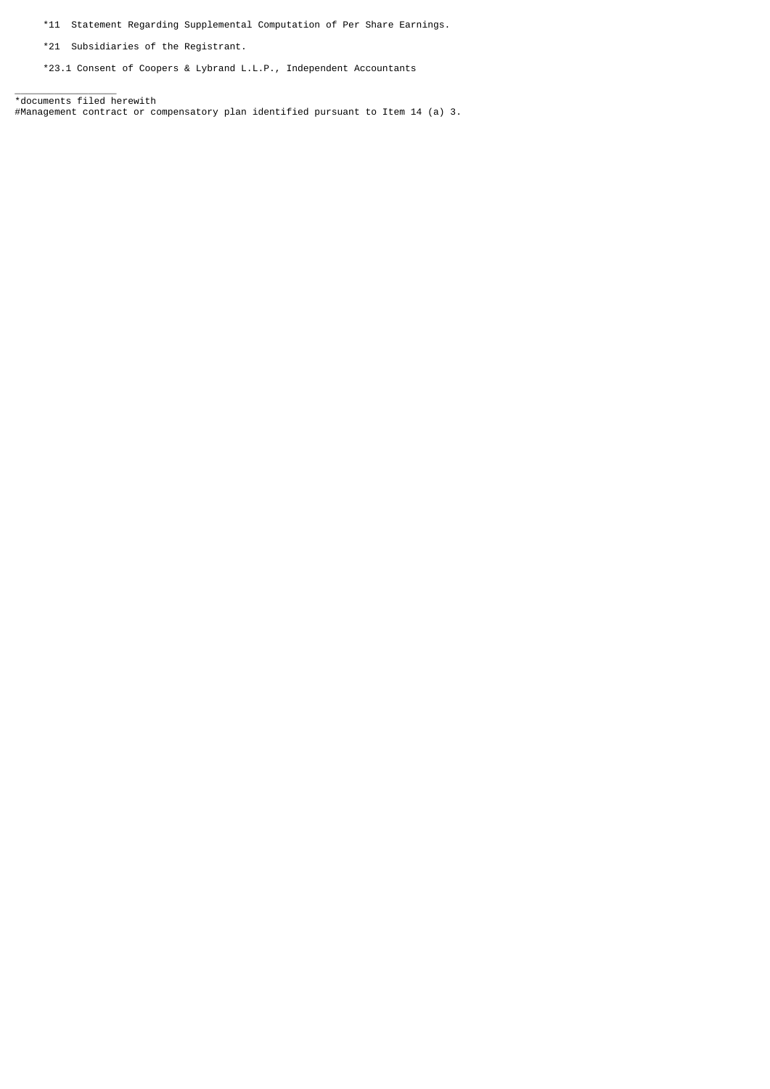\*11 Statement Regarding Supplemental Computation of Per Share Earnings.

\*21 Subsidiaries of the Registrant.

\*23.1 Consent of Coopers & Lybrand L.L.P., Independent Accountants

 $\overline{\phantom{a}}$  , where  $\overline{\phantom{a}}$ \*documents filed herewith #Management contract or compensatory plan identified pursuant to Item 14 (a) 3.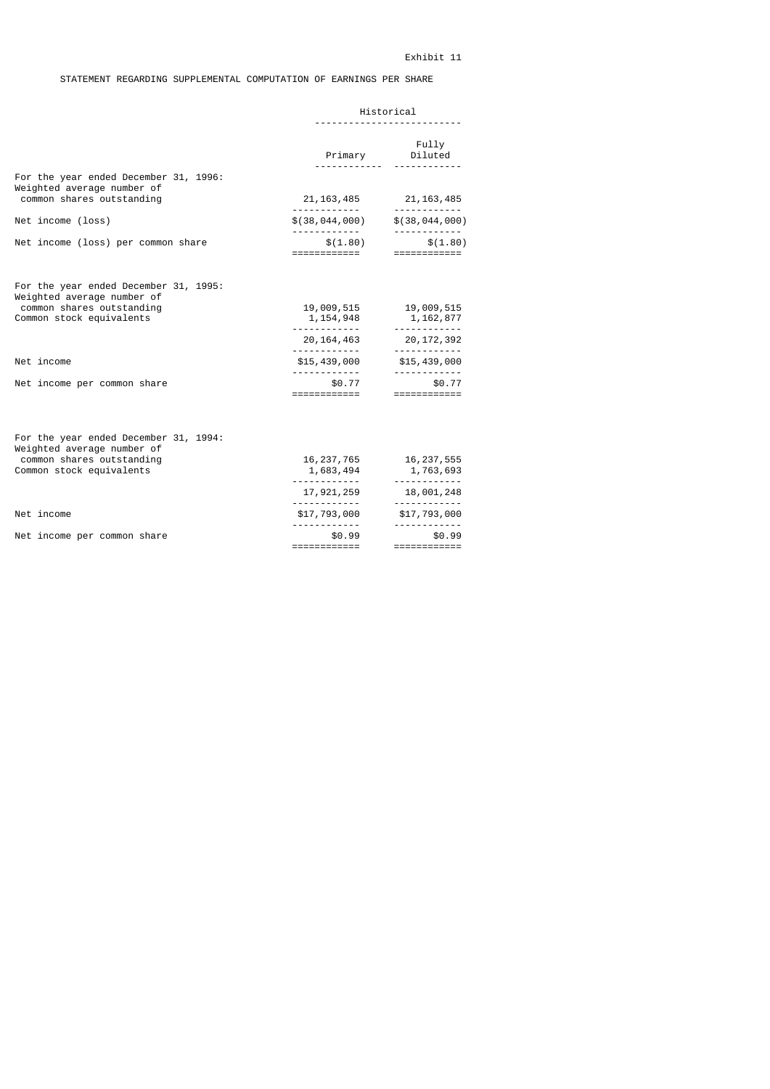# STATEMENT REGARDING SUPPLEMENTAL COMPUTATION OF EARNINGS PER SHARE

|                                                                                                  | Historical                  |                                                         |  |
|--------------------------------------------------------------------------------------------------|-----------------------------|---------------------------------------------------------|--|
|                                                                                                  |                             | Fully<br>Primary Diluted                                |  |
| For the year ended December 31, 1996:<br>Weighted average number of<br>common shares outstanding |                             | 21, 163, 485 21, 163, 485                               |  |
| Net income (loss)                                                                                | \$(38,044,000)              | \$(38,044,000)                                          |  |
| Net income (loss) per common share                                                               | \$(1.80)<br>============    | \$(1.80)<br>============                                |  |
| For the year ended December 31, 1995:<br>Weighted average number of                              |                             |                                                         |  |
| common shares outstanding<br>Common stock equivalents                                            | 19,009,515<br>1, 154, 948   | 19,009,515<br>1,162,877                                 |  |
|                                                                                                  | . <u>.</u><br>20, 164, 463  | 20,172,392                                              |  |
| Net income                                                                                       | \$15,439,000                | \$15,439,000                                            |  |
| Net income per common share                                                                      | \$0.77<br>============      | \$0.77<br>============                                  |  |
| For the year ended December 31, 1994:<br>Weighted average number of                              |                             |                                                         |  |
| common shares outstanding<br>Common stock equivalents                                            | 1,683,494                   | 16, 237, 765 16, 237, 555<br>1,763,693                  |  |
|                                                                                                  | 17,921,259                  | 18,001,248                                              |  |
| Net income                                                                                       | <u>.</u><br>\$17,793,000    | <u>.</u> .<br>\$17,793,000                              |  |
| Net income per common share                                                                      | .<br>\$0.99<br>============ | <u> - - - - - - - - - - -</u><br>\$0.99<br>============ |  |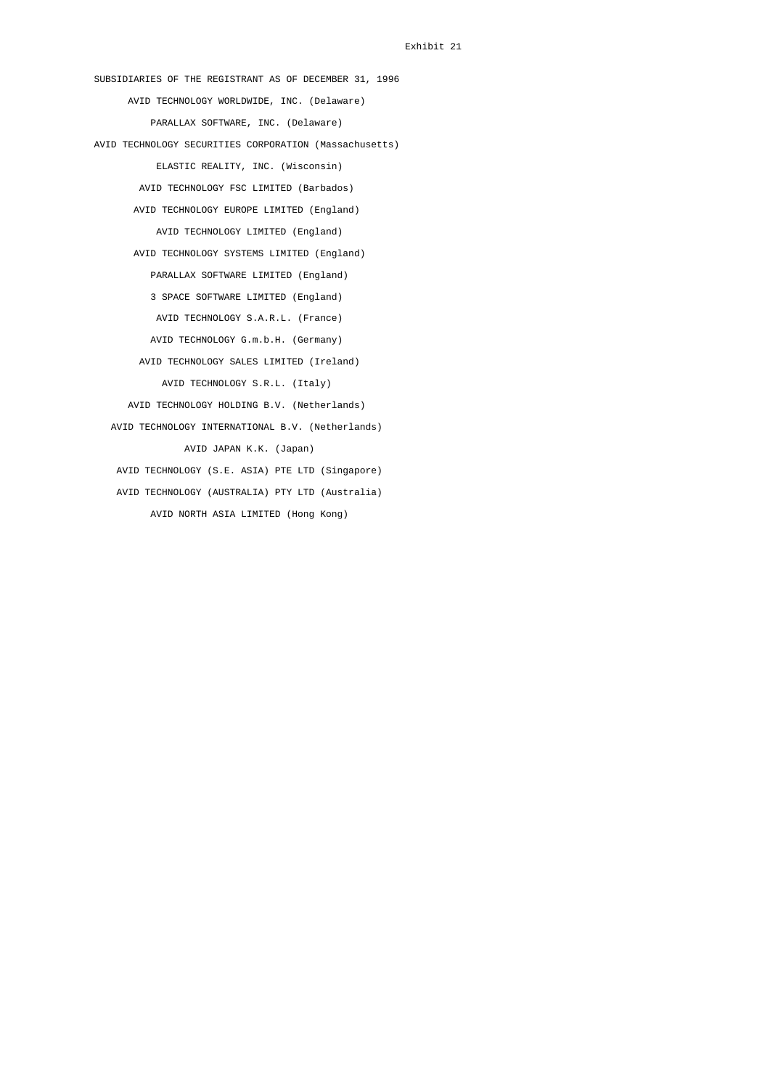SUBSIDIARIES OF THE REGISTRANT AS OF DECEMBER 31, 1996 AVID TECHNOLOGY WORLDWIDE, INC. (Delaware) PARALLAX SOFTWARE, INC. (Delaware) AVID TECHNOLOGY SECURITIES CORPORATION (Massachusetts) ELASTIC REALITY, INC. (Wisconsin) AVID TECHNOLOGY FSC LIMITED (Barbados) AVID TECHNOLOGY EUROPE LIMITED (England) AVID TECHNOLOGY LIMITED (England) AVID TECHNOLOGY SYSTEMS LIMITED (England) PARALLAX SOFTWARE LIMITED (England) 3 SPACE SOFTWARE LIMITED (England) AVID TECHNOLOGY S.A.R.L. (France) AVID TECHNOLOGY G.m.b.H. (Germany) AVID TECHNOLOGY SALES LIMITED (Ireland) AVID TECHNOLOGY S.R.L. (Italy) AVID TECHNOLOGY HOLDING B.V. (Netherlands) AVID TECHNOLOGY INTERNATIONAL B.V. (Netherlands) AVID JAPAN K.K. (Japan) AVID TECHNOLOGY (S.E. ASIA) PTE LTD (Singapore) AVID TECHNOLOGY (AUSTRALIA) PTY LTD (Australia) AVID NORTH ASIA LIMITED (Hong Kong)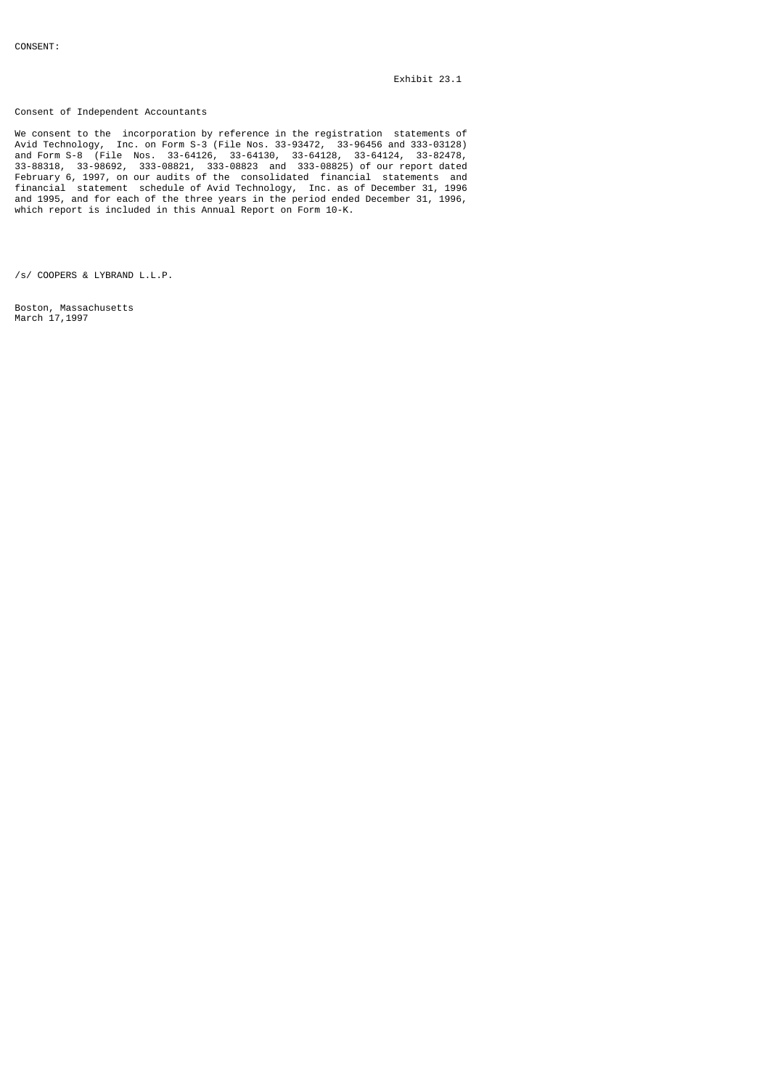Consent of Independent Accountants

We consent to the incorporation by reference in the registration statements of Avid Technology, Inc. on Form S-3 (File Nos. 33-93472, 33-96456 and 333-03128) and Form S-8 (File Nos. 33-64126, 33-64130, 33-64128, 33-64124, 33-82478, 33-88318, 33-98692, 333-08821, 333-08823 and 333-08825) of our report dated February 6, 1997, on our audits of the consolidated financial statements and financial statement schedule of Avid Technology, Inc. as of December 31, 1996 and 1995, and for each of the three years in the period ended December 31, 1996, which report is included in this Annual Report on Form 10-K.

/s/ COOPERS & LYBRAND L.L.P.

Boston, Massachusetts March 17, 1997